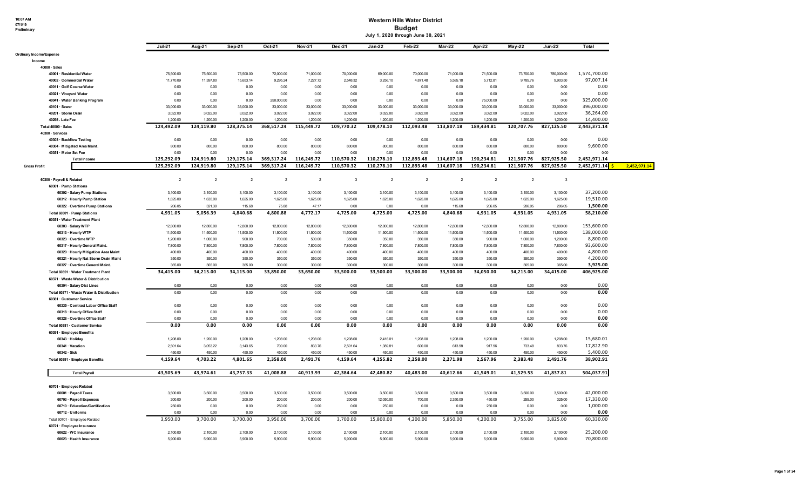# **10:07 AM 07/1/19 Preliminary**

#### **Western Hills Water District Budget**

| ry |  |  |  |
|----|--|--|--|

| July 1, 2020 through June 30, 2021 |  |
|------------------------------------|--|

|                                                    |                                          | Jul-21         | Aug-21         | Sep <sub>21</sub> | Oct-21         | Nov-21                   | Dec-21       | <b>Jan-22</b>  | Feb-22         | Mar-22         | Apr-22         | <b>May-22</b>  | Jun-22       | Total                     |              |
|----------------------------------------------------|------------------------------------------|----------------|----------------|-------------------|----------------|--------------------------|--------------|----------------|----------------|----------------|----------------|----------------|--------------|---------------------------|--------------|
| <b>Ordinary Income/Expense</b>                     |                                          |                |                |                   |                |                          |              |                |                |                |                |                |              |                           |              |
| Income                                             |                                          |                |                |                   |                |                          |              |                |                |                |                |                |              |                           |              |
| $40000 \cdot Sales$                                |                                          |                |                |                   |                |                          |              |                |                |                |                |                |              |                           |              |
| 40001 · Residential Water                          |                                          | 75,500.00      | 75,500.00      | 75,500.00         | 72,000.00      | 71,000.00                | 70,000.00    | 69,000.00      | 70,000.00      | 71,000.00      | 71,500.00      | 73,700.00      | 780,000.00   | 1,574,700.00              |              |
| 40002 · Commercial Water                           |                                          | 11,770.09      | 11,397.80      | 15,653.14         | 9,295.24       | 7,227.72                 | 2,548.32     | 3,256.10       | 4,871.48       | 5,585.18       | 5,712.81       | 9,785.76       | 9,903.50     | 97,007.14                 |              |
| 40011 · Golf Course Water                          |                                          | 0.00           | 0.00           | 0.00              | 0.00           | 0.00                     | 0.00         | 0.00           | 0.00           | 0.00           | 0.00           | 0.00           | 0.00         | 0.00                      |              |
| 40021 · Vineyard Water                             |                                          | 0.00           | 0.00           | 0.00              | 0.00           | 0.00                     | 0.00         | 0.00           | 0.00           | 0.00           | 0.00           | 0.00           | 0.00         | 0.00                      |              |
|                                                    | 40041 · Water Banking Program            | 0.00           | 0.00           | 0.00              | 250,000.00     | 0.00                     | 0.00         | 0.00           | 0.00           | 0.00           | 75,000.00      | 0.00           | 0.00         | 325,000.00                |              |
| 40101 · Sewer                                      |                                          | 33,000.00      | 33,000.00      | 33,000.00         | 33,000.00      | 33,000.00                | 33,000.00    | 33,000.00      | 33,000.00      | 33,000.00      | 33,000.00      | 33,000.00      | 33,000.00    | 396,000.00                |              |
| 40201 · Storm Drain                                |                                          | 3,022.00       | 3,022.00       | 3,022.00          | 3,022.00       | 3,022.00                 | 3,022.00     | 3,022.00       | 3,022.00       | 3,022.00       | 3,022.00       | 3,022.00       | 3,022.00     | 36,264.00                 |              |
| 40298. Late Fee                                    |                                          | 1,200.00       | 1,200.00       | 1,200.00          | 1,200.00       | 1,200.00                 | 1,200.00     | 1,200.00       | 1,200.00       | 1,200.00       | 1,200.00       | 1,200.00       | 1,200.00     | 14,400.00                 |              |
| Total 40000 · Sales                                |                                          | 124,492.09     | 124,119.80     | 128,375.14        | 368,517.24     | 115,449.72               | 109,770.32   | 109,478.10     | 112,093.48     | 113,807.18     | 189,434.81     | 120,707.76     | 827,125.50   | 2,443,371.14              |              |
| 40300 · Services                                   |                                          |                |                |                   |                |                          |              |                |                |                |                |                |              |                           |              |
| 40303 · Backflow Testing                           |                                          | 0.00           | 0.00           | 0.00              | 0.00           | 0.00                     | 0.00         | 0.00           | 0.00           | 0.00           | 0.00           | 0.00           | 0.00         | 0.00                      |              |
|                                                    | 40304 · Mitigated Area Maint             | 800.00         | 800.00         | 800.00            | 800.00         | 800.00                   | 800.00       | 800.00         | 800.00         | 800.00         | 800.00         | 800.00         | 800.00       | 9,600.00                  |              |
| 40351 · Meter Set Fee                              |                                          | 0.00           | 0.00           | 0.00              | 0.00           | 0.00                     | 0.00         | 0.00           | 0.00           | 0.00           | 0.00           | 0.00           | 0.00         | 0.00                      |              |
|                                                    |                                          |                |                |                   |                |                          |              |                |                |                |                |                |              |                           |              |
|                                                    | <b>Total Income</b>                      | 125,292.09     | 124,919.80     | 129,175.14        | 369,317.24     | 116,249.72               | 110,570.32   | 110,278.10     | 112,893.48     | 114,607.18     | 190,234.81     | 121,507.76     | 827,925.50   | 2,452,971.14              |              |
| <b>Gross Profit</b>                                |                                          | 125.292.09     | 124.919.80     | 129.175.14        | 369.317.24     | 116.249.72               | 110.570.32   | 110.278.10     | 112.893.48     | 114.607.18     | 190.234.81     | 121,507.76     | 827,925.50   | 2,452,971.14 <sup>5</sup> | 2,452,971.14 |
|                                                    |                                          | $\overline{2}$ | $\overline{2}$ | $\overline{2}$    | $\overline{2}$ | $\overline{\phantom{a}}$ | $\mathbf{3}$ | $\overline{2}$ | $\overline{2}$ | $\overline{2}$ | $\overline{2}$ | $\overline{2}$ | $\mathbf{3}$ |                           |              |
| 60300 · Payroll & Related<br>60301 · Pump Stations |                                          |                |                |                   |                |                          |              |                |                |                |                |                |              |                           |              |
|                                                    |                                          |                |                |                   |                |                          |              |                |                |                |                |                |              |                           |              |
|                                                    | 60302 · Salary Pump Stations             | 3,100.00       | 3,100.00       | 3,100.00          | 3,100.00       | 3,100.00                 | 3,100.00     | 3,100.00       | 3,100.00       | 3,100.00       | 3,100.00       | 3,100.00       | 3,100.00     | 37,200.00                 |              |
|                                                    | 60312 · Hourly Pump Station              | 1,625.00       | 1,635.00       | 1,625.00          | 1,625.00       | 1,625.00                 | 1,625.00     | 1,625.00       | 1,625.00       | 1,625.00       | 1,625.00       | 1,625.00       | 1,625.00     | 19,510.00                 |              |
|                                                    | 60322 · Overtime Pump Stations           | 206.05         | 321.39         | 115.68            | 75.88          | 47.17                    | 0.00         | 0.00           | 0.00           | 115.68         | 206.05         | 206.05         | 206.05       | 1,500.00                  |              |
|                                                    | Total 60301 · Pump Stations              | 4,931.05       | 5,056.39       | 4,840.68          | 4,800.88       | 4,772.17                 | 4,725.00     | 4,725.00       | 4,725.00       | 4,840.68       | 4,931.05       | 4,931.05       | 4,931.05     | 58,210.00                 |              |
|                                                    | 60351 · Water Treatment Plant            |                |                |                   |                |                          |              |                |                |                |                |                |              |                           |              |
|                                                    | 60303 · Salary WTP                       | 12,800.00      | 12,800.00      | 12,800.00         | 12,800.00      | 12,800.00                | 12,800.00    | 12,800.00      | 12,800.00      | 12,800.00      | 12,800.00      | 12,800.00      | 12,800.00    | 153,600.00                |              |
|                                                    | 60313 · Hourly WTP                       | 11,500.00      | 11,500.00      | 11,500.00         | 11,500.00      | 11,500.00                | 11,500.00    | 11,500.00      | 11,500.00      | 11,500.00      | 11,500.00      | 11,500.00      | 11,500.00    | 138,000.00                |              |
|                                                    | 60323 · Overtime WTP                     | 1,200.00       | 1,000.00       | 900.00            | 700.00         | 500.00                   | 350.00       | 350.00         | 350.00         | 350.00         | 900.00         | 1,000.00       | 1,200.00     | 8,800.00                  |              |
|                                                    | 60317 · Hourly General Maint.            | 7,800.00       | 7,800.00       | 7,800.00          | 7,800.00       | 7,800.00                 | 7,800.00     | 7,800.00       | 7,800.00       | 7,800.00       | 7,800.00       | 7,800.00       | 7,800.00     | 93,600.00                 |              |
|                                                    | 60320 · Hourly Mitigation Area Maint     | 400.00         | 400.00         | 400.00            | 400.00         | 400.00                   | 400.00       | 400.00         | 400.00         | 400.00         | 400.00         | 400.00         | 400.00       | 4,800.00                  |              |
|                                                    | 60321 · Hourly Nat Storm Drain Maint     | 350.00         | 350.00         | 350.00            | 350.00         | 350.00                   | 350.00       | 350.00         | 350.00         | 350.00         | 350.00         | 350.00         | 350.00       | 4,200.00                  |              |
|                                                    | 60327 · Overtime General Maint.          | 365.00         | 365.00         | 365.00            | 300.00         | 300.00                   | 300.00       | 300.00         | 300.00         | 300.00         | 300.00         | 365.00         | 365.00       | 3,925.00                  |              |
|                                                    | Total 60351 · Water Treatment Plant      | 34,415.00      | 34,215.00      | 34,115.00         | 33,850.00      | 33,650.00                | 33,500.00    | 33,500.00      | 33,500.00      | 33,500.00      | 34,050.00      | 34,215.00      | 34,415.00    | 406,925.00                |              |
|                                                    | 60371 · Waste Water & Distribution       |                |                |                   |                |                          |              |                |                |                |                |                |              |                           |              |
|                                                    | 60304 · Salary Dist Lines                | 0.00           | 0.00           | 0.00              | 0.00           | 0.00                     | 0.00         | 0.00           | 0.00           | 0.00           | 0.00           | 0.00           | 0.00         | 0.00                      |              |
|                                                    | Total 60371 · Waste Water & Distribution | 0.00           | 0.00           | 0.00              | 0.00           | 0.00                     | 0.00         | 0.00           | 0.00           | 0.00           | 0.00           | 0.00           | 0.00         | 0.00                      |              |
| 60381 · Customer Service                           |                                          |                |                |                   |                |                          |              |                |                |                |                |                |              |                           |              |
|                                                    | 60335 · Contract Labor Office Staff      | 0.00           | 0.00           | 0.00              | 0.00           | 0.00                     | 0.00         | 0.00           | 0.00           | 0.00           | 0.00           | 0.00           | 0.00         | 0.00                      |              |
|                                                    | 60318 · Hourly Office Staff              | 0.00           | 0.00           | 0.00              | 0.00           | 0.00                     | 0.00         | 0.00           | 0.00           | 0.00           | 0.00           | 0.00           | 0.00         | 0.00                      |              |
|                                                    | 60328 · Overtime Office Staff            | 0.00           | 0.00           | 0.00              | 0.00           | 0.00                     | 0.00         | 0.00           | 0.00           | 0.00           | 0.00           | 0.00           | 0.00         | 0.00                      |              |
|                                                    |                                          | 0.00           | 0.00           | 0.00              | 0.00           | 0.00                     | 0.00         | 0.00           | 0.00           | 0.00           | 0.00           | 0.00           | 0.00         | 0.00                      |              |
|                                                    | Total 60381 · Customer Service           |                |                |                   |                |                          |              |                |                |                |                |                |              |                           |              |
| 60391 · Employee Benefits                          |                                          |                |                |                   |                |                          |              |                |                |                |                |                |              |                           |              |
| 60343 · Holiday                                    |                                          | 1,208.00       | 1,200.00       | 1,208.00          | 1,208.00       | 1,208.00                 | 1,208.00     | 2,416.01       | 1,208.00       | 1,208.00       | 1,200.00       | 1,200.00       | 1,208.00     | 15,680.01                 |              |
| 60341 · Vacation                                   |                                          | 2,501.64       | 3,053.22       | 3,143.65          | 700.00         | 833.76                   | 2,501.64     | 1,389.81       | 600.00         | 613.98         | 917.96         | 733.48         | 833.76       | 17,822.90                 |              |
| $60342 \cdot Sick$                                 |                                          | 450.00         | 450.00         | 450.00            | 450.00         | 450.00                   | 450.00       | 450.00         | 450.00         | 450.00         | 450.00         | 450.00         | 450.00       | 5,400.00                  |              |
|                                                    | Total 60391 · Employee Benefits          | 4,159.64       | 4,703.22       | 4,801.65          | 2,358.00       | 2,491.76                 | 4,159.64     | 4,255.82       | 2,258.00       | 2,271.98       | 2,567.96       | 2,383.48       | 2,491.76     | 38,902.91                 |              |
|                                                    | <b>Total Payroll</b>                     | 43,505.69      | 43,974.61      | 43,757.33         | 41,008.88      | 40,913.93                | 42,384.64    | 42,480.82      | 40,483.00      | 40,612.66      | 41,549.01      | 41,529.53      | 41,837.81    | 504,037.91                |              |
|                                                    |                                          |                |                |                   |                |                          |              |                |                |                |                |                |              |                           |              |
| 60701 · Employee Related                           |                                          |                |                |                   |                |                          |              |                |                |                |                |                |              |                           |              |
|                                                    | 60601 · Payroll Taxes                    | 3,500.00       | 3,500.00       | 3,500.00          | 3,500.00       | 3,500.00                 | 3,500.00     | 3,500.00       | 3,500.00       | 3,500.00       | 3,500.00       | 3,500.00       | 3,500.00     | 42,000.00                 |              |
|                                                    | 60703 · Payroll Expenses                 | 200.00         | 200.00         | 200.00            | 200.00         | 200.00                   | 200.00       | 12,050.00      | 700.00         | 2,350.00       | 450.00         | 255.00         | 325.00       | 17,330.00                 |              |
|                                                    | 60710 · Education/Certification          | 250.00         | 0.00           | 0.00              | 250.00         | 0.00                     | 0.00         | 250.00         | 0.00           | 0.00           | 250.00         | 0.00           | 0.00         | 1,000.00                  |              |
| 60712 · Uniforms                                   |                                          | 0.00           | 0.00           | 0.00              | 0.00           | 0.00                     | 0.00         | 0.00           | 0.00           | 0.00           | 0.00           | 0.00           | 0.00         | 0.00                      |              |
|                                                    | Total 60701 · Employee Related           | 3,950.00       | 3,700.00       | 3,700.00          | 3,950.00       | 3,700.00                 | 3,700.00     | 15,800.00      | 4,200.00       | 5,850.00       | 4,200.00       | 3,755.00       | 3,825.00     | 60,330.00                 |              |
|                                                    | 60721 · Employee Insurance               |                |                |                   |                |                          |              |                |                |                |                |                |              |                           |              |
|                                                    | 60622 · WC Insurance                     | 2,100.00       | 2,100.00       | 2.100.00          | 2.100.00       | 2.100.00                 | 2.100.00     | 2.100.00       | 2.100.00       | 2.100.00       | 2.100.00       | 2,100.00       | 2,100.00     | 25,200.00                 |              |
|                                                    | 60623 · Health Insurance                 | 5,900.00       | 5,900.00       | 5.900.00          | 5,900.00       | 5,900.00                 | 5,900.00     | 5,900.00       | 5,900.00       | 5,900.00       | 5,900.00       | 5.900.00       | 5,900.00     | 70.800.00                 |              |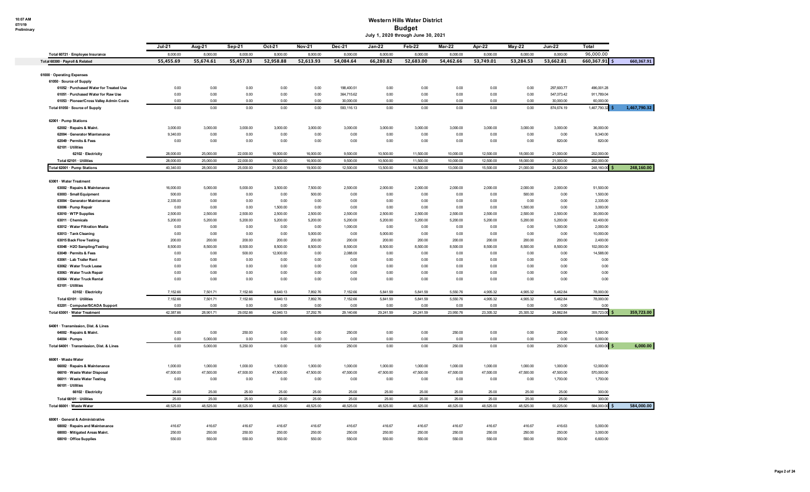#### **Western Hills Water District Budget July 1, 2020 through June 30, 2021**

|                                                                     | Jul-21                | Aug-21                | Sep-21                | Oct 21                | <b>Nov-21</b>         | Dec-21                  | <b>Jan-22</b>         | Feb-22                | Mar 22                | Apr-22                | $May-22$              | <b>Jun-22</b>           | Total                     |              |
|---------------------------------------------------------------------|-----------------------|-----------------------|-----------------------|-----------------------|-----------------------|-------------------------|-----------------------|-----------------------|-----------------------|-----------------------|-----------------------|-------------------------|---------------------------|--------------|
| Total 60721 · Employee Insurance<br>Total 60300 · Payroll & Related | 8,000.00<br>55,455.69 | 8,000.00<br>55,674.61 | 8,000.00<br>55,457.33 | 8,000.00<br>52,958.88 | 8,000.00<br>52,613.93 | 8,000.00<br>54,084.64   | 8,000.00<br>66,280.82 | 8,000.00<br>52,683.00 | 8,000.00<br>54,462.66 | 8,000.00<br>53,749.01 | 8,000.00<br>53,284.53 | 8,000.00<br>53,662.81   | 96,000.00<br>660,367.91   | 660,367.91   |
|                                                                     |                       |                       |                       |                       |                       |                         |                       |                       |                       |                       |                       |                         |                           |              |
| 61000 · Operating Expenses                                          |                       |                       |                       |                       |                       |                         |                       |                       |                       |                       |                       |                         |                           |              |
| 61050 · Source of Supply                                            |                       |                       |                       |                       |                       |                         |                       |                       |                       |                       |                       |                         |                           |              |
| 61052 · Purchased Water for Treated Use                             | 0.00                  | 0.00                  | 0.00                  | 0.00                  | 0.00                  | 198,400.51              | 0.00                  | 0.00                  | 0.00                  | 0.00                  | 0.00                  | 297,600.77              | 496,001.28                |              |
| 61051 · Purchased Water for Raw Use                                 | 0.00                  | 0.00                  | 0.00                  | 0.00                  | 0.00                  | 364,715.62              | 0.00                  | 0.00                  | 0.00                  | 0.00                  | 0.00                  | 547,073.42              | 911,789.04                |              |
| 61053 · Pioneer/Cross Valley Admin Costs                            | 0.00<br>0.00          | 0.00<br>0.00          | 0.00<br>0.00          | 0.00<br>0.00          | 0.00<br>0.00          | 30,000.00<br>593,116.13 | 0.00<br>0.00          | 0.00<br>0.00          | 0.00<br>0.00          | 0.00<br>0.00          | 0.00<br>0.00          | 30,000.00<br>874,674.19 | 60,000.00<br>1,467,790.32 | 1,467,790.32 |
| Total 61050 · Source of Supply                                      |                       |                       |                       |                       |                       |                         |                       |                       |                       |                       |                       |                         |                           |              |
| 62001 · Pump Stations                                               |                       |                       |                       |                       |                       |                         |                       |                       |                       |                       |                       |                         |                           |              |
| 62002 · Repairs & Maint.                                            | 3,000.00              | 3,000.00              | 3,000.00              | 3,000.00              | 3,000.00              | 3,000.00                | 3,000.00              | 3,000.00              | 3,000.00              | 3,000.00              | 3,000.00              | 3,000.00                | 36,000.00                 |              |
| 62004 · Generator Miantenance                                       | 9,340.00              | 0.00                  | 0.00                  | 0.00                  | 0.00                  | 0.00                    | 0.00                  | 0.00                  | 0.00                  | 0.00                  | 0.00                  | 0.00                    | 9,340.00                  |              |
| 62049 · Permits & Fees                                              | 0.00                  | 0.00                  | 0.00                  | 0.00                  | 0.00                  | 0.00                    | 0.00                  | 0.00                  | 0.00                  | 0.00                  | 0.00                  | 820.00                  | 820.00                    |              |
| 62101 · Utilities                                                   |                       |                       |                       |                       |                       |                         |                       |                       |                       |                       |                       |                         |                           |              |
| 62102 · Electricity                                                 | 28,000.00             | 25,000.00             | 22,000.00             | 18,000.00             | 16,000.00             | 9,500.00                | 10,500.00             | 11,500.00             | 10,000.00             | 12,500.00             | 18,000.00             | 21,000.00               | 202,000.00                |              |
| Total 62101 · Utilities                                             | 28,000.00             | 25,000.00             | 22,000.00             | 18,000.00             | 16,000.00             | 9,500.00                | 10,500.00             | 11,500.00             | 10,000.00             | 12,500.00             | 18,000.00             | 21,000.00               | 202,000.00                |              |
| Total 62001 · Pump Stations                                         | 40,340.00             | 28,000.00             | 25,000.00             | 21,000.00             | 19,000.00             | 12,500.00               | 13,500.00             | 14,500.00             | 13,000.00             | 15,500.00             | 21,000.00             | 24,820.00               | 248,160.00                | 248,160.00   |
| 63001 · Water Treatment                                             |                       |                       |                       |                       |                       |                         |                       |                       |                       |                       |                       |                         |                           |              |
| 63002 · Repairs & Maintenance                                       | 16,000.00             | 5,000.00              | 5,000.00              | 3,500.00              | 7,500.00              | 2,500.00                | 2,000.00              | 2,000.00              | 2,000.00              | 2,000.00              | 2,000.00              | 2,000.00                | 51,500.00                 |              |
| 63003 · Small Equipment                                             | 500.00                | 0.00                  | 0.00                  | 0.00                  | 500.00                | 0.00                    | 0.00                  | 0.00                  | 0.00                  | 0.00                  | 500.00                | 0.00                    | 1,500.00                  |              |
| 63004 · Generator Maintenance                                       | 2,335.00              | 0.00                  | 0.00                  | 0.00                  | 0.00                  | 0.00                    | 0.00                  | 0.00                  | 0.00                  | 0.00                  | 0.00                  | 0.00                    | 2,335.00                  |              |
| 63006 · Pump Repair                                                 | 0.00                  | 0.00                  | 0.00                  | 1,500.00              | 0.00                  | 0.00                    | 0.00                  | 0.00                  | 0.00                  | 0.00                  | 1,500.00              | 0.00                    | 3,000.00                  |              |
| 63010 · WTP Supplies                                                | 2,500.00              | 2,500.00              | 2,500.00              | 2,500.00              | 2,500.00              | 2,500.00                | 2,500.00              | 2,500.00              | 2,500.00              | 2,500.00              | 2,500.00              | 2,500.00                | 30,000.00                 |              |
| 63011 · Chemicals                                                   | 5,200.00              | 5,200.00              | 5,200.00              | 5,200.00              | 5,200.00              | 5,200.00                | 5,200.00              | 5,200.00              | 5,200.00              | 5,200.00              | 5,200.00              | 5,200.00                | 62,400.00                 |              |
| 63012 · Water Filtration Media                                      | 0.00                  | 0.00                  | 0.00                  | 0.00                  | 0.00                  | 1,000.00                | 0.00                  | 0.00                  | 0.00                  | 0.00                  | 0.00                  | 1,000.00                | 2,000.00                  |              |
| 63013 · Tank Cleaning                                               | 0.00                  | 0.00                  | 0.00                  | 0.00                  | 5,000.00              | 0.00                    | 5,000.00              | 0.00                  | 0.00                  | 0.00                  | 0.00                  | 0.00                    | 10,000.00                 |              |
| 63015 Back Flow Testing                                             | 200.00                | 200.00                | 200.00                | 200.00                | 200.00                | 200.00                  | 200.00                | 200.00                | 200.00                | 200.00                | 200.00                | 200.00                  | 2,400.00                  |              |
| 63048 · H2O Sampling/Testing                                        | 8,500.00              | 8,500.00              | 8,500.00              | 8,500.00              | 8,500.00              | 8,500.00                | 8,500.00              | 8,500.00              | 8,500.00              | 8,500.00              | 8,500.00              | 8,500.00                | 102,000.00                |              |
| 63049 · Permits & Fees                                              | 0.00                  | 0.00                  | 500.00                | 12,000.00             | 0.00                  | 2,088.00                | 0.00                  | 0.00                  | 0.00                  | 0.00                  | 0.00                  | 0.00                    | 14,588.00                 |              |
| 63061 · Lab Trailer Rent                                            | 0.00                  | 0.00                  | 0.00                  | 0.00                  | 0.00                  | 0.00                    | 0.00                  | 0.00                  | 0.00                  | 0.00                  | 0.00                  | 0.00                    | 0.00                      |              |
| 63062 · Water Truck Lease                                           | 0.00                  | 0.00                  | 0.00                  | 0.00                  | 0.00                  | 0.00                    | 0.00                  | 0.00                  | 0.00                  | 0.00                  | 0.00                  | 0.00                    | 0.00                      |              |
| 63063 · Water Truck Repair                                          | 0.00                  | 0.00                  | 0.00                  | 0.00                  | 0.00                  | 0.00                    | 0.00                  | 0.00                  | 0.00                  | 0.00                  | 0.00                  | 0.00                    | 0.00                      |              |
| 63064 · Water Truck Rental                                          | 0.00                  | 0.00                  | 0.00                  | 0.00                  | 0.00                  | 0.00                    | 0.00                  | 0.00                  | 0.00                  | 0.00                  | 0.00                  | 0.00                    | 0.00                      |              |
| 63101 · Utilities                                                   |                       |                       |                       |                       |                       |                         |                       |                       |                       |                       |                       |                         |                           |              |
| 63102 · Electricity                                                 | 7,152.66              | 7,501.71              | 7,152.66              | 8.640.13              | 7,892.76              | 7,152.66                | 5,841.59              | 5.841.59              | 5,550.76              | 4.905.32              | 4.905.32              | 5.462.84                | 78,000.00                 |              |
| Total 63101 · Utilities                                             | 7,152.66              | 7,501.71              | 7,152.66              | 8,640.13              | 7,892.76              | 7,152.66                | 5,841.59              | 5,841.59              | 5,550.76              | 4,905.32              | 4,905.32              | 5,462.84                | 78,000.00                 |              |
| 63201 · Computer/SCADA Support                                      | 0.00                  | 0.00                  | 0.00                  | 0.00                  | 0.00                  | 0.00                    | 0.00                  | 0.00                  | 0.00                  | 0.00                  | 0.00                  | 0.00                    | 0.00                      |              |
| Total 63001 · Water Treatment                                       | 42,387.66             | 28,901.71             | 29,052.66             | 42,040.13             | 37,292.76             | 29,140.66               | 29,241.59             | 24,241.59             | 23,950.76             | 23,305.32             | 25,305.32             | 24,862.84               | 359,723.00                | 359,723.00   |
|                                                                     |                       |                       |                       |                       |                       |                         |                       |                       |                       |                       |                       |                         |                           |              |
| 64001 · Transmission, Dist. & Lines                                 |                       |                       |                       |                       |                       |                         |                       |                       |                       |                       |                       |                         |                           |              |
| 64002 · Repairs & Maint.                                            | 0.00                  | 0.00                  | 250.00                | 0.00                  | 0.00                  | 250.00                  | 0.00                  | 0.00                  | 250.00                | 0.00                  | 0.00                  | 250.00                  | 1,000.00                  |              |
| 64004 · Pumps<br>Total 64001 · Transmission, Dist. & Lines          | 0.00<br>0.00          | 5,000,00<br>5,000.00  | 0.00<br>5,250.00      | 0.00<br>0.00          | 0.00<br>0.00          | 0.00<br>250.00          | 0.00<br>0.00          | 0.00<br>0.00          | 0.00<br>250.00        | 0.00<br>0.00          | 0.00<br>0.00          | 0.00<br>250.00          | 5.000.00<br>6,000.00 \$   | 6,000.00     |
|                                                                     |                       |                       |                       |                       |                       |                         |                       |                       |                       |                       |                       |                         |                           |              |
| 66001 · Waste Water                                                 |                       |                       |                       |                       |                       |                         |                       |                       |                       |                       |                       |                         |                           |              |
| 66002 · Repairs & Maintenance                                       | 1,000.00              | 1,000.00              | 1,000.00              | 1,000.00              | 1,000.00              | 1,000.00                | 1,000.00              | 1,000.00              | 1,000.00              | 1,000.00              | 1,000.00              | 1,000.00                | 12,000.00                 |              |
| 66010 · Waste Water Disposal                                        | 47,500.00             | 47,500.00             | 47,500.00             | 47,500.00             | 47,500.00             | 47,500.00               | 47,500.00             | 47,500.00             | 47,500.00             | 47,500.00             | 47,500.00             | 47,500.00               | 570,000.00                |              |
| 66011 · Waste Water Testing                                         | 0.00                  | 0.00                  | 0.00                  | 0.00                  | 0.00                  | 0.00                    | 0.00                  | 0.00                  | 0.00                  | 0.00                  | 0.00                  | 1,700.00                | 1,700.00                  |              |
| 66101 · Utilities                                                   |                       |                       |                       |                       |                       |                         |                       |                       |                       |                       |                       |                         |                           |              |
| 66102 · Electricity                                                 | 25.00                 | 25.00                 | 25.00                 | 25.00                 | 25.00                 | 25.00                   | 25.00                 | 25.00                 | 25.00                 | 25.00                 | 25.00                 | 25.00                   | 300.00                    |              |
| Total 66101 · Utilities                                             | 25.00                 | 25.00                 | 25.00                 | 25.00                 | 25.00                 | 25.00                   | 25.00                 | 25.00                 | 25.00                 | 25.00                 | 25.00                 | 25.00                   | 300.00                    |              |
| Total 66001 · Waste Water                                           | 48.525.00             | 48,525.00             | 48,525,00             | 48,525.00             | 48.525.00             | 48.525.00               | 48,525.00             | 48,525.00             | 48,525.00             | 48,525.00             | 48,525.00             | 50,225.00               | 584.000.00                | 584,000.00   |
| 68001 · General & Administrative                                    |                       |                       |                       |                       |                       |                         |                       |                       |                       |                       |                       |                         |                           |              |
| 68002 · Repairs and Maintenance                                     | 416.67                | 416.67                | 416.67                | 416.67                | 416.67                | 416.67                  | 416.67                | 416.67                | 416.67                | 416.67                | 416.67                | 416.63                  | 5,000.00                  |              |
|                                                                     |                       |                       |                       |                       |                       |                         |                       |                       |                       |                       |                       |                         |                           |              |
| 68003 · Mitigated Areas Maint.                                      | 250.00                | 250.00                | 250.00                | 250.00                | 250.00                | 250.00                  | 250.00                | 250.00                | 250.00                | 250.00                | 250.00                | 250.00                  | 3,000.00                  |              |
| 68010 · Office Supplies                                             | 550.00                | 550.00                | 550.00                | 550.00                | 550.00                | 550.00                  | 550.00                | 550.00                | 550.00                | 550.00                | 550.00                | 550.00                  | 6,600.00                  |              |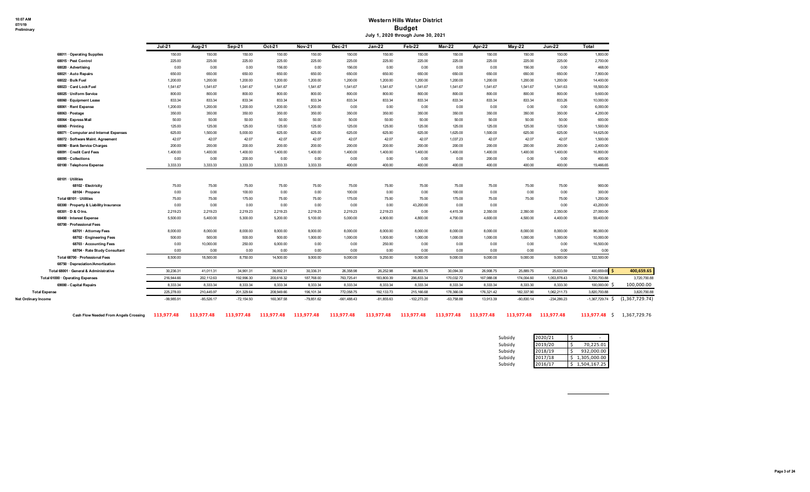#### **Western Hills Water District Budget July 1, 2020 through June 30, 2021**

|                                        | Jul.21       | Aug-21       | Sep-21       | Oct-21     | <b>Nov-21</b> | Dec-21        | $Jan-22$     | $Feb-22$      | Mar-22       | Apr-22     | $May-22$     | $Jun-22$      | Total              |                  |
|----------------------------------------|--------------|--------------|--------------|------------|---------------|---------------|--------------|---------------|--------------|------------|--------------|---------------|--------------------|------------------|
| 68011 Operating Supplies               | 150.00       | 150.00       | 150.00       | 150.00     | 150.00        | 150.00        | 150.00       | 150.00        | 150.00       | 150.00     | 150.00       | 150.00        | 1,800.00           |                  |
| 68015 · Pest Control                   | 225.00       | 225.00       | 225.00       | 225.00     | 225.00        | 225.00        | 225.00       | 225.00        | 225.00       | 225.00     | 225.00       | 225.00        | 2,700.00           |                  |
| 68020 · Advertising                    | 0.00         | 0.00         | 0.00         | 156.00     | 0.00          | 156.00        | 0.00         | 0.00          | 0.00         | 0.00       | 156.00       | 0.00          | 468.00             |                  |
| 68021 · Auto Repairs                   | 650.00       | 650.00       | 650.00       | 650.00     | 650.00        | 650.00        | 650.00       | 650.00        | 650.00       | 650.00     | 650.00       | 650.00        | 7,800.00           |                  |
| 68022 · Bulk Fuel                      | 1,200.00     | 1,200.00     | 1,200.00     | 1,200.00   | 1,200.00      | 1,200.00      | 1,200.00     | 1,200.00      | 1,200.00     | 1,200.00   | 1,200.00     | 1,200.00      | 14,400.00          |                  |
| 68023 · Card Lock Fuel                 | 1,541.67     | 1,541.67     | 1,541.67     | 1,541.67   | 1.541.67      | 1.541.67      | 1,541.67     | 1,541.67      | 1,541.67     | 1,541.67   | 1,541.67     | 1,541.63      | 18,500.00          |                  |
| 68025 · Uniform Service                | 800.00       | 800.00       | 800.00       | 800.00     | 800.00        | 800.00        | 800.00       | 800.00        | 800.00       | 800.00     | 800.00       | 800.00        | 9,600.00           |                  |
| 68060 · Equipment Lease                | 833.34       | 833.34       | 833.34       | 833.34     | 833.34        | 833.34        | 833.34       | 833.34        | 833.34       | 833.34     | 833.34       | 833.26        | 10,000.00          |                  |
| 68061 · Rent Expense                   | 1,200.00     | 1.200.00     | 1,200.00     | 1,200.00   | 1,200.00      | 0.00          | 0.00         | 0.00          | 0.00         | 0.00       | 0.00         | 0.00          | 6,000.00           |                  |
| 68063 · Postage                        | 350.00       | 350.00       | 350.00       | 350.00     | 350.00        | 350.00        | 350.00       | 350.00        | 350.00       | 350.00     | 350.00       | 350.00        | 4,200.00           |                  |
| 68064 · Express Mail                   | 50.00        | 50.00        | 50.00        | 50.00      | 50.00         | 50.00         | 50.00        | 50.00         | 50.00        | 50.00      | 50.00        | 50.00         | 600.00             |                  |
| 68065 · Printing                       | 125.00       | 125.00       | 125.00       | 125.00     | 125.00        | 125.00        | 125.00       | 125.00        | 125.00       | 125.00     | 125.00       | 125.00        | 1,500.00           |                  |
| 68071 · Computer and Internet Expenses | 625.00       | 1,500.00     | 5,000.00     | 625.00     | 625.00        | 625.00        | 625.00       | 625.00        | 1,625.00     | 1,500.00   | 625.00       | 625.00        | 14,625.00          |                  |
| 68072 · Software Maint. Agreement      | 42.07        | 42.07        | 42.07        | 42.07      | 42.07         | 42.07         | 42.07        | 42.07         | 1,037.23     | 42.07      | 42.07        | 42.07         | 1,500.00           |                  |
| 68090 · Bank Service Charges           | 200.00       | 200.00       | 200.00       | 200.00     | 200.00        | 200.00        | 200.00       | 200.00        | 200.00       | 200.00     | 200.00       | 200.00        | 2,400.00           |                  |
| 68091 · Credit Card Fees               | 1.400.00     | 1,400.00     | 1.400.00     | 1.400.00   | 1.400.00      | 1.400.00      | 1,400.00     | 1,400.00      | 1,400.00     | 1,400.00   | 1,400.00     | 1,400.00      | 16,800.00          |                  |
| 68095 · Collections                    | 0.00         | 0.00         | 200.00       | 0.00       | 0.00          | 0.00          | 0.00         | 0.00          | 0.00         | 200.00     | 0.00         | 0.00          | 400.00             |                  |
| 68100 · Telephone Expense              | 3.333.33     | 3.333.33     | 3.333.33     | 3.333.33   | 3.333.33      | 400.00        | 400.00       | 400.00        | 400.00       | 400.00     | 400.00       | 400.00        | 19,466.65          |                  |
| 68101 · Utilities                      |              |              |              |            |               |               |              |               |              |            |              |               |                    |                  |
| 68102 · Electricity                    | 75.00        | 75.00        | 75.00        | 75.00      | 75.00         | 75.00         | 75.00        | 75.00         | 75.00        | 75.00      | 75.00        | 75.00         | 900.00             |                  |
| 68104 · Propane                        | 0.00         | 0.00         | 100.00       | 0.00       | 0.00          | 100.00        | 0.00         | 0.00          | 100.00       | 0.00       | 0.00         | 0.00          | 300.00             |                  |
| Total 68101 · Utilities                | 75.00        | 75.00        | 175.00       | 75.00      | 75.00         | 175.00        | 75.00        | 75.00         | 175.00       | 75.00      | 75.00        | 75.00         | 1.200.00           |                  |
| 68300 · Property & Liability Insurance | 0.00         | 0.00         | 0.00         | 0.00       | 0.00          | 0.00          | 0.00         | 43,200.00     | 0.00         | 0.00       |              | 0.00          | 43,200.00          |                  |
| 68301 · D & O Ins.                     | 2,219.23     | 2,219.23     | 2,219.23     | 2,219.23   | 2,219.23      | 2,219.23      | 2,219.23     | 0.00          | 4,415.39     | 2,350.00   | 2,350.00     | 2,350.00      | 27,000.00          |                  |
| 68400 · Interest Expense               | 5,500.00     | 5,400.00     | 5,300.00     | 5,200.00   | 5.100.00      | 5.000.00      | 4,900.00     | 4,800.00      | 4,700.00     | 4,600.00   | 4,500.00     | 4,400.00      | 59,400.00          |                  |
| 68700 · Professional Fees              |              |              |              |            |               |               |              |               |              |            |              |               |                    |                  |
| 68701 · Attorney Fees                  | 8,000.00     | 8,000.00     | 8,000.00     | 8,000.00   | 8,000.00      | 8.000.00      | 8,000.00     | 8,000.00      | 8,000.00     | 8,000.00   | 8,000.00     | 8,000.00      | 96,000.00          |                  |
| 68702 · Engineering Fees               | 500.00       | 500.00       | 500.00       | 500.00     | 1,000.00      | 1,000.00      | 1,000.00     | 1,000.00      | 1,000.00     | 1,000.00   | 1,000.00     | 1,000.00      | 10,000.00          |                  |
| 68703 · Accounting Fees                | 0.00         | 10,000.00    | 250.00       | 6,000.00   | 0.00          | 0.00          | 250.00       | 0.00          | 0.00         | 0.00       | 0.00         | 0.00          | 16,500.00          |                  |
| 68704 · Rate Study Consultant          | 0.00         | 0.00         | 0.00         | 0.00       | 0.00          | 0.00          | 0.00         | 0.00          | 0.00         | 0.00       | 0.00         | 0.00          | 0.00               |                  |
| Total 68700 · Professional Fees        | 8,500.00     | 18,500.00    | 8,750.00     | 14,500.00  | 9.000.00      | 9.000.00      | 9,250.00     | 9,000.00      | 9,000.00     | 9,000.00   | 9,000.00     | 9,000.00      | 122,500.00         |                  |
| 68750 · Depreciation/Amortization      |              |              |              |            |               |               |              |               |              |            |              |               |                    |                  |
| Total 68001 · General & Administrative | 30,236.31    | 41,011.31    | 34,961.31    | 36,092.31  | 30,336.31     | 26,358.98     | 26,252.98    | 66,883.75     | 30,094.30    | 26,908.75  | 25,889.75    | 25,633.59     | 400,659.65 \$      |                  |
| Total 61000 · Operating Expenses       | 216,944.66   | 202,112.63   | 192.996.30   | 200.616.32 | 187,768.00    | 763,725.41    | 183,800.39   | 206.833.34    | 170,032.72   | 167,988.08 | 174.004.60   | 1,053,878.43  | 3,720,700.88       |                  |
| 69000 - Capital Repairs                | 8.333.34     | 8,333.34     | 8,333.34     | 8,333.34   | 8.333.34      | 8.333.34      | 8,333.34     | 8.333.34      | 8,333.34     | 8,333.34   | 8.333.30     | 8,333.30      | 100,000,00 \$      |                  |
| <b>Total Expense</b>                   | 225,278.00   | 210,445.97   | 201,329.64   | 208,949.66 | 196, 101.34   | 772,058.75    | 192, 133.73  | 215,166.68    | 178,366.06   | 176,321.42 | 182,337.90   | 1,062,211.73  | 3,820,700.88       |                  |
| Net Ordinary Income                    | $-99.985.91$ | $-85.526.17$ | $-72.154.50$ | 160.367.58 | $-79.851.62$  | $-661.488.43$ | $-81.855.63$ | $-102.273.20$ | $-63.758.88$ | 13.913.39  | $-60.830.14$ | $-234,286.23$ | $-1.367.729.74$ \$ | (1, 367, 729.74) |

**Cash Flow Needed From Angels Crossing 113,977.48 113,977.48 113,977.48 113,977.48 113,977.48 113,977.48 113,977.48 113,977.48 113,977.48 113,977.48 113,977.48 113,977.48 113,977.48** \$ 1,367,729.76

| Subsidy | 2020/21 |              |
|---------|---------|--------------|
| Subsidy | 2019/20 | 70,225.01    |
| Subsidy | 2018/19 | 932,000.00   |
| Subsidy | 2017/18 | 1,305,000.00 |
| Subsidy | 2016/17 | 1,504,167.25 |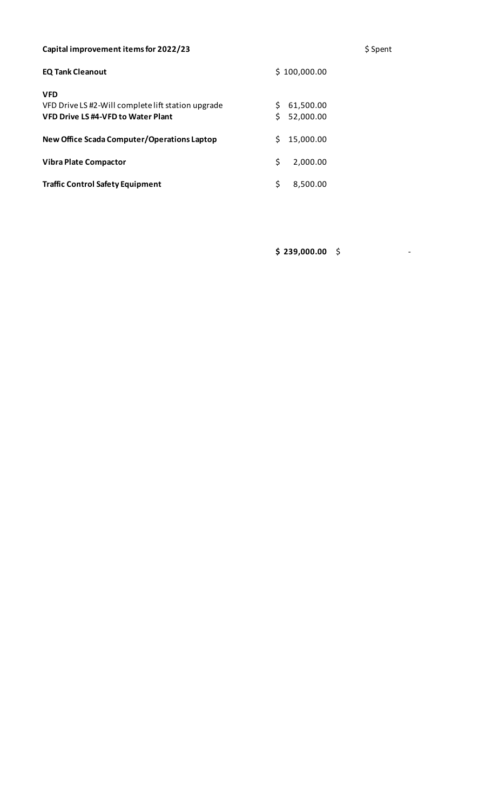# Capital improvement items for 2022/23 **\$** Spent

| <b>EQ Tank Cleanout</b>                                                                                       | \$100,000.00 |                        |  |  |  |  |
|---------------------------------------------------------------------------------------------------------------|--------------|------------------------|--|--|--|--|
| <b>VFD</b><br>VFD Drive LS #2-Will complete lift station upgrade<br><b>VFD Drive LS #4-VFD to Water Plant</b> | Ś.           | 61,500.00<br>52,000.00 |  |  |  |  |
| New Office Scada Computer/Operations Laptop                                                                   | Š.           | 15,000.00              |  |  |  |  |
| <b>Vibra Plate Compactor</b>                                                                                  | Ś            | 2,000.00               |  |  |  |  |
| <b>Traffic Control Safety Equipment</b>                                                                       | Ś            | 8,500.00               |  |  |  |  |

**\$ 239,000.00** \$ -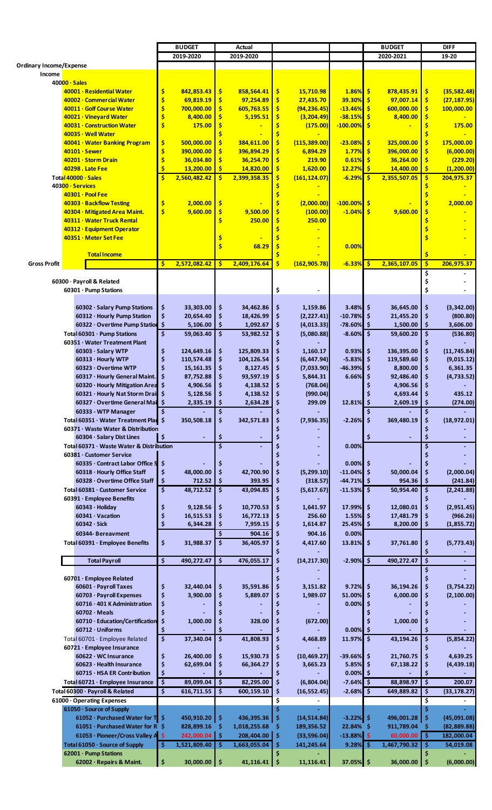|                                |                           |                                          |                                     | <b>BUDGET</b> |                    | Actual        |     |               |               |     | <b>BUDGET</b>   |              | <b>DIFF</b>  |
|--------------------------------|---------------------------|------------------------------------------|-------------------------------------|---------------|--------------------|---------------|-----|---------------|---------------|-----|-----------------|--------------|--------------|
|                                |                           |                                          |                                     | 2019-2020     |                    | 2019-2020     |     |               |               |     | 2020-2021       |              | 19-20        |
| <b>Ordinary Income/Expense</b> |                           |                                          |                                     |               |                    |               |     |               |               |     |                 |              |              |
| Income                         |                           |                                          |                                     |               |                    |               |     |               |               |     |                 |              |              |
|                                | $40000 \cdot Sales$       |                                          |                                     |               |                    |               |     |               |               |     |                 |              |              |
|                                |                           | 40001 · Residential Water                | \$                                  | 842,853.43    | \$                 | 858,564.41    | s   | 15,710.98     | $1.86\%$ \$   |     | 878,435.91      | -\$          | (35, 582.48) |
|                                |                           | 40002 · Commercial Water                 | \$                                  | 69,819.19     | \$                 | 97,254.89     | -\$ | 27,435.70     | 39.30%        | -\$ | 97,007.14       | \$           | (27, 187.95) |
|                                |                           | 40011 · Golf Course Water                | \$                                  | 700,000.00    | \$                 | 605,763.55    |     | (94, 236.45)  | $-13.46%$     | -\$ | 600,000.00      | \$           | 100,000.00   |
|                                |                           |                                          | Ś                                   |               |                    |               | \$  |               |               |     | 8,400.00        |              |              |
|                                |                           | 40021 · Vineyard Water                   | Ś                                   | 8,400.00      | \$                 | 5,195.51      |     | (3, 204.49)   | $-38.15%$     | -\$ |                 | \$           |              |
|                                |                           | 40031 · Construction Water               |                                     | 175.00        | \$                 |               | s   | (175.00)      | $-100.00\%$   | -\$ |                 | \$           | 175.00       |
|                                | 40035 · Well Water        |                                          |                                     |               |                    |               |     |               |               |     |                 |              |              |
|                                |                           | 40041 · Water Banking Program            | \$                                  | 500,000.00    | \$                 | 384,611.00    | s   | (115, 389.00) | $-23.08%$     | -\$ | 325,000.00      | s            | 175,000.00   |
|                                | 40101 · Sewer             |                                          | \$                                  | 390,000.00    | \$                 | 396,894.29    |     | 6,894.29      | 1.77%         | -\$ | 396,000.00      | Ś            | (6,000.00)   |
|                                | 40201 · Storm Drain       |                                          | \$                                  | 36,034.80     | \$                 | 36,254.70     |     | 219.90        | 0.61%         | -S  | 36,264.00       | \$           | (229.20)     |
|                                | 40298. Late Fee           |                                          | \$                                  | 13,200.00     | \$                 | 14,820.00     |     | 1,620.00      | <b>12.27%</b> | -\$ | 14,400.00       | \$           | (1, 200.00)  |
|                                | Total 40000 · Sales       |                                          | Ś.                                  | 2,560,482.42  | Ŝ.                 | 2,399,358.35  |     | (161, 124.07) | $-6.29%$      | -S  | 2,355,507.05    |              | 204,975.37   |
|                                |                           |                                          |                                     |               |                    |               |     |               |               |     |                 |              |              |
|                                | 40300 · Services          |                                          |                                     |               |                    |               |     |               |               |     |                 |              |              |
|                                | 40301 · Pool Fee          |                                          |                                     |               |                    |               |     |               |               |     |                 |              |              |
|                                |                           | 40303 · Backflow Testing                 | \$                                  | 2,000.00      | \$                 |               |     | (2,000.00)    | $-100.00\%$   | -\$ |                 |              | 2,000.00     |
|                                |                           | 40304 · Mitigated Area Maint.            | \$                                  | 9,600.00      | \$                 | 9,500.00      | \$  | (100.00)      | $-1.04%$      | -\$ | 9,600.00        | S            |              |
|                                |                           | 40311 · Water Truck Rental               |                                     |               | \$                 | 250.00        | \$  | 250.00        |               |     |                 |              |              |
|                                |                           | 40312 · Equipment Operator               |                                     |               |                    |               |     |               |               |     |                 |              |              |
|                                | 40351 · Meter Set Fee     |                                          |                                     |               | Ş                  |               |     |               |               |     |                 |              |              |
|                                |                           |                                          |                                     |               | \$                 | 68.29         | \$  |               | 0.00%         |     |                 |              |              |
|                                |                           |                                          |                                     |               |                    |               |     |               |               |     |                 |              |              |
|                                |                           | <b>Total Income</b>                      |                                     |               |                    |               |     |               |               |     |                 | \$           |              |
| <b>Gross Profit</b>            |                           |                                          | \$                                  | 2,572,082.42  | <b>S</b>           | 2,409,176.64  | \$  | (162, 905.78) | $-6.33%$      | -\$ | 2,365,107.05    | $\mathsf{S}$ | 206,975.37   |
|                                |                           |                                          |                                     |               |                    |               |     |               |               |     |                 | \$           |              |
|                                | 60300 · Payroll & Related |                                          |                                     |               |                    |               |     |               |               |     |                 | \$           |              |
|                                | 60301 · Pump Stations     |                                          |                                     |               |                    |               | \$  |               |               |     |                 | \$           |              |
|                                |                           |                                          |                                     |               |                    |               |     |               |               |     |                 |              |              |
|                                |                           | 60302 · Salary Pump Stations             | \$                                  | 33,303.00     | \$                 | 34,462.86     | \$  | 1,159.86      | $3.48\%$ \$   |     | 36,645.00       | \$           | (3,342.00)   |
|                                |                           | 60312 · Hourly Pump Station              | \$                                  | 20,654.40     | \$                 | 18,426.99     | \$  | (2, 227.41)   | $-10.78\%$ \$ |     | 21,455.20       | \$           | (800.80)     |
|                                |                           |                                          | \$                                  |               | \$                 |               |     |               |               |     |                 | \$           |              |
|                                |                           | 60322 · Overtime Pump Station            |                                     | 5,106.00      |                    | 1,092.67      | \$  | (4,013.33)    | $-78.60\%$ \$ |     | 1,500.00        |              | 3,606.00     |
|                                |                           | Total 60301 · Pump Stations              | \$                                  | 59,063.40     | \$                 | 53,982.52     | \$  | (5,080.88)    | $-8.60%$      | -\$ | 59,600.20       | \$           | (536.80)     |
|                                |                           | 60351 · Water Treatment Plant            |                                     |               |                    |               |     |               |               |     |                 | \$           |              |
|                                |                           | 60303 · Salary WTP                       | \$                                  | 124,649.16    | \$                 | 125,809.33    | \$  | 1,160.17      | $0.93%$ \$    |     | 136,395.00      | \$           | (11, 745.84) |
|                                |                           | 60313 · Hourly WTP                       | \$                                  | 110,574.48    | \$                 | 104,126.54    | \$  | (6, 447.94)   | $-5.83\%$ \$  |     | 119,589.60      | \$           | (9,015.12)   |
|                                |                           | 60323 · Overtime WTP                     | \$                                  | 15, 161.35    | \$                 | 8,127.45      | \$  | (7,033.90)    | $-46.39%$     | -\$ | 8,800.00        | \$           | 6,361.35     |
|                                |                           | 60317 · Hourly General Maint.            | \$                                  | 87,752.88     | \$                 | 93,597.19     | \$  | 5,844.31      | 6.66%         | \$  | 92,486.40       | \$           | (4, 733.52)  |
|                                |                           |                                          |                                     |               |                    |               | Ś   |               |               | Ś   |                 |              |              |
|                                |                           | 60320 · Hourly Mitigation Area           | \$                                  | 4,906.56      | \$                 | 4,138.52      |     | (768.04)      |               |     | 4,906.56        |              |              |
|                                |                           | 60321 · Hourly Nat Storm Drai            | \$.                                 | 5,128.56      | \$                 | 4,138.52      | \$  | (990.04)      |               | \$  | 4,693.44        | \$           | 435.12       |
|                                |                           | 60327 · Overtime General Mai             |                                     | 2,335.19      |                    | 2,634.28      |     | 299.09        | 12.81%        |     | 2,609.19        |              | (274.00)     |
|                                |                           | 60333 - WTP Manager                      |                                     |               | \$                 |               |     |               |               |     |                 |              |              |
|                                |                           | Total 60351 · Water Treatment Plan \$    |                                     | 350,508.18    | \$                 | 342,571.83    | \$  | (7,936.35)    | $-2.26\%$ \$  |     | 369,480.19      | \$           | (18,972.01)  |
|                                |                           | 60371 · Waste Water & Distribution       |                                     |               |                    |               |     |               |               |     |                 |              |              |
|                                |                           | $60304 \cdot$ Salary Dist Lines          | $\mathsf{S}$                        |               | \$                 |               | S   |               |               | \$  |                 | Ś            |              |
|                                |                           | Total 60371 · Waste Water & Distribution |                                     |               | \$                 |               |     |               | 0.00%         |     |                 |              |              |
|                                |                           |                                          |                                     |               |                    |               |     |               |               |     |                 |              |              |
|                                |                           | 60381 · Customer Service                 |                                     |               |                    |               |     |               |               |     |                 |              |              |
|                                |                           | $60335 \cdot$ Contract Labor Office S    | -\$                                 |               | \$                 |               |     |               | $0.00\%$ \$   |     |                 |              |              |
|                                |                           | 60318 · Hourly Office Staff              | \$                                  | 48,000.00     | \$                 | 42,700.90     | \$  | (5, 299.10)   | $-11.04\%$    | -\$ | 50,000.04       | \$           | (2,000.04)   |
|                                |                           | 60328 · Overtime Office Staff            | \$                                  | 712.52        | \$                 | 393.95        | .s  | (318.57)      | $-44.71\%$ \$ |     | 954.36          | \$           | (241.84)     |
|                                |                           | Total 60381 · Customer Service           | $\overline{\boldsymbol{\varsigma}}$ | 48,712.52     | \$                 | 43,094.85     | \$  | (5,617.67)    | $-11.53\%$ \$ |     | 50,954.40       | \$           | (2, 241.88)  |
|                                |                           | 60391 · Employee Benefits                |                                     |               |                    |               |     |               |               |     |                 |              |              |
|                                |                           | $60343 \cdot$ Holiday                    | \$                                  | 9,128.56      | \$                 | 10,770.53     | \$  | 1,641.97      | 17.99% \$     |     | 12,080.01       | \$           | (2,951.45)   |
|                                |                           | 60341 · Vacation                         | \$                                  | 16,515.53     | \$                 | 16,772.13     | -\$ | 256.60        | 1.55%         | -\$ | 17,481.79       | \$           | (966.26)     |
|                                | $60342 \cdot Sick$        |                                          | \$                                  | 6,344.28      | \$                 | 7,959.15      | -S  | 1,614.87      | 25.45% \$     |     | 8,200.00        | \$           | (1,855.72)   |
|                                |                           |                                          |                                     |               |                    |               |     |               |               |     |                 |              |              |
|                                |                           | 60344- Bereavment                        |                                     |               | Ś                  | 904.16        | \$  | 904.16        | 0.00%         |     |                 |              |              |
|                                |                           | Total 60391 · Employee Benefits          | \$                                  | 31,988.37     | \$                 | 36,405.97     | \$  | 4,417.60      | $13.81\%$ \$  |     | 37,761.80       | \$           | (5, 773.43)  |
|                                |                           |                                          |                                     |               |                    |               |     |               |               |     |                 |              |              |
|                                |                           | <b>Total Payroll</b>                     | \$                                  | 490,272.47    | \$.                | 476,055.17    | \$  | (14, 217.30)  | $-2.90%$ \$   |     | 490,272.47      | \$           |              |
|                                |                           |                                          |                                     |               |                    |               |     |               |               |     |                 |              |              |
|                                |                           | 60701 · Employee Related                 |                                     |               |                    |               |     |               |               |     |                 |              |              |
|                                |                           | 60601 · Payroll Taxes                    | \$                                  | 32,440.04     | \$                 | 35,591.86     | \$  | 3,151.82      | $9.72\%$ \$   |     | 36,194.26       |              | (3,754.22)   |
|                                |                           | 60703 · Payroll Expenses                 | \$                                  | 3,900.00      | \$                 | 5,889.07      | \$  | 1,989.07      | 51.00%        | -\$ | 6,000.00        | \$           | (2, 100.00)  |
|                                |                           |                                          |                                     |               |                    |               |     |               |               |     |                 |              |              |
|                                |                           | $60716 \cdot 401$ K Administration       | \$                                  |               | \$                 |               |     |               | 0.00%         | \$, |                 |              |              |
|                                | $60702 \cdot Meals$       |                                          | \$                                  |               |                    |               |     |               |               | S   |                 |              |              |
|                                |                           | 60710 · Education/Certification          | \$                                  | 1,000.00      | \$                 | 328.00        | \$  | (672.00)      |               |     | 1,000.00        |              |              |
|                                |                           | 60712 · Uniforms                         | \$                                  |               |                    |               |     |               | $0.00\%$ \$   |     |                 |              |              |
|                                |                           | Total 60701 · Employee Related           | \$                                  | 37,340.04     | $\dot{\mathsf{s}}$ | 41,808.93     | \$  | 4,468.89      | 11.97% \$     |     | 43,194.26       | \$           | (5,854.22)   |
|                                |                           | 60721 · Employee Insurance               |                                     |               |                    |               |     |               |               |     |                 |              |              |
|                                |                           | $60622 \cdot WC$ Insurance               | \$                                  | 26,400.00     | \$                 | 15,930.73     | \$  | (10, 469.27)  | $-39.66\%$ \$ |     | 21,760.75       | \$           | 4,639.25     |
|                                |                           | 60623 · Health Insurance                 | \$                                  | 62,699.04     | \$                 | 66,364.27     | \$  | 3,665.23      | 5.85%         | -\$ | 67,138.22       |              | (4,439.18)   |
|                                |                           | 60715 · HSA ER Contribution              | \$                                  |               | S                  |               | \$  |               | $0.00\%$ \$   |     |                 |              |              |
|                                |                           |                                          |                                     |               |                    |               |     |               |               |     |                 |              |              |
|                                |                           | Total 60721 · Employee Insurance         | \$                                  | 89,099.04     | $\mathsf{s}$       | 82,295.00     | \$  | (6,804.04)    | $-7.64\%$ \$  |     | 88,898.97       | \$           | 200.07       |
|                                |                           | Total 60300 · Payroll & Related          | \$                                  | 616,711.55    | \$                 | 600,159.10    | \$  | (16, 552.45)  | $-2.68\%$ \$  |     | 649,889.82      | \$           | (33, 178.27) |
|                                |                           | 61000 · Operating Expenses               |                                     |               |                    |               |     |               |               |     |                 | \$           |              |
|                                |                           | 61050 · Source of Supply                 |                                     |               |                    |               |     |               |               |     |                 |              |              |
|                                |                           | 61052 · Purchased Water for T \$         |                                     | 450,910.20 \$ |                    | 436,395.36    | \$  | (14, 514.84)  | $-3.22\%$ \$  |     | 496,001.28 \$   |              | (45,091.08)  |
|                                |                           | 61051 · Purchased Water for R \$         |                                     | 828,899.16    | \$                 | 1,018,255.68  | \$  |               | 22.84% \$     |     | 911,789.04      | -\$          |              |
|                                |                           |                                          |                                     |               |                    |               |     | 189,356.52    |               |     |                 |              | (82, 889.88) |
|                                |                           | 61053 · Pioneer/Cross Valley A \$        |                                     | 242,000.04    | <b>S</b>           | 208,404.00 \$ |     | (33, 596.04)  | $-13.88\%$ \$ |     | 60,000.00 \$    |              | 182,000.04   |
|                                |                           | Total $61050 \cdot$ Source of Supply     | \$.                                 | 1,521,809.40  | -\$                | 1,663,055.04  | -Ś  | 141,245.64    | $9.28\%$ \$   |     | 1,467,790.32 \$ |              | 54,019.08    |
|                                | 62001 · Pump Stations     |                                          |                                     |               |                    |               |     |               |               |     |                 |              |              |
|                                |                           | 62002 · Repairs & Maint.                 | ς                                   | 30,000.00     | \$                 | 41,116.41     | ¢   | 11,116.41     | 37.05% \$     |     | 36,000.00       | Ś            | (6,000.00)   |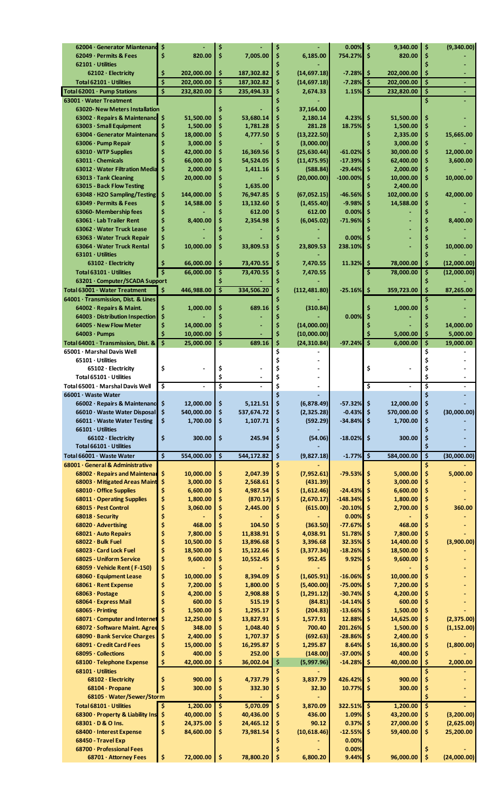|                                       | 62004 · Generator Miantenand<br>-\$ |              |    |            |    |               | 0.00%         | \$  | 9,340.00     | \$ | (9,340.00)  |
|---------------------------------------|-------------------------------------|--------------|----|------------|----|---------------|---------------|-----|--------------|----|-------------|
| 62049 · Permits & Fees                | \$                                  | 820.00       | Ś  | 7,005.00   | \$ | 6,185.00      | 754.27%       | \$  | 820.00       | \$ |             |
| $62101 \cdot$ Utilities               |                                     |              |    |            |    |               |               |     |              | \$ |             |
| 62102 · Electricity                   | \$                                  | 202,000.00   | \$ | 187,302.82 | \$ | (14, 697.18)  | $-7.28%$      | \$  | 202,000.00   | \$ |             |
|                                       |                                     |              |    |            |    |               |               |     |              |    |             |
| Total $62101 \cdot$ Utilities         | \$                                  | 202,000.00   | \$ | 187,302.82 | \$ | (14, 697.18)  | $-7.28%$      | \$, | 202,000.00   | \$ |             |
| Total 62001 · Pump Stations           | \$                                  | 232,820.00   | Ś  | 235,494.33 | \$ | 2,674.33      | $1.15\%$ \$   |     | 232,820.00   | \$ |             |
| 63001 · Water Treatment               |                                     |              |    |            |    |               |               |     |              | \$ |             |
| <b>63020- New Meters Installation</b> |                                     |              |    |            |    | 37,164.00     |               |     |              |    |             |
| 63002 · Repairs & Maintenance         | \$                                  | 51,500.00    | Ś  | 53,680.14  | Ś  | 2,180.14      | 4.23%         | \$  | 51,500.00    | \$ |             |
| 63003 · Small Equipment               | \$                                  | 1,500.00     | \$ | 1,781.28   | \$ | 281.28        | 18.75%        | \$  | 1,500.00     | \$ |             |
| 63004 · Generator Maintenand          | \$                                  | 18,000.00    | \$ | 4,777.50   | \$ | (13, 222.50)  |               | Ś   | 2,335.00     | \$ | 15,665.00   |
| 63006 · Pump Repair                   | Ş                                   | 3,000.00     | \$ |            | \$ | (3,000.00)    |               |     | 3,000.00     | \$ |             |
|                                       |                                     |              |    |            |    |               |               |     |              |    |             |
| $63010 \cdot WTP$ Supplies            |                                     | 42,000.00    | \$ | 16,369.56  | \$ | (25, 630.44)  | $-61.02%$     | \$  | 30,000.00    | \$ | 12.000.00   |
| $63011 \cdot$ Chemicals               |                                     | 66,000.00    | \$ | 54,524.05  | Ś  | (11, 475.95)  | $-17.39%$     | \$  | 62,400.00    | \$ | 3,600.00    |
| 63012 · Water Filtration Media        | \$                                  | 2,000.00     | \$ | 1,411.16   |    | (588.84)      | $-29.44%$     | \$  | 2,000.00     | \$ |             |
| $63013 \cdot$ Tank Cleaning           | \$                                  | 20,000.00    | \$ |            | Ś  | (20,000.00)   | $-100.00\%$   | \$  | 10,000.00    | \$ | 10,000.00   |
| 63015 - Back Flow Testing             |                                     |              |    | 1,635.00   |    |               |               |     | 2,400.00     |    |             |
| 63048 · H2O Sampling/Testing          | \$                                  | 144,000.00   | \$ | 76,947.85  | \$ | (67,052.15)   | $-46.56%$     | \$  | 102,000.00   | \$ | 42,000.00   |
| 63049 · Permits & Fees                | \$                                  | 14,588.00    | \$ | 13,132.60  | \$ | (1, 455.40)   | $-9.98%$      | \$  | 14,588.00    | \$ |             |
| 63060-Membership fees                 | \$                                  |              | ¢  | 612.00     | \$ | 612.00        | 0.00%         | \$  |              |    |             |
| 63061 · Lab Trailer Rent              | \$                                  | 8,400.00     | \$ | 2.354.98   | \$ | (6,045.02)    | $-71.96%$     | \$  |              |    | 8.400.00    |
| 63062 · Water Truck Lease             | \$                                  |              |    |            |    |               |               |     |              |    |             |
|                                       |                                     |              |    |            |    |               |               |     |              |    |             |
| 63063 · Water Truck Repair            | \$                                  |              |    |            |    |               | 0.00%         | \$  |              |    |             |
| 63064 · Water Truck Rental            | \$                                  | 10,000.00    | Ś  | 33,809.53  | Ś  | 23,809.53     | 238.10%       | \$  |              |    | 10,000.00   |
| $63101 \cdot$ Utilities               |                                     |              |    |            |    |               |               |     |              |    |             |
| $63102 \cdot$ Electricity             | Ś                                   | 66,000.00    | \$ | 73,470.55  | \$ | 7,470.55      | 11.32%        | \$  | 78,000.00    | \$ | (12,000.00) |
| Total $63101 \cdot$ Utilities         |                                     | 66,000.00    | \$ | 73,470.55  | \$ | 7,470.55      |               | \$  | 78,000.00    | Ś  | (12,000.00) |
| 63201 · Computer/SCADA Support        |                                     |              |    |            | \$ |               |               |     |              |    |             |
| Total 63001 · Water Treatment         | Ś                                   | 446,988.00   | \$ | 334,506.20 | Ś  | (112, 481.80) | $-25.16\%$ \$ |     | 359,723.00   | Ś  | 87,265.00   |
|                                       |                                     |              |    |            |    |               |               |     |              |    |             |
| 64001 · Transmission, Dist. & Lines   |                                     |              |    |            |    |               |               |     |              |    |             |
| 64002 · Repairs & Maint.              | \$                                  | 1,000.00     | \$ | 689.16     | \$ | (310.84)      |               |     | 1,000.00     | S  |             |
| 64003 · Distribution Inspection       | \$                                  |              |    |            | \$ |               | 0.00%         | \$  |              |    |             |
| 64005 · New Flow Meter                | \$                                  | 14,000.00    | \$ |            | Ś  | (14,000.00)   |               |     |              | Ś  | 14,000.00   |
| $64003 \cdot$ Pumps                   |                                     | 10,000.00    | \$ |            | \$ | (10,000.00)   |               |     | 5,000.00     | \$ | 5,000.00    |
| Total 64001 · Transmission, Dist. &   | \$                                  | 25,000.00    | \$ | 689.16     | \$ | (24, 310.84)  | $-97.24%$     | Ś   | 6,000.00     | \$ | 19,000.00   |
| 65001 · Marshal Davis Well            |                                     |              |    |            | \$ |               |               |     |              | Ś  |             |
| $65101 \cdot$ Utilities               |                                     |              |    |            |    |               |               |     |              | \$ |             |
| $65102 \cdot$ Electricity             | \$                                  |              | \$ |            | \$ |               |               | \$  |              |    |             |
|                                       |                                     |              |    |            |    |               |               |     |              |    |             |
| Total $65101 \cdot$ Utilities         |                                     |              | \$ |            | \$ |               |               |     |              | Ś  |             |
| Total 65001 · Marshal Davis Well      | \$                                  |              | \$ |            | Ś  |               |               | \$  |              | \$ |             |
| 66001 · Waste Water                   |                                     |              |    |            | Ś  |               |               |     |              | \$ |             |
| 66002 · Repairs & Maintenanc          |                                     | 12,000.00    |    | 5,121.51   |    | (6, 878.49)   | -57.32%       | -Ş  | 12,000.00    | Ş  |             |
| 66010 · Waste Water Disposal          | \$                                  | 540,000.00   | \$ | 537,674.72 | \$ | (2, 325.28)   | $-0.43%$      | \$  | 570,000.00   | \$ | (30,000.00) |
| 66011 · Waste Water Testing           | \$                                  | 1,700.00     | \$ | 1,107.71   | \$ | (592.29)      | $-34.84%$     | \$  | 1,700.00     | \$ |             |
| 66101 · Utilities                     |                                     |              |    |            |    |               |               |     |              | \$ |             |
| 66102 · Electricity                   | \$                                  | 300.00       | \$ | 245.94     | \$ | (54.06)       | $-18.02\%$ \$ |     | 300.00       | \$ |             |
| Total 66101 · Utilities               |                                     |              |    |            | \$ |               |               |     |              | \$ |             |
|                                       |                                     |              |    |            |    |               |               |     |              |    |             |
| Total 66001 · Waste Water             | \$                                  | 554,000.00   | \$ | 544,172.82 | \$ | (9,827.18)    | $-1.77\%$ \$  |     | 584,000.00   | \$ | (30,000.00) |
| 68001 · General & Administrative      |                                     |              |    |            | Ś  |               |               |     |              | \$ |             |
| 68002 · Repairs and Maintenar         |                                     | 10,000.00    | \$ | 2,047.39   |    |               |               |     |              |    | 5,000.00    |
|                                       | \$                                  |              |    |            | \$ | (7,952.61)    | $-79.53%$     | \$  | 5,000.00     | \$ |             |
| 68003 · Mitigated Areas Maint         | \$.                                 | 3,000.00     | \$ | 2,568.61   | \$ | (431.39)      |               | \$  | 3,000.00     | \$ |             |
| 68010 · Office Supplies               | \$                                  | 6,600.00     | \$ | 4,987.54   | \$ | (1,612.46)    | $-24.43%$     | Ŝ   | 6,600.00     | \$ |             |
| 68011 Operating Supplies              | \$                                  | 1,800.00     | \$ | (870.17)   | \$ |               | $-148.34%$    | Ŝ   |              | \$ |             |
|                                       |                                     |              |    |            |    | (2,670.17)    |               |     | 1,800.00     |    |             |
| 68015 · Pest Control                  | \$                                  | 3,060.00     | \$ | 2,445.00   | \$ | (615.00)      | $-20.10%$     | Ŝ   | 2,700.00     | \$ | 360.00      |
| 68018 · Security                      |                                     |              |    |            |    |               | 0.00%         | \$  |              |    |             |
| $68020 \cdot$ Advertising             | \$                                  | 468.00       | \$ | 104.50     | \$ | (363.50)      | $-77.67%$     | Ś   | 468.00       | \$ |             |
| 68021 · Auto Repairs                  |                                     | 7,800.00     | \$ | 11,838.91  | \$ | 4,038.91      | 51.78%        | \$  | 7,800.00     | \$ |             |
| 68022 · Bulk Fuel                     |                                     | 10,500.00    | Ś  | 13,896.68  | \$ | 3,396.68      | 32.35%        | Ś   | 14,400.00    | \$ | (3,900.00)  |
| 68023 · Card Lock Fuel                |                                     | 18,500.00    | \$ | 15,122.66  | \$ | (3, 377.34)   | $-18.26%$     | Ŝ   | 18,500.00    | \$ |             |
| 68025 - Uniform Service               | \$                                  | 9,600.00     | Ś  | 10,552.45  | \$ | 952.45        | 9.92%         | \$  | 9,600.00     | \$ |             |
| 68059 · Vehicle Rent (F-150)          | \$                                  |              |    |            |    |               |               |     |              |    |             |
| 68060 · Equipment Lease               | \$                                  | 10,000.00    |    | 8,394.09   | \$ | (1,605.91)    | $-16.06%$     | \$  | 10,000.00    |    |             |
| 68061 · Rent Expense                  | \$                                  | 7,200.00     | \$ | 1,800.00   | \$ | (5,400.00)    | $-75.00%$     | Ŝ   | 7,200.00     | \$ |             |
|                                       |                                     |              |    |            |    |               | $-30.74%$     | Ŝ   |              |    |             |
| 68063 · Postage                       |                                     | 4,200.00     | \$ | 2,908.88   | \$ | (1, 291.12)   |               |     | 4,200.00     | \$ |             |
| 68064 · Express Mail                  | \$                                  | 600.00       | \$ | 515.19     | \$ | (84.81)       | $-14.14%$     | Ŝ   | 600.00       | \$ |             |
| $68065 \cdot$ Printing                |                                     | 1,500.00     | \$ | 1,295.17   | \$ | (204.83)      | $-13.66%$     | \$  | 1,500.00     | \$ |             |
| 68071 · Computer and Internet         |                                     | 12,250.00    | Ś  | 13,827.91  | \$ | 1,577.91      | 12.88%        | Ŝ   | 14,625.00    | \$ | (2, 375.00) |
| 68072 · Software Maint. Agree         | -\$                                 | 348.00       | \$ | 1,048.40   | \$ | 700.40        | 201.26%       | Ŝ   | 1,500.00     | \$ | (1, 152.00) |
| 68090 · Bank Service Charges          | \$                                  | 2,400.00     | Ś  | 1,707.37   | \$ | (692.63)      | $-28.86%$     | \$  | 2,400.00     | \$ |             |
| 68091 · Credit Card Fees              | Ş                                   | 15,000.00    | \$ | 16,295.87  | \$ | 1,295.87      | 8.64%         | \$  | 16,800.00    | \$ | (1,800.00)  |
| 68095 · Collections                   |                                     | 400.00       |    | 252.00     | \$ | (148.00)      | $-37.00%$     | Ŝ   | 400.00       | Ś  |             |
| 68100 · Telephone Expense             | Ś                                   | 42,000.00    | Ś  | 36,002.04  | \$ | (5,997.96)    | $-14.28%$     | - Ś | 40,000.00    | Ś  | 2,000.00    |
| 68101 · Utilities                     |                                     |              |    |            |    |               |               |     |              | Ś  |             |
|                                       |                                     |              |    |            | \$ |               |               |     |              |    |             |
| 68102 · Electricity                   | \$                                  | 900.00       | \$ | 4,737.79   | \$ | 3,837.79      | 426.42%       | \$  | 900.00       | \$ |             |
| 68104 · Propane                       |                                     | 300.00       | \$ | 332.30     | \$ | 32.30         | 10.77%        | Ŝ   | 300.00       | \$ |             |
| 68105 · Water/Sewer/Storm             |                                     |              | Ś  |            | \$ |               |               |     |              |    |             |
| Total 68101 · Utilities               | \$                                  | 1,200.00     | \$ | 5,070.09   | \$ | 3,870.09      | 322.51% \$    |     | 1,200.00     | \$ |             |
| 68300 · Property & Liability Ins      | -\$                                 | 40,000.00    | \$ | 40,436.00  | \$ | 436.00        | 1.09%         | \$  | 43,200.00    | \$ | (3, 200.00) |
| 68301 · D & O Ins.                    | Ş                                   | 24,375.00    | \$ | 24,465.12  | \$ | 90.12         | 0.37%         | Ś   | 27,000.00    | \$ | (2,625.00)  |
| 68400 · Interest Expense              | \$                                  | 84,600.00    | \$ | 73,981.54  | \$ | (10, 618.46)  | $-12.55%$     | Ŝ   | 59,400.00    | \$ | 25,200.00   |
| 68450 - Travel Exp                    |                                     |              |    |            |    |               | 0.00%         |     |              |    |             |
| 68700 · Professional Fees             |                                     |              |    |            |    |               | 0.00%         |     |              |    |             |
| 68701 · Attorney Fees                 | \$                                  | 72,000.00 \$ |    | 78,800.20  |    | 6,800.20      | $9.44\%$ \$   |     | 96,000.00 \$ |    | (24,000.00) |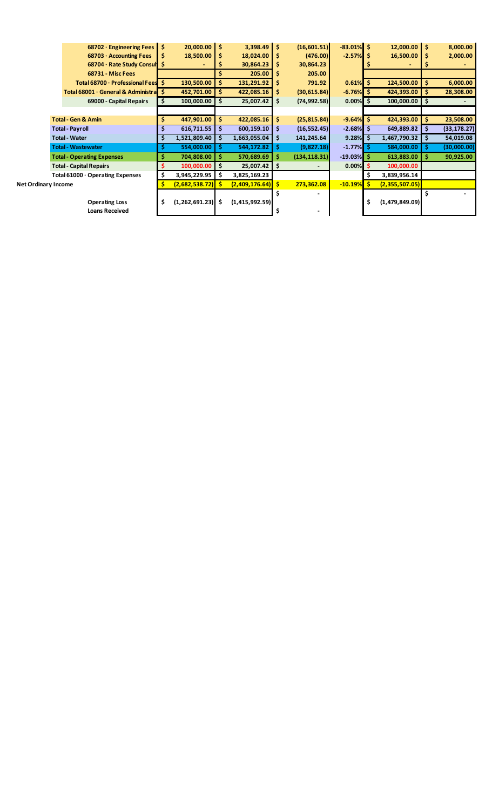|                            | 68702 · Engineering Fees $\vert$ \$ |    | 20,000.00        | -\$ | $3,398.49$ \$    |      | (16,601.51)   | $-83.01\%$ \$ |     | $12,000.00$ \$ |     | 8,000.00     |
|----------------------------|-------------------------------------|----|------------------|-----|------------------|------|---------------|---------------|-----|----------------|-----|--------------|
|                            | 68703 · Accounting Fees             | S  | 18,500.00        | \$  | 18,024.00        |      | (476.00)      | $-2.57%$      | -S  | 16,500.00      |     | 2,000.00     |
|                            | 68704 · Rate Study Consult \$       |    |                  |     | 30,864.23        | s    | 30,864.23     |               |     |                |     |              |
|                            | <b>68731 - Misc Fees</b>            |    |                  |     | 205.00           | s    | 205.00        |               |     |                |     |              |
|                            | Total 68700 · Professional Fees \$  |    | 130,500.00       | \$  | 131,291.92       | s    | 791.92        | $0.61\%$ \$   |     | 124,500.00     | \$. | 6,000.00     |
|                            | Total 68001 · General & Administral |    | 452,701.00       | \$  | 422,085.16       | s    | (30, 615.84)  | $-6.76%$      | -S  | 424,393.00     |     | 28,308.00    |
|                            | 69000 - Capital Repairs             |    | 100,000.00       | s   | 25,007.42        | -\$  | (74, 992.58)  | 0.00%         | -S  | 100,000.00     | -S  |              |
|                            |                                     |    |                  |     |                  |      |               |               |     |                |     |              |
|                            | <b>Total - Gen &amp; Amin</b>       |    | 447,901.00       | \$  | 422,085.16       | Ŝ.   | (25, 815.84)  | $-9.64%$      | -S  | 424,393.00     | \$  | 23,508.00    |
|                            | <b>Total - Payroll</b>              |    | 616,711.55       | \$  | 600,159.10       | -S   | (16, 552.45)  | $-2.68%$      | -S  | 649,889.82     | S   | (33, 178.27) |
|                            | <b>Total - Water</b>                |    | 1,521,809.40     | \$  | 1,663,055.04     | -S   | 141,245.64    | 9.28%         | -\$ | 1,467,790.32   | \$  | 54,019.08    |
|                            | <b>Total - Wastewater</b>           |    | 554,000.00       | s   | 544,172.82       | -S   | (9,827.18)    | $-1.77%$      | -S  | 584,000.00     | -S  | (30,000.00)  |
|                            | <b>Total - Operating Expenses</b>   |    | 704,808.00       | s   | 570,689.69       | s    | (134, 118.31) | $-19.03\%$ \$ |     | 613,883.00     |     | 90,925.00    |
|                            | <b>Total - Capital Repairs</b>      |    | 100,000.00       | s   | $25,007.42$   \$ |      |               | $0.00\%$ \$   |     | 100,000.00     |     |              |
|                            | Total 61000 · Operating Expenses    | \$ | 3,945,229.95     | \$  | 3,825,169.23     |      |               |               | \$  | 3,839,956.14   |     |              |
| <b>Net Ordinary Income</b> |                                     |    | (2,682,538.72)   | s   | (2,409,176.64)   | l \$ | 273,362.08    | $-10.19%$     | -\$ | (2,355,507.05) |     |              |
|                            |                                     |    |                  |     |                  |      |               |               |     |                |     |              |
|                            | <b>Operating Loss</b>               | \$ | (1, 262, 691.23) | \$  | (1,415,992.59)   |      |               |               | \$  | (1,479,849.09) |     |              |
|                            | <b>Loans Received</b>               |    |                  |     |                  | \$   |               |               |     |                |     |              |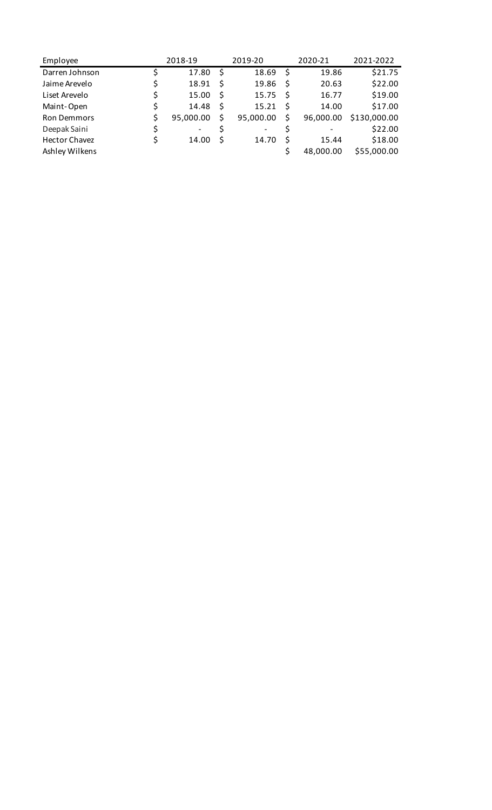| Employee             | 2018-19         |    | 2019-20                  |    | 2020-21   | 2021-2022    |  |  |
|----------------------|-----------------|----|--------------------------|----|-----------|--------------|--|--|
| Darren Johnson       | 17.80           | \$ | 18.69                    | \$ | 19.86     | \$21.75      |  |  |
| Jaime Arevelo        | \$<br>18.91     | Ŝ  | 19.86                    | Ŝ  | 20.63     | \$22.00      |  |  |
| Liset Arevelo        | \$<br>15.00     | Ŝ  | 15.75                    | Ŝ  | 16.77     | \$19.00      |  |  |
| Maint-Open           | \$<br>14.48     | \$ | 15.21                    | Ŝ  | 14.00     | \$17.00      |  |  |
| <b>Ron Demmors</b>   | \$<br>95,000.00 | Ś  | 95,000.00                | Ś  | 96,000.00 | \$130,000.00 |  |  |
| Deepak Saini         | -               |    | $\overline{\phantom{a}}$ |    |           | \$22.00      |  |  |
| <b>Hector Chavez</b> | 14.00           | Ŝ  | 14.70                    | Ś  | 15.44     | \$18.00      |  |  |
| Ashley Wilkens       |                 |    |                          |    | 48,000.00 | \$55,000.00  |  |  |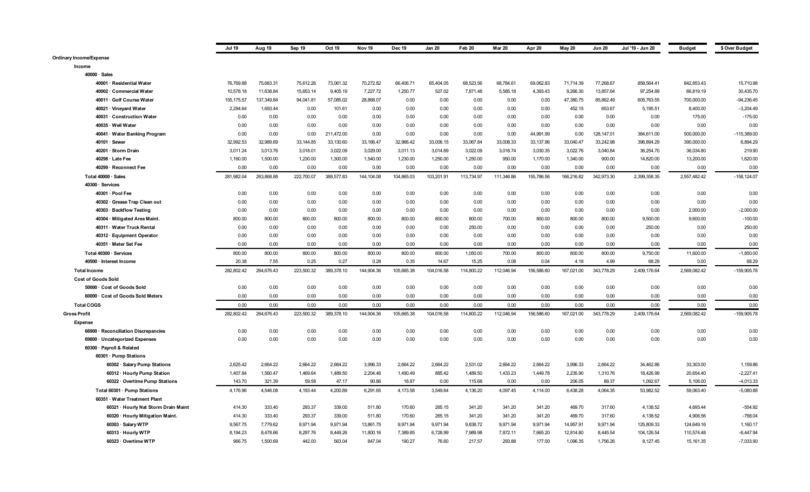|                                      | <b>Jul 19</b> | Aug 19     | Sep 19     | Oct 19     | Nov <sub>19</sub> | Dec 19     | <b>Jan 20</b> | Feb 20     | <b>Mar 20</b> | Apr 20     | May 20     | <b>Jun 20</b> | Jul '19 - Jun 20 | <b>Budget</b> | \$ Over Budget |
|--------------------------------------|---------------|------------|------------|------------|-------------------|------------|---------------|------------|---------------|------------|------------|---------------|------------------|---------------|----------------|
| <b>Ordinary Income/Expense</b>       |               |            |            |            |                   |            |               |            |               |            |            |               |                  |               |                |
| Income                               |               |            |            |            |                   |            |               |            |               |            |            |               |                  |               |                |
| $40000 \cdot$ Sales                  |               |            |            |            |                   |            |               |            |               |            |            |               |                  |               |                |
| 40001 · Residential Water            | 76,769.88     | 75,683.31  | 75,612.26  | 73,061.32  | 70,272.82         | 66,406.71  | 65,404.05     | 68,523.56  | 68,784.61     | 69,062.83  | 71,714.39  | 77,268.67     | 858,564.41       | 842,853.43    | 15,710.98      |
| 40002 · Commercial Water             | 10,578.18     | 11,638.84  | 15,653.14  | 9,405.19   | 7,227.72          | 1,250.77   | 527.02        | 7,871.48   | 5,585.18      | 4,393.43   | 9,266.30   | 13,857.64     | 97,254.89        | 66,819.19     | 30,435.70      |
| 40011 · Golf Course Water            | 155, 175.57   | 137,349.84 | 94,041.81  | 57,085.02  | 28,868.07         | 0.00       | 0.00          | 0.00       | 0.00          | 0.00       | 47,380.75  | 85,862.49     | 605,763.55       | 700,000.00    | $-94,236.45$   |
| 40021 · Vineyard Water               | 2,294.64      | 1,693.44   | 0.00       | 101.61     | 0.00              | 0.00       | 0.00          | 0.00       | 0.00          | 0.00       | 452.15     | 653.67        | 5,195.51         | 8,400.00      | $-3,204.49$    |
| 40031 · Construction Water           | 0.00          | 0.00       | 0.00       | 0.00       | 0.00              | 0.00       | 0.00          | 0.00       | 0.00          | 0.00       | 0.00       | 0.00          | 0.00             | 175.00        | $-175.00$      |
| 40035 · Well Water                   | 0.00          | 0.00       | 0.00       | 0.00       | 0.00              | 0.00       | 0.00          | 0.00       | 0.00          | 0.00       | 0.00       | 0.00          | 0.00             | 0.00          | 0.00           |
| 40041 · Water Banking Program        | 0.00          | 0.00       | 0.00       | 211.472.00 | 0.00              | 0.00       | 0.00          | 0.00       | 0.00          | 44,991.99  | 0.00       | 128, 147.01   | 384,611.00       | 500,000.00    | -115.389.00    |
| 40101 · Sewer                        | 32,992.53     | 32.989.69  | 33, 144.85 | 33,130.60  | 33,166.47         | 32,966.42  | 33,006.15     | 33,067.84  | 33,008.33     | 33,137.96  | 33,040.47  | 33,242.98     | 396,894.29       | 390,000.00    | 6,894.29       |
| 40201 · Storm Drain                  | 3,011.24      | 3,013.76   | 3,018.01   | 3,022.09   | 3,029.00          | 3,011.13   | 3,014.69      | 3,022.09   | 3,018.74      | 3,030.35   | 3,022.76   | 3,040.84      | 36,254.70        | 36,034.80     | 219.90         |
| 40298 · Late Fee                     | 1,160.00      | 1,500.00   | 1,230.00   | 1,300.00   | 1,540.00          | 1,230.00   | 1,250.00      | 1,250.00   | 950.00        | 1,170.00   | 1,340.00   | 900.00        | 14,820.00        | 13,200.00     | 1,620.00       |
| 40299 · Reconnect Fee                | 0.00          | 0.00       | 0.00       | 0.00       | 0.00              | 0.00       | 0.00          | 0.00       | 0.00          | 0.00       | 0.00       | 0.00          | 0.00             | 0.00          | 0.00           |
| Total 40000 · Sales                  | 281,982.04    | 263,868.88 | 222,700.07 | 388,577.83 | 144,104.08        | 104,865.03 | 103,201.91    | 113,734.97 | 111,346.86    | 155,786.56 | 166,216.82 | 342,973.30    | 2,399,358.35     | 2,557,482.42  | $-158, 124.07$ |
| 40300 · Services                     |               |            |            |            |                   |            |               |            |               |            |            |               |                  |               |                |
| 40301 · Pool Fee                     | 0.00          | 0.00       | 0.00       | 0.00       | 0.00              | 0.00       | 0.00          | 0.00       | 0.00          | 0.00       | 0.00       | 0.00          | 0.00             | 0.00          | 0.00           |
| 40302 · Grease Trap Clean out        | 0.00          | 0.00       | 0.00       | 0.00       | 0.00              | 0.00       | 0.00          | 0.00       | 0.00          | 0.00       | 0.00       | 0.00          | 0.00             | 0.00          | 0.00           |
| 40303 · Backflow Testing             | 0.00          | 0.00       | 0.00       | 0.00       | 0.00              | 0.00       | 0.00          | 0.00       | 0.00          | 0.00       | 0.00       | 0.00          | 0.00             | 2,000.00      | $-2,000.00$    |
| 40304 · Mitigated Area Maint.        | 800.00        | 800.00     | 800.00     | 800.00     | 800.00            | 800.00     | 800.00        | 800.00     | 700.00        | 800.00     | 800.00     | 800.00        | 9,500.00         | 9,600.00      | $-100.00$      |
| 40311 · Water Truck Rental           | 0.00          | 0.00       | 0.00       | 0.00       | 0.00              | 0.00       | 0.00          | 250.00     | 0.00          | 0.00       | 0.00       | 0.00          | 250.00           | 0.00          | 250.00         |
| 40312 · Equipment Operator           | 0.00          | 0.00       | 0.00       | 0.00       | 0.00              | 0.00       | 0.00          | 0.00       | 0.00          | 0.00       | 0.00       | 0.00          | 0.00             | 0.00          | 0.00           |
| 40351 · Meter Set Fee                | 0.00          | 0.00       | 0.00       | 0.00       | 0.00              | 0.00       | 0.00          | 0.00       | 0.00          | 0.00       | 0.00       | 0.00          | 0.00             | 0.00          | 0.00           |
| Total 40300 · Services               | 800.00        | 800.00     | 800.00     | 800.00     | 800.00            | 800.00     | 800.00        | 1,050.00   | 700.00        | 800.00     | 800.00     | 800.00        | 9,750.00         | 11,600.00     | $-1,850.00$    |
| 40500 · Interest Income              | 20.38         | 7.55       | 0.25       | 0.27       | 0.28              | 0.35       | 14.67         | 15.25      | 0.08          | 0.04       | 4.18       | 4.99          | 68.29            | 0.00          | 68.29          |
| <b>Total Income</b>                  | 282,802.42    | 264,676.43 | 223,500.32 | 389,378.10 | 144,904.36        | 105,665.38 | 104,016.58    | 114,800.22 | 112,046.94    | 156,586.60 | 167,021.00 | 343,778.29    | 2,409,176.64     | 2,569,082.42  | $-159,905.78$  |
| <b>Cost of Goods Sold</b>            |               |            |            |            |                   |            |               |            |               |            |            |               |                  |               |                |
| 50000 · Cost of Goods Sold           | 0.00          | 0.00       | 0.00       | 0.00       | 0.00              | 0.00       | 0.00          | 0.00       | 0.00          | 0.00       | 0.00       | 0.00          | 0.00             | 0.00          | 0.00           |
| 60000 · Cost of Goods Sold Meters    | 0.00          | 0.00       | 0.00       | 0.00       | 0.00              | 0.00       | 0.00          | 0.00       | 0.00          | 0.00       | 0.00       | 0.00          | 0.00             | 0.00          | 0.00           |
| <b>Total COGS</b>                    | 0.00          | 0.00       | 0.00       | 0.00       | 0.00              | 0.00       | 0.00          | 0.00       | 0.00          | 0.00       | 0.00       | 0.00          | 0.00             | 0.00          | 0.00           |
| <b>Gross Profit</b>                  | 282,802.42    | 264,676.43 | 223,500.32 | 389,378.10 | 144,904.36        | 105,665.38 | 104,016.58    | 114,800.22 | 112,046.94    | 156,586.60 | 167,021.00 | 343,778.29    | 2,409,176.64     | 2,569,082.42  | $-159,905.78$  |
| Expense                              |               |            |            |            |                   |            |               |            |               |            |            |               |                  |               |                |
| 66900 · Reconciliation Discrepancies | 0.00          | 0.00       | 0.00       | 0.00       | 0.00              | 0.00       | 0.00          | 0.00       | 0.00          | 0.00       | 0.00       | 0.00          | 0.00             | 0.00          | 0.00           |
| 69800 · Uncategorized Expenses       | 0.00          | 0.00       | 0.00       | 0.00       | 0.00              | 0.00       | 0.00          | 0.00       | 0.00          | 0.00       | 0.00       | 0.00          | 0.00             | 0.00          | 0.00           |
| 60300 · Payroll & Related            |               |            |            |            |                   |            |               |            |               |            |            |               |                  |               |                |
| 60301 · Pump Stations                |               |            |            |            |                   |            |               |            |               |            |            |               |                  |               |                |
| 60302 · Salary Pump Stations         | 2,625.42      | 2,664.22   | 2,664.22   | 2,664.22   | 3,996.33          | 2,664.22   | 2,664.22      | 2,531.02   | 2,664.22      | 2,664.22   | 3,996.33   | 2,664.22      | 34,462.86        | 33,303.00     | 1,159.86       |
| 60312 · Hourly Pump Station          | 1,407.84      | 1,560.47   | 1,469.64   | 1,489.50   | 2,204.46          | 1,490.49   | 885.42        | 1,489.50   | 1,433.23      | 1,449.78   | 2,235.90   | 1,310.76      | 18,426.99        | 20,654.40     | $-2,227.41$    |
| 60322 Overtime Pump Stations         | 143.70        | 321.39     | 59.58      | 47.17      | 90.86             | 18.87      | 0.00          | 115.68     | 0.00          | 0.00       | 206.05     | 89.37         | 1.092.67         | 5,106.00      | $-4,013.33$    |
| Total 60301 · Pump Stations          | 4,176.96      | 4,546.08   | 4,193.44   | 4,200.89   | 6,291.65          | 4,173.58   | 3.549.64      | 4,136.20   | 4,097.45      | 4,114.00   | 6,438.28   | 4,064.35      | 53.982.52        | 59,063.40     | $-5,080.88$    |
| 60351 · Water Treatment Plant        |               |            |            |            |                   |            |               |            |               |            |            |               |                  |               |                |
| 60321 · Hourly Nat Storm Drain Maint | 414.30        | 333.40     | 293.37     | 339.00     | 511.80            | 170.60     | 265.15        | 341.20     | 341.20        | 341.20     | 469.70     | 317.60        | 4,138.52         | 4,693.44      | $-554.92$      |
| 60320 · Hourly Mitigation Maint.     | 414.30        | 333.40     | 293.37     | 339.00     | 511.80            | 170.60     | 265.15        | 341.20     | 341.20        | 341.20     | 469.70     | 317.60        | 4,138.52         | 4,906.56      | $-768.04$      |
| 60303 · Salary WTP                   | 9,567.75      | 7,779.62   | 9,971.94   | 9,971.94   | 13,861.75         | 9,971.94   | 9,971.94      | 9,838.72   | 9,971.94      | 9,971.94   | 14,957.91  | 9,971.94      | 125,809.33       | 124,649.16    | 1,160.17       |
| 60313 · Hourly WTP                   | 8,194.23      | 8,478.66   | 8,297.76   | 8,449.26   | 11,800.16         | 7,389.85   | 6,728.99      | 7,989.98   | 7,872.11      | 7,665.20   | 12,814.80  | 8,445.54      | 104,126.54       | 110,574.48    | $-6,447.94$    |
| 60323 · Overtime WTP                 | 966.75        | 1,500.69   | 442.00     | 563.04     | 847.04            | 190.27     | 76.60         | 217.57     | 293.88        | 177.00     | 1,096.35   | 1,756.26      | 8,127.45         | 15, 161.35    | $-7,033.90$    |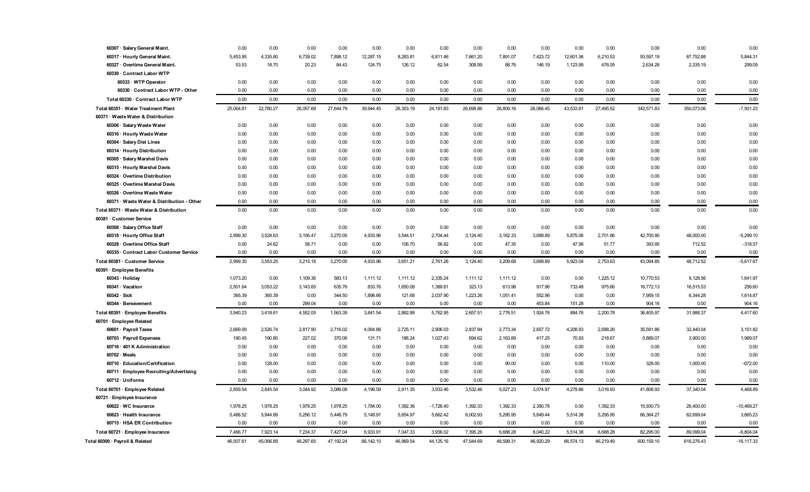| 60307 · Salary General Maint.                               | 0.00           | 0.00           | 0.00           | 0.00           | 0.00             | 0.00           | 0.00             | 0.00             | 0.00             | 0.00             | 0.00             | 0.00         | 0.00               | 0.00             | 0.00               |
|-------------------------------------------------------------|----------------|----------------|----------------|----------------|------------------|----------------|------------------|------------------|------------------|------------------|------------------|--------------|--------------------|------------------|--------------------|
| 60317 · Hourly General Maint.                               | 5,453.95       | 4,335.80       | 6,739.02       | 7,898.12       | 12,287.15        | 8,283.81       | 6,811.46         | 7,661.20         | 7,891.07         | 7,423.72         | 12,601.36        | 6,210.53     | 93,597.19          | 87,752.88        | 5,844.31           |
| 60327 · Overtime General Maint.                             | 53.53          | 18.70          | 20.23          | 84.43          | 124.75           | 126.12         | 62.54            | 308.99           | 88.76            | 146.19           | 1,123.99         | 476.05       | 2,634.28           | 2,335.19         | 299.09             |
| 60330 · Contract Labor WTP                                  |                |                |                |                |                  |                |                  |                  |                  |                  |                  |              |                    |                  |                    |
| 60333 · WTP Operator                                        | 0.00           | 0.00           | 0.00           | 0.00           | 0.00             | 0.00           | 0.00             | 0.00             | 0.00             | 0.00             | 0.00             | 0.00         | 0.00               | 0.00             | 0.00               |
| 60330 · Contract Labor WTP - Other                          | 0.00           | 0.00           | 0.00           | 0.00           | 0.00             | 0.00           | 0.00             | 0.00             | 0.00             | 0.00             | 0.00             | 0.00         | 0.00               | 0.00             | 0.00               |
| Total 60330 · Contract Labor WTP                            | 0.00           | 0.00           | 0.00           | 0.00           | 0.00             | 0.00           | 0.00             | 0.00             | 0.00             | 0.00             | 0.00             | 0.00         | 0.00               | 0.00             | 0.00               |
| Total 60351 · Water Treatment Plant                         | 25,064.81      | 22,780.27      | 26,057.69      | 27,644.79      | 39,944.45        | 26,303.19      | 24,181.83        | 26,698.86        | 26,800.16        | 26,066.45        | 43,533.81        | 27,495.52    | 342,571.83         | 350,073.06       | $-7,501.23$        |
| 60371 · Waste Water & Distribution                          |                |                |                |                |                  |                |                  |                  |                  |                  |                  |              |                    |                  |                    |
| 60306 · Salary Waste Water                                  | 0.00           | 0.00           | 0.00           | 0.00           | 0.00             | 0.00           | 0.00             | 0.00             | 0.00             | 0.00             | 0.00             | 0.00         | 0.00               | 0.00             | 0.00               |
| 60316 · Hourly Waste Water                                  | 0.00           | 0.00           | 0.00           | 0.00           | 0.00             | 0.00           | 0.00             | 0.00             | 0.00             | 0.00             | 0.00             | 0.00         | 0.00               | 0.00             | 0.00               |
| 60304 · Salary Dist Lines                                   | 0.00           | 0.00           | 0.00           | 0.00           | 0.00             | 0.00           | 0.00             | 0.00             | 0.00             | 0.00             | 0.00             | 0.00         | 0.00               | 0.00             | 0.00               |
| 60314 · Hourly Distribution                                 | 0.00           | 0.00           | 0.00           | 0.00           | 0.00             | 0.00           | 0.00             | 0.00             | 0.00             | 0.00             | 0.00             | 0.00         | 0.00               | 0.00             | 0.00               |
| 60305 · Salary Marshal Davis                                | 0.00           | 0.00           | 0.00           | 0.00           | 0.00             | 0.00           | 0.00             | 0.00             | 0.00             | 0.00             | 0.00             | 0.00         | 0.00               | 0.00             | 0.00               |
| 60315 · Hourly Marshal Davis                                | 0.00           | 0.00           | 0.00           | 0.00           | 0.00             | 0.00           | 0.00             | 0.00             | 0.00             | 0.00             | 0.00             | 0.00         | 0.00               | 0.00             | 0.00               |
| 60324 Overtime Distribution                                 | 0.00           | 0.00           | 0.00           | 0.00           | 0.00             | 0.00           | 0.00             | 0.00             | 0.00             | 0.00             | 0.00             | 0.00         | 0.00               | 0.00             | 0.00               |
| 60325 · Overtime Marshal Davis                              | 0.00           | 0.00           | 0.00           | 0.00           | 0.00             | 0.00           | 0.00             | 0.00             | 0.00             | 0.00             | 0.00             | 0.00         | 0.00               | 0.00             | 0.00               |
| 60326 · Overtime Waste Water                                | 0.00           | 0.00           | 0.00           | 0.00           | 0.00             | 0.00           | 0.00             | 0.00             | 0.00             | 0.00             | 0.00             | 0.00         | 0.00               | 0.00             | 0.00               |
| 60371 · Waste Water & Distribution - Other                  | 0.00           | 0.00           | 0.00           | 0.00           | 0.00             | 0.00           | 0.00             | 0.00             | 0.00             | 0.00             | 0.00             | 0.00         | 0.00               | 0.00             | 0.00               |
| Total 60371 · Waste Water & Distribution                    | 0.00           | 0.00           | 0.00           | 0.00           | 0.00             | 0.00           | 0.00             | 0.00             | 0.00             | 0.00             | 0.00             | 0.00         | 0.00               | 0.00             | 0.00               |
| 60381 · Customer Service                                    |                |                |                |                |                  |                |                  |                  |                  |                  |                  |              |                    |                  |                    |
| 60308 · Salary Office Staff                                 | 0.00           | 0.00           | 0.00           | 0.00           | 0.00             | 0.00           | 0.00             | 0.00             | 0.00             | 0.00             | 0.00             | 0.00         | 0.00               | 0.00             | 0.00               |
| 60318 · Hourly Office Staff                                 | 2.999.30       | 3.528.63       | 3,156.47       | 3,270.05       | 4,933.96         | 3,544.51       | 2,704.44         | 3,124.40         | 3,162.33         | 3.699.89         | 5,875.06         | 2,701.86     | 42,700.90          | 48,000.00        | $-5,299.10$        |
| 60328 · Overtime Office Staff                               | 0.00           | 24.62          | 58.71          | 0.00           | 0.00             | 106.70         | 56.82            | 0.00             | 47.35            | 0.00             | 47.98            | 51.77        | 393.95             | 712.52           | $-318.57$          |
| 60335 · Contract Labor Customer Service                     | 0.00           | 0.00           | 0.00           | 0.00           | 0.00             | 0.00           | 0.00             | 0.00             | 0.00             | 0.00             | 0.00             | 0.00         | 0.00               | 0.00             | 0.00               |
| Total 60381 · Customer Service                              | 2,999.30       | 3.553.25       | 3,215.18       | 3,270.05       | 4,933.96         | 3,651.21       | 2,761.26         | 3,124.40         | 3,209.68         | 3.699.89         | 5,923.04         | 2,753.63     | 43,094.85          | 48,712.52        | $-5,617.67$        |
| 60391 · Employee Benefits                                   |                |                |                |                |                  |                |                  |                  |                  |                  |                  |              |                    |                  |                    |
| 60343 · Holiday                                             | 1,073.20       | 0.00           | 1,109.36       | 583.13         | 1,111.12         | 1,111.12       | 2,335.24         | 1,111.12         | 1,111.12         | 0.00             | 0.00             | 1,225.12     | 10,770.53          | 9,128.56         | 1,641.97           |
| 60341 · Vacation                                            | 2,501.64       | 3,053.22       | 3,143.65       | 635.76         | 833.76           | 1,650.08       | 1,389.81         | 323.13           | 613.98           | 917.96           | 733.48           | 975.66       | 16,772.13          | 16,515.53        | 256.60             |
| $60342 \cdot Sick$                                          | 365.39<br>0.00 | 365.39<br>0.00 | 0.00<br>299.04 | 344.50<br>0.00 | 1,896.66<br>0.00 | 121.68<br>0.00 | 2,037.90<br>0.00 | 1,223.26<br>0.00 | 1,051.41<br>0.00 | 552.96<br>453.84 | 0.00             | 0.00<br>0.00 | 7,959.15<br>904.16 | 6,344.28<br>0.00 | 1,614.87<br>904.16 |
| 60344 · Bereavement                                         |                |                |                |                |                  | 2,882.88       |                  |                  |                  |                  | 151.28<br>884.76 | 2,200.78     |                    |                  |                    |
| Total 60391 · Employee Benefits<br>60701 · Employee Related | 3,940.23       | 3,418.61       | 4,552.05       | 1,563.39       | 3,841.54         |                | 5,762.95         | 2,657.51         | 2,776.51         | 1,924.76         |                  |              | 36,405.97          | 31,988.37        | 4,417.60           |
| 60601 · Payroll Taxes                                       | 2,669.09       | 2,526.74       | 2,817.90       | 2,716.02       | 4,064.88         | 2,725.11       | 2,906.03         | 2,837.84         | 2,773.34         | 2,657.72         | 4,208.93         | 2,688.26     | 35,591.86          | 32,440.04        | 3,151.82           |
| 60703 · Payroll Expenses                                    | 190.45         | 190.80         | 227.02         | 370.06         | 131.71           | 186.24         | 1,027.43         | 694.62           | 2,163.89         | 417.25           | 70.93            | 218.67       | 5,889.07           | 3,900.00         | 1,989.07           |
| 60716 · 401 K Administration                                | 0.00           | 0.00           | 0.00           | 0.00           | 0.00             | 0.00           | 0.00             | 0.00             | 0.00             | 0.00             | 0.00             | 0.00         | 0.00               | 0.00             | 0.00               |
| $60702 \cdot$ Meals                                         | 0.00           | 0.00           | 0.00           | 0.00           | 0.00             | 0.00           | 0.00             | 0.00             | 0.00             | 0.00             | 0.00             | 0.00         | 0.00               | 0.00             | 0.00               |
| 60710 · Education/Certification                             | 0.00           | 128.00         | 0.00           | 0.00           | 0.00             | 0.00           | 0.00             | 0.00             | 90.00            | 0.00             | 0.00             | 110.00       | 328.00             | 1,000.00         | $-672.00$          |
| 60711 · Employee Recruiting/Advertising                     | 0.00           | 0.00           | 0.00           | 0.00           | 0.00             | 0.00           | 0.00             | 0.00             | 0.00             | 0.00             | 0.00             | 0.00         | 0.00               | 0.00             | 0.00               |
| 60712 · Uniforms                                            | 0.00           | 0.00           | 0.00           | 0.00           | 0.00             | 0.00           | 0.00             | 0.00             | 0.00             | 0.00             | 0.00             | 0.00         | 0.00               | 0.00             | 0.00               |
| Total 60701 · Employee Related                              | 2,859.54       | 2,845.54       | 3,044.92       | 3,086.08       | 4,196.59         | 2,911.35       | 3,933.46         | 3,532.46         | 5,027.23         | 3,074.97         | 4,279.86         | 3,016.93     | 41,808.93          | 37,340.04        | 4,468.89           |
| 60721 · Employee Insurance                                  |                |                |                |                |                  |                |                  |                  |                  |                  |                  |              |                    |                  |                    |
| 60622 · WC Insurance                                        | 1,978.25       | 1,978.25       | 1,978.25       | 1,978.25       | 1,784.00         | 1,392.36       | $-1,726.40$      | 1,392.33         | 1,392.33         | 2,390.78         | 0.00             | 1,392.33     | 15,930.73          | 26,400.00        | $-10,469.27$       |
| 60623 · Health Insurance                                    | 5,488.52       | 5,944.89       | 5,256.12       | 5,448.79       | 5,149.91         | 5,654.97       | 5,662.42         | 6,002.93         | 5,295.95         | 5,649.44         | 5,514.38         | 5,295.95     | 66,364.27          | 62,699.04        | 3,665.23           |
| 60715 · HSA ER Contribution                                 | 0.00           | 0.00           | 0.00           | 0.00           | 0.00             | 0.00           | 0.00             | 0.00             | 0.00             | 0.00             | 0.00             | 0.00         | 0.00               | 0.00             | 0.00               |
| Total 60721 · Employee Insurance                            | 7,466.77       | 7,923.14       | 7,234.37       | 7,427.04       | 6,933.91         | 7,047.33       | 3,936.02         | 7,395.26         | 6,688.28         | 8,040.22         | 5,514.38         | 6,688.28     | 82,295.00          | 89,099.04        | $-6,804.04$        |
| Total 60300 · Payroll & Related                             | 46,507.61      | 45,066.89      | 48,297.65      | 47,192.24      | 66,142.10        | 46,969.54      | 44,125.16        | 47,544.69        | 48,599.31        | 46,920.29        | 66,574.13        | 46,219.49    | 600,159.10         | 616,276.43       | $-16, 117.33$      |
|                                                             |                |                |                |                |                  |                |                  |                  |                  |                  |                  |              |                    |                  |                    |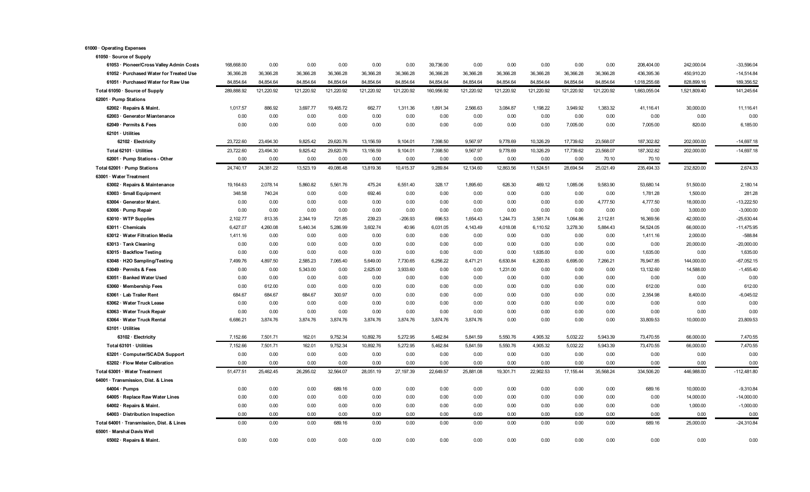| 61050 · Source of Supply                  |            |            |            |            |            |            |            |            |            |            |            |            |              |              |               |
|-------------------------------------------|------------|------------|------------|------------|------------|------------|------------|------------|------------|------------|------------|------------|--------------|--------------|---------------|
| 61053 · Pioneer/Cross Valley Admin Costs  | 168,668.00 | 0.00       | 0.00       | 0.00       | 0.00       | 0.00       | 39,736.00  | 0.00       | 0.00       | 0.00       | 0.00       | 0.00       | 208,404.00   | 242,000.04   | $-33,596.04$  |
| 61052 · Purchased Water for Treated Use   | 36,366.28  | 36,366.28  | 36,366.28  | 36,366.28  | 36,366.28  | 36,366.28  | 36,366.28  | 36,366.28  | 36,366.28  | 36,366.28  | 36,366.28  | 36,366.28  | 436,395.36   | 450,910.20   | $-14,514.84$  |
| 61051 · Purchased Water for Raw Use       | 84,854.64  | 84,854.64  | 84,854.64  | 84.854.64  | 84.854.64  | 84,854.64  | 84,854.64  | 84.854.64  | 84.854.64  | 84,854.64  | 84,854.64  | 84.854.64  | 1,018,255.68 | 828,899.16   | 189,356.52    |
| Total 61050 · Source of Supply            | 289,888.92 | 121.220.92 | 121,220.92 | 121.220.92 | 121.220.92 | 121.220.92 | 160,956.92 | 121,220.92 | 121,220.92 | 121.220.92 | 121,220.92 | 121,220.92 | 1,663,055.04 | 1,521,809.40 | 141.245.64    |
| 62001 · Pump Stations                     |            |            |            |            |            |            |            |            |            |            |            |            |              |              |               |
| 62002 · Repairs & Maint.                  | 1,017.57   | 886.92     | 3,697.77   | 19,465.72  | 662.77     | 1,311.36   | 1,891.34   | 2,566.63   | 3,084.87   | 1,198.22   | 3,949.92   | 1,383.32   | 41,116.41    | 30,000.00    | 11,116.41     |
| 62003 · Generator Miantenance             | 0.00       | 0.00       | 0.00       | 0.00       | 0.00       | 0.00       | 0.00       | 0.00       | 0.00       | 0.00       | 0.00       | 0.00       | 0.00         | 0.00         | 0.00          |
| 62049 · Permits & Fees                    | 0.00       | 0.00       | 0.00       | 0.00       | 0.00       | 0.00       | 0.00       | 0.00       | 0.00       | 0.00       | 7,005.00   | 0.00       | 7,005.00     | 820.00       | 6,185.00      |
| 62101 · Utilities                         |            |            |            |            |            |            |            |            |            |            |            |            |              |              |               |
| 62102 · Electricity                       | 23,722.60  | 23,494.30  | 9,825.42   | 29,620.76  | 13,156.59  | 9,104.01   | 7,398.50   | 9,567.97   | 9,778.69   | 10,326.29  | 17,739.62  | 23,568.07  | 187,302.82   | 202,000.00   | $-14,697.18$  |
| Total 62101 · Utilities                   | 23,722.60  | 23,494.30  | 9,825.42   | 29,620.76  | 13,156.59  | 9,104.01   | 7,398.50   | 9,567.97   | 9,778.69   | 10,326.29  | 17,739.62  | 23,568.07  | 187,302.82   | 202,000.00   | $-14,697.18$  |
| 62001 · Pump Stations - Other             | 0.00       | 0.00       | 0.00       | 0.00       | 0.00       | 0.00       | 0.00       | 0.00       | 0.00       | 0.00       | 0.00       | 70.10      | 70.10        |              |               |
| Total 62001 · Pump Stations               | 24,740.17  | 24,381.22  | 13,523.19  | 49,086.48  | 13,819.36  | 10,415.37  | 9,289.84   | 12,134.60  | 12,863.56  | 11,524.51  | 28,694.54  | 25,021.49  | 235,494.33   | 232,820.00   | 2,674.33      |
| 63001 · Water Treatment                   |            |            |            |            |            |            |            |            |            |            |            |            |              |              |               |
| 63002 · Repairs & Maintenance             | 19,164.63  | 2,078.14   | 5.860.82   | 5,561.76   | 475.24     | 6.551.40   | 328.17     | 1.895.60   | 626.30     | 469.12     | 1,085.06   | 9,583.90   | 53,680.14    | 51,500.00    | 2,180.14      |
| 63003 · Small Equipment                   | 348.58     | 740.24     | 0.00       | 0.00       | 692.46     | 0.00       | 0.00       | 0.00       | 0.00       | 0.00       | 0.00       | 0.00       | 1,781.28     | 1,500.00     | 281.28        |
| 63004 · Generator Maint.                  | 0.00       | 0.00       | 0.00       | 0.00       | 0.00       | 0.00       | 0.00       | 0.00       | 0.00       | 0.00       | 0.00       | 4,777.50   | 4.777.50     | 18,000.00    | $-13,222.50$  |
| 63006 · Pump Repair                       | 0.00       | 0.00       | 0.00       | 0.00       | 0.00       | 0.00       | 0.00       | 0.00       | 0.00       | 0.00       | 0.00       | 0.00       | 0.00         | 3,000.00     | $-3,000.00$   |
| $63010 \cdot WTP$ Supplies                | 2,102.77   | 813.35     | 2,344.19   | 721.85     | 239.23     | $-206.93$  | 696.53     | 1,654.43   | 1,244.73   | 3,581.74   | 1,064.86   | 2,112.81   | 16,369.56    | 42,000.00    | -25,630.44    |
| 63011 · Chemicals                         | 6,427.07   | 4,260.08   | 5,440.34   | 5,286.99   | 3,602.74   | 40.96      | 6,031.05   | 4,143.49   | 4,018.08   | 6,110.52   | 3,278.30   | 5,884.43   | 54,524.05    | 66,000.00    | $-11,475.95$  |
| 63012 · Water Filtration Media            | 1,411.16   | 0.00       | 0.00       | 0.00       | 0.00       | 0.00       | 0.00       | 0.00       | 0.00       | 0.00       | 0.00       | 0.00       | 1,411.16     | 2,000.00     | $-588.84$     |
| 63013 · Tank Cleaning                     | 0.00       | 0.00       | 0.00       | 0.00       | 0.00       | 0.00       | 0.00       | 0.00       | 0.00       | 0.00       | 0.00       | 0.00       | 0.00         | 20,000.00    | $-20,000.00$  |
| 63015 · Backflow Testing                  | 0.00       | 0.00       | 0.00       | 0.00       | 0.00       | 0.00       | 0.00       | 0.00       | 0.00       | 1,635.00   | 0.00       | 0.00       | 1,635.00     | 0.00         | 1,635.00      |
| 63048 · H2O Sampling/Testing              | 7,499.76   | 4,897.50   | 2,585.23   | 7,065.40   | 5,649.00   | 7,730.65   | 6,256.22   | 8,471.21   | 6,630.84   | 6,200.83   | 6,695.00   | 7,266.21   | 76,947.85    | 144,000.00   | $-67,052.15$  |
| 63049 · Permits & Fees                    | 0.00       | 0.00       | 5,343.00   | 0.00       | 2,625.00   | 3,933.60   | 0.00       | 0.00       | 1,231.00   | 0.00       | 0.00       | 0.00       | 13,132.60    | 14,588.00    | $-1,455.40$   |
| 63051 · Banked Water Used                 | 0.00       | 0.00       | 0.00       | 0.00       | 0.00       | 0.00       | 0.00       | 0.00       | 0.00       | 0.00       | 0.00       | 0.00       | 0.00         | 0.00         | 0.00          |
| 63060 · Membership Fees                   | 0.00       | 612.00     | 0.00       | 0.00       | 0.00       | 0.00       | 0.00       | 0.00       | 0.00       | 0.00       | 0.00       | 0.00       | 612.00       | 0.00         | 612.00        |
| 63061 · Lab Trailer Rent                  | 684.67     | 684.67     | 684.67     | 300.97     | 0.00       | 0.00       | 0.00       | 0.00       | 0.00       | 0.00       | 0.00       | 0.00       | 2,354.98     | 8,400.00     | $-6,045.02$   |
| 63062 · Water Truck Lease                 | 0.00       | 0.00       | 0.00       | 0.00       | 0.00       | 0.00       | 0.00       | 0.00       | 0.00       | 0.00       | 0.00       | 0.00       | 0.00         | 0.00         | 0.00          |
| 63063 · Water Truck Repair                | 0.00       | 0.00       | 0.00       | 0.00       | 0.00       | 0.00       | 0.00       | 0.00       | 0.00       | 0.00       | 0.00       | 0.00       | 0.00         | 0.00         | 0.00          |
| 63064 · Water Truck Rental                | 6,686.21   | 3,874.76   | 3,874.76   | 3,874.76   | 3,874.76   | 3,874.76   | 3,874.76   | 3,874.76   | 0.00       | 0.00       | 0.00       | 0.00       | 33,809.53    | 10,000.00    | 23,809.53     |
| $63101 \cdot$ Utilities                   |            |            |            |            |            |            |            |            |            |            |            |            |              |              |               |
| 63102 · Electricity                       | 7,152.66   | 7,501.71   | 162.01     | 9,752.34   | 10,892.76  | 5.272.95   | 5,462.84   | 5,841.59   | 5.550.76   | 4.905.32   | 5.032.22   | 5.943.39   | 73,470.55    | 66,000.00    | 7,470.55      |
| Total 63101 · Utilities                   | 7,152.66   | 7,501.71   | 162.01     | 9,752.34   | 10,892.76  | 5,272.95   | 5,462.84   | 5,841.59   | 5,550.76   | 4.905.32   | 5.032.22   | 5,943.39   | 73,470.55    | 66,000.00    | 7,470.55      |
| 63201 · Computer/SCADA Support            | 0.00       | 0.00       | 0.00       | 0.00       | 0.00       | 0.00       | 0.00       | 0.00       | 0.00       | 0.00       | 0.00       | 0.00       | 0.00         | 0.00         | 0.00          |
| 63202 · Flow Meter Calibration            | 0.00       | 0.00       | 0.00       | 0.00       | 0.00       | 0.00       | 0.00       | 0.00       | 0.00       | 0.00       | 0.00       | 0.00       | 0.00         | 0.00         | 0.00          |
|                                           |            | 25,462.45  | 26,295.02  | 32,564.07  | 28,051.19  | 27,197.39  | 22,649.57  | 25,881.08  | 19,301.71  | 22,902.53  | 17, 155.44 | 35,568.24  | 334,506.20   | 446,988.00   | $-112,481.80$ |
| Total 63001 · Water Treatment             | 51,477.51  |            |            |            |            |            |            |            |            |            |            |            |              |              |               |
| 64001 · Transmission, Dist. & Lines       |            |            |            |            |            |            |            |            |            |            |            |            |              |              |               |
| $64004 \cdot$ Pumps                       | 0.00       | 0.00       | 0.00       | 689.16     | 0.00       | 0.00       | 0.00       | 0.00       | 0.00       | 0.00       | 0.00       | 0.00       | 689.16       | 10,000.00    | $-9,310.84$   |
| 64005 · Replace Raw Water Lines           | 0.00       | 0.00       | 0.00       | 0.00       | 0.00       | 0.00       | 0.00       | 0.00       | 0.00       | 0.00       | 0.00       | 0.00       | 0.00         | 14,000.00    | $-14,000.00$  |
| 64002 · Repairs & Maint.                  | 0.00       | 0.00       | 0.00       | 0.00       | 0.00       | 0.00       | 0.00       | 0.00       | 0.00       | 0.00       | 0.00       | 0.00       | 0.00         | 1,000.00     | $-1,000.00$   |
| 64003 · Distribution Inspection           | 0.00       | 0.00       | 0.00       | 0.00       | 0.00       | 0.00       | 0.00       | 0.00       | 0.00       | 0.00       | 0.00       | 0.00       | 0.00         | 0.00         | 0.00          |
| Total 64001 · Transmission, Dist, & Lines | 0.00       | 0.00       | 0.00       | 689.16     | 0.00       | 0.00       | 0.00       | 0.00       | 0.00       | 0.00       | 0.00       | 0.00       | 689.16       | 25,000.00    | $-24,310.84$  |
| 65001 · Marshal Davis Well                |            |            |            |            |            |            |            |            |            |            |            |            |              |              |               |
| 65002 · Repairs & Maint.                  | 0.00       | 0.00       | 0.00       | 0.00       | 0.00       | 0.00       | 0.00       | 0.00       | 0.00       | 0.00       | 0.00       | 0.00       | 0.00         | 0.00         | 0.00          |

**61000 · Operating Expenses**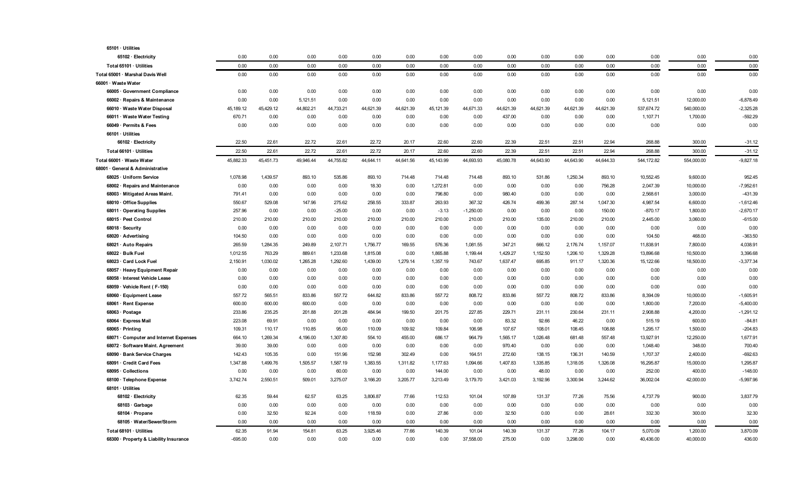| 65101 · Utilities                                     |                  |                 |                |               |                |                |                |                |                 |                 |                 |                |                    |                    |                       |
|-------------------------------------------------------|------------------|-----------------|----------------|---------------|----------------|----------------|----------------|----------------|-----------------|-----------------|-----------------|----------------|--------------------|--------------------|-----------------------|
| 65102 · Electricity                                   | 0.00             | 0.00            | 0.00           | 0.00          | 0.00           | 0.00           | 0.00           | 0.00           | 0.00            | 0.00            | 0.00            | 0.00           | 0.00               | 0.00               | 0.00                  |
| Total 65101 · Utilities                               | 0.00             | 0.00            | 0.00           | 0.00          | 0.00           | 0.00           | 0.00           | 0.00           | 0.00            | 0.00            | 0.00            | 0.00           | 0.00               | 0.00               | 0.00                  |
| Total 65001 · Marshal Davis Well                      | 0.00             | 0.00            | 0.00           | 0.00          | 0.00           | 0.00           | 0.00           | 0.00           | 0.00            | 0.00            | 0.00            | 0.00           | 0.00               | 0.00               | 0.00                  |
| 66001 · Waste Water                                   |                  |                 |                |               |                |                |                |                |                 |                 |                 |                |                    |                    |                       |
| 66005 · Government Compliance                         | 0.00             | 0.00            | 0.00           | 0.00          | 0.00           | 0.00           | 0.00           | 0.00           | 0.00            | 0.00            | 0.00            | 0.00           | 0.00               | 0.00               | 0.00                  |
| 66002 · Repairs & Maintenance                         | 0.00             | 0.00            | 5,121.51       | 0.00          | 0.00           | 0.00           | 0.00           | 0.00           | 0.00            | 0.00            | 0.00            | 0.00           | 5,121.51           | 12,000.00          | $-6,878.49$           |
| 66010 · Waste Water Disposal                          | 45,189.12        | 45,429.12       | 44,802.21      | 44,733.21     | 44,621.39      | 44,621.39      | 45,121.39      | 44,671.33      | 44,621.39       | 44,621.39       | 44,621.39       | 44,621.39      | 537,674.72         | 540,000.00         | $-2,325.28$           |
| 66011 · Waste Water Testing                           | 670.71           | 0.00            | 0.00           | 0.00          | 0.00           | 0.00           | 0.00           | 0.00           | 437.00          | 0.00            | 0.00            | 0.00           | 1,107.71           | 1,700.00           | $-592.29$             |
| 66049 · Permits & Fees                                | 0.00             | 0.00            | 0.00           | 0.00          | 0.00           | 0.00           | 0.00           | 0.00           | 0.00            | 0.00            | 0.00            | 0.00           | 0.00               | 0.00               | 0.00                  |
| 66101 · Utilities                                     |                  |                 |                |               |                |                |                |                |                 |                 |                 |                |                    |                    |                       |
| 66102 · Electricity                                   | 22.50            | 22.61           | 22.72          | 22.61         | 22.72          | 20.17          | 22.60          | 22.60          | 22.39           | 22.51           | 22.51           | 22.94          | 268.88             | 300.00             | $-31.12$              |
| Total 66101 · Utilities                               | 22.50            | 22.61           | 22.72          | 22.61         | 22.72          | 20.17          | 22.60          | 22.60          | 22.39           | 22.51           | 22.51           | 22.94          | 268.88             | 300.00             | $-31.12$              |
| Total 66001 · Waste Water                             | 45,882.33        | 45,451.73       | 49,946.44      | 44,755.82     | 44,644.11      | 44,641.56      | 45,143.99      | 44,693.93      | 45,080.78       | 44,643.90       | 44,643.90       | 44.644.33      | 544,172.82         | 554,000.00         | $-9,827.18$           |
| 68001 · General & Administrative                      |                  |                 |                |               |                |                |                |                |                 |                 |                 |                |                    |                    |                       |
| 68025 · Uniform Service                               | 1,078.98         | 1,439.57        | 893.10         | 535.86        | 893.10         | 714.48         | 714.48         | 714.48         | 893.10          | 531.86          | 1,250.34        | 893.10         | 10,552.45          | 9,600.00           | 952.45                |
| 68002 · Repairs and Maintenance                       | 0.00             | 0.00            | 0.00           | 0.00          | 18.30          | 0.00           | 1,272.81       | 0.00           | 0.00            | 0.00            | 0.00            | 756.28         | 2,047.39           | 10,000.00          | $-7,952.61$           |
| 68003 · Mitigated Areas Maint.                        | 791.41           | 0.00            | 0.00           | 0.00          | 0.00           | 0.00           | 796.80         | 0.00           | 980.40          | 0.00            | 0.00            | 0.00           | 2,568.61           | 3,000.00           | $-431.39$             |
| 68010 · Office Supplies                               | 550.67           | 529.08          | 147.96         | 275.62        | 258.55         | 333.87         | 263.93         | 367.32         | 426.74          | 499.36          | 287.14          | 1,047.30       | 4,987.54           | 6,600.00           | $-1,612.46$           |
| 68011 Operating Supplies                              | 257.96           | 0.00            | 0.00           | $-25.00$      | 0.00           | 0.00           | $-3.13$        | $-1,250.00$    | 0.00            | 0.00            | 0.00            | 150.00         | $-870.17$          | 1,800.00           | $-2,670.17$           |
| 68015 · Pest Control                                  | 210.00           | 210.00          | 210.00         | 210.00        | 210.00         | 210.00         | 210.00         | 210.00         | 210.00          | 135.00          | 210.00          | 210.00         | 2,445.00           | 3,060.00           | $-615.00$             |
| $68018 \cdot$ Security                                | 0.00             | 0.00            | 0.00           | 0.00          | 0.00           | 0.00           | 0.00           | 0.00           | 0.00            | 0.00            | 0.00            | 0.00           | 0.00               | 0.00               | 0.00                  |
| 68020 · Advertising                                   | 104.50           | 0.00            | 0.00           | 0.00          | 0.00           | 0.00           | 0.00           | 0.00           | 0.00            | 0.00            | 0.00            | 0.00           | 104.50             | 468.00             | $-363.50$             |
| 68021 · Auto Repairs                                  | 265.59           | 1,284.35        | 249.89         | 2,107.71      | 1,756.77       | 169.55         | 576.36         | 1,081.55       | 347.21          | 666.12          | 2,176.74        | 1,157.07       | 11,838.91          | 7,800.00           | 4,038.91              |
| 68022 · Bulk Fuel                                     | 1,012.55         | 763.29          | 889.61         | 1,233.68      | 1,815.08       | 0.00           | 1,865.88       | 1,199.44       | 1,429.27        | 1,152.50        | 1,206.10        | 1,329.28       | 13,896.68          | 10,500.00          | 3,396.68              |
| 68023 · Card Lock Fuel                                | 2,150.91         | 1,030.02        | 1,265.28       | 1,292.60      | 1,439.00       | 1,279.14       | 1,357.19       | 743.67         | 1,637.47        | 695.85          | 911.17          | 1,320.36       | 15,122.66          | 18,500.00          | $-3,377.34$           |
| 68057 · Heavy Equipment Repair                        | 0.00             | 0.00            | 0.00           | 0.00          | 0.00           | 0.00           | 0.00           | 0.00           | 0.00            | 0.00            | 0.00            | 0.00           | 0.00               | 0.00               | 0.00                  |
| 68058 · Interest Vehicle Lease                        | 0.00             | 0.00            | 0.00           | 0.00          | 0.00           | 0.00           | 0.00           | 0.00           | 0.00            | 0.00            | 0.00            | 0.00           | 0.00               | 0.00               | 0.00                  |
| 68059 · Vehicle Rent (F-150)                          | 0.00             | 0.00            | 0.00           | 0.00          | 0.00           | 0.00           | 0.00           | 0.00           | 0.00            | 0.00            | 0.00            | 0.00           | 0.00               | 0.00               | 0.00                  |
| 68060 · Equipment Lease                               | 557.72           | 565.51          | 833.86         | 557.72        | 644.82         | 833.86         | 557.72         | 808.72         | 833.86          | 557.72          | 808.72          | 833.86         | 8,394.09           | 10,000.00          | $-1,605.91$           |
| 68061 · Rent Expense                                  | 600.00           | 600.00          | 600.00         | 0.00          | 0.00           | 0.00           | 0.00           | 0.00           | 0.00            | 0.00            | 0.00            | 0.00           | 1,800.00           | 7,200.00           | $-5,400.00$           |
| 68063 · Postage                                       | 233.86           | 235.25          | 201.88         | 201.28        | 484.94         | 199.50         | 201.75         | 227.85         | 229.71          | 231.11          | 230.64          | 231.11         | 2,908.88           | 4,200.00           | $-1,291.12$           |
| 68064 · Express Mail<br>$68065 \cdot \text{Printing}$ | 223.08<br>109.31 | 69.91<br>110.17 | 0.00<br>110.85 | 0.00<br>95.00 | 0.00<br>110.09 | 0.00<br>109.92 | 0.00<br>109.84 | 0.00<br>106.98 | 83.32<br>107.67 | 92.66<br>108.01 | 46.22<br>108.45 | 0.00<br>108.88 | 515.19<br>1,295.17 | 600.00<br>1,500.00 | $-84.81$<br>$-204.83$ |
| 68071 · Computer and Internet Expenses                | 664.10           | 1,269.34        | 4,196.00       | 1,307.80      | 554.10         | 455.00         | 686.17         | 964.79         | 1,565.17        | 1,026.48        | 681.48          | 557.48         | 13,927.91          | 12,250.00          | 1,677.91              |
| 68072 · Software Maint. Agreement                     | 39.00            | 39.00           | 0.00           | 0.00          | 0.00           | 0.00           | 0.00           | 0.00           | 970.40          | 0.00            | 0.00            | 0.00           | 1,048.40           | 348.00             | 700.40                |
| 68090 · Bank Service Charges                          | 142.43           | 105.35          | 0.00           | 151.96        | 152.98         | 302.49         | 0.00           | 164.51         | 272.60          | 138.15          | 136.31          | 140.59         | 1,707.37           | 2,400.00           | $-692.63$             |
| 68091 · Credit Card Fees                              | 1,347.88         | 1,499.76        | 1,505.57       | 1,587.19      | 1,383.55       | 1,311.82       | 1,177.63       | 1,094.66       | 1,407.83        | 1,335.85        | 1,318.05        | 1,326.08       | 16,295.87          | 15,000.00          | 1,295.87              |
| 68095 · Collections                                   | 0.00             | 0.00            | 0.00           | 60.00         | 0.00           | 0.00           | 144.00         | 0.00           | 0.00            | 48.00           | 0.00            | 0.00           | 252.00             | 400.00             | $-148.00$             |
| 68100 · Telephone Expense                             | 3,742.74         | 2,550.51        | 509.01         | 3,275.07      | 3,166.20       | 3,205.77       | 3,213.49       | 3,179.70       | 3,421.03        | 3,192.96        | 3,300.94        | 3,244.62       | 36,002.04          | 42,000.00          | $-5,997.96$           |
| 68101 · Utilities                                     |                  |                 |                |               |                |                |                |                |                 |                 |                 |                |                    |                    |                       |
| 68102 · Electricity                                   | 62.35            | 59.44           | 62.57          | 63.25         | 3,806.87       | 77.66          | 112.53         | 101.04         | 107.89          | 131.37          | 77.26           | 75.56          | 4,737.79           | 900.00             | 3,837.79              |
| 68103 · Garbage                                       | 0.00             | 0.00            | 0.00           | 0.00          | 0.00           | 0.00           | 0.00           | 0.00           | 0.00            | 0.00            | 0.00            | 0.00           | 0.00               | 0.00               | 0.00                  |
| 68104 · Propane                                       | 0.00             | 32.50           | 92.24          | 0.00          | 118.59         | 0.00           | 27.86          | 0.00           | 32.50           | 0.00            | 0.00            | 28.61          | 332.30             | 300.00             | 32.30                 |
| 68105 · Water/Sewer/Storm                             | 0.00             | 0.00            | 0.00           | 0.00          | 0.00           | 0.00           | 0.00           | 0.00           | 0.00            | 0.00            | 0.00            | 0.00           | 0.00               | 0.00               | 0.00                  |
| Total 68101 · Utilities                               | 62.35            | 91.94           | 154.81         | 63.25         | 3,925.46       | 77.66          | 140.39         | 101.04         | 140.39          | 131.37          | 77.26           | 104.17         | 5,070.09           | 1,200.00           | 3,870.09              |
| 68300 · Property & Liability Insurance                | $-695.00$        | 0.00            | 0.00           | 0.00          | 0.00           | 0.00           | 0.00           | 37,558.00      | 275.00          | 0.00            | 3,298.00        | 0.00           | 40,436.00          | 40,000.00          | 436.00                |
|                                                       |                  |                 |                |               |                |                |                |                |                 |                 |                 |                |                    |                    |                       |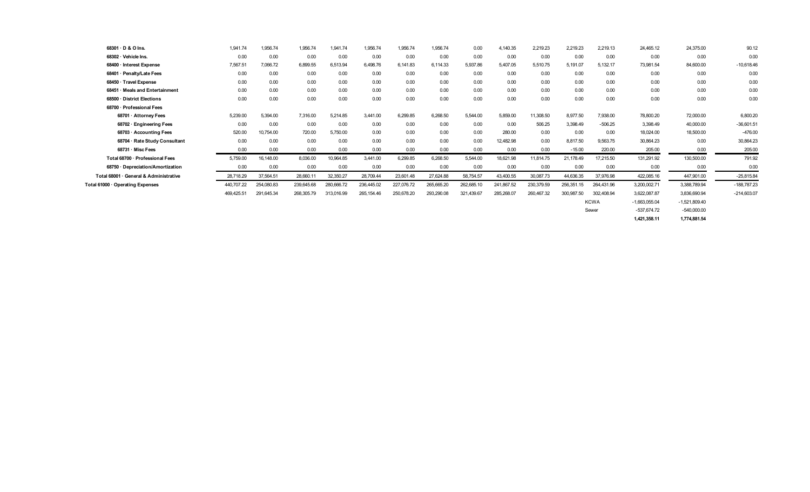| $68301 \cdot D$ & O Ins.               | 1,941.74   | 1,956.74   | 1,956.74   | 1,941.74   | 1,956.74    | 1,956.74   | 1,956.74   | 0.00       | 4,140.35   | 2,219.23   | 2,219.23   | 2,219.13    | 24,465.12       | 24,375.00       | 90.12         |
|----------------------------------------|------------|------------|------------|------------|-------------|------------|------------|------------|------------|------------|------------|-------------|-----------------|-----------------|---------------|
| $68302 \cdot$ Vehicle Ins.             | 0.00       | 0.00       | 0.00       | 0.00       | 0.00        | 0.00       | 0.00       | 0.00       | 0.00       | 0.00       | 0.00       | 0.00        | 0.00            | 0.00            | 0.00          |
| 68400 · Interest Expense               | 7,567.51   | 7,066.72   | 6,899.55   | 6,513.94   | 6,498.76    | 6,141.83   | 6,114.33   | 5,937.86   | 5,407.05   | 5,510.75   | 5,191.07   | 5,132.17    | 73,981.54       | 84,600.00       | $-10,618.46$  |
| 68401 · Penalty/Late Fees              | 0.00       | 0.00       | 0.00       | 0.00       | 0.00        | 0.00       | 0.00       | 0.00       | 0.00       | 0.00       | 0.00       | 0.00        | 0.00            | 0.00            | 0.00          |
| 68450 · Travel Expense                 | 0.00       | 0.00       | 0.00       | 0.00       | 0.00        | 0.00       | 0.00       | 0.00       | 0.00       | 0.00       | 0.00       | 0.00        | 0.00            | 0.00            | 0.00          |
| 68451 Meals and Entertainment          | 0.00       | 0.00       | 0.00       | 0.00       | 0.00        | 0.00       | 0.00       | 0.00       | 0.00       | 0.00       | 0.00       | 0.00        | 0.00            | 0.00            | 0.00          |
| 68500 · District Elections             | 0.00       | 0.00       | 0.00       | 0.00       | 0.00        | 0.00       | 0.00       | 0.00       | 0.00       | 0.00       | 0.00       | 0.00        | 0.00            | 0.00            | 0.00          |
| 68700 · Professional Fees              |            |            |            |            |             |            |            |            |            |            |            |             |                 |                 |               |
| 68701 · Attorney Fees                  | 5,239.00   | 5,394.00   | 7,316.00   | 5,214.85   | 3,441.00    | 6,299.85   | 6,268.50   | 5,544.00   | 5,859.00   | 11,308.50  | 8,977.50   | 7,938.00    | 78,800.20       | 72,000.00       | 6,800.20      |
| 68702 · Engineering Fees               | 0.00       | 0.00       | 0.00       | 0.00       | 0.00        | 0.00       | 0.00       | 0.00       | 0.00       | 506.25     | 3,398.49   | $-506.25$   | 3,398.49        | 40,000.00       | $-36,601.51$  |
| 68703 · Accounting Fees                | 520.00     | 10,754.00  | 720.00     | 5,750.00   | 0.00        | 0.00       | 0.00       | 0.00       | 280.00     | 0.00       | 0.00       | 0.00        | 18,024.00       | 18,500.00       | $-476.00$     |
| 68704 · Rate Study Consultant          | 0.00       | 0.00       | 0.00       | 0.00       | 0.00        | 0.00       | 0.00       | 0.00       | 12,482.98  | 0.00       | 8,817.50   | 9,563.75    | 30,864.23       | 0.00            | 30,864.23     |
| 68731 Misc Fees                        | 0.00       | 0.00       | 0.00       | 0.00       | 0.00        | 0.00       | 0.00       | 0.00       | 0.00       | 0.00       | $-15.00$   | 220.00      | 205.00          | 0.00            | 205.00        |
| Total 68700 · Professional Fees        | 5,759.00   | 16,148.00  | 8,036.00   | 10,964.85  | 3,441.00    | 6,299.85   | 6,268.50   | 5,544.00   | 18,621.98  | 11,814.75  | 21,178.49  | 17,215.50   | 131,291.92      | 130,500.00      | 791.92        |
| 68750 · Depreciation/Amortization      | 0.00       | 0.00       | 0.00       | 0.00       | 0.00        | 0.00       | 0.00       | 0.00       | 0.00       | 0.00       | 0.00       | 0.00        | 0.00            | 0.00            | 0.00          |
| Total 68001 · General & Administrative | 28,718.29  | 37,564.51  | 28,660.11  | 32,350.27  | 28,709.44   | 23,601.48  | 27,624.88  | 58,754.57  | 43,400.55  | 30,087.73  | 44,636.35  | 37,976.98   | 422,085.16      | 447,901.00      | $-25,815.84$  |
| Total 61000 · Operating Expenses       | 440,707.22 | 254,080.83 | 239,645.68 | 280,666.72 | 236,445.02  | 227,076.72 | 265,665.20 | 262,685.10 | 241,867.52 | 230,379.59 | 256,351.15 | 264,431.96  | 3,200,002.71    | 3,388,789.94    | $-188,787.23$ |
|                                        | 469,425.51 | 291,645.34 | 268,305.79 | 313,016.99 | 265, 154.46 | 250,678.20 | 293,290.08 | 321,439.67 | 285,268.07 | 260,467.32 | 300,987.50 | 302,408.94  | 3,622,087.87    | 3,836,690.94    | $-214,603.07$ |
|                                        |            |            |            |            |             |            |            |            |            |            |            | <b>KCWA</b> | $-1,663,055.04$ | $-1,521,809.40$ |               |

Sewer -537,674.72 -540,000.00

**1,421,358.11 1,774,881.54**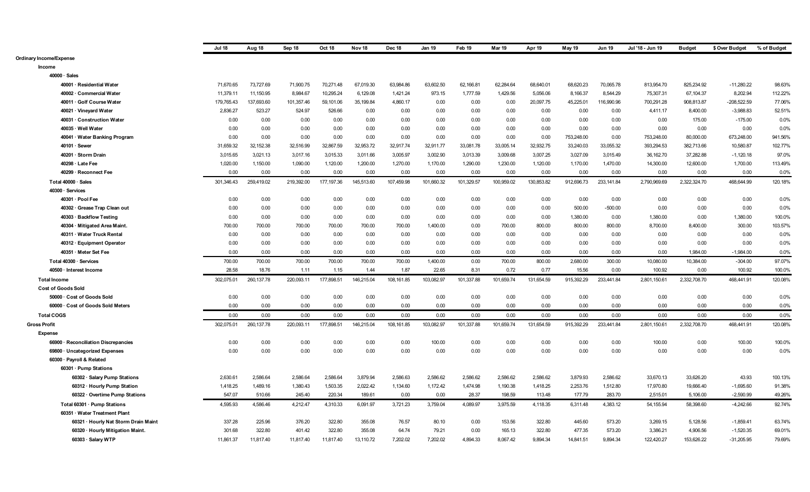|                                                             | <b>Jul 18</b> | Aug 18      | Sep 18     | Oct 18      | Nov <sub>18</sub> | Dec 18      | Jan 19     | Feb 19     | Mar 19     | Apr 19     | May 19     | <b>Jun 19</b> | Jul '18 - Jun 19 | <b>Budget</b> | \$ Over Budget | % of Budget |
|-------------------------------------------------------------|---------------|-------------|------------|-------------|-------------------|-------------|------------|------------|------------|------------|------------|---------------|------------------|---------------|----------------|-------------|
| Ordinary Income/Expense                                     |               |             |            |             |                   |             |            |            |            |            |            |               |                  |               |                |             |
| Income                                                      |               |             |            |             |                   |             |            |            |            |            |            |               |                  |               |                |             |
| 40000 · Sales                                               |               |             |            |             |                   |             |            |            |            |            |            |               |                  |               |                |             |
| 40001 · Residential Water                                   | 71,670.65     | 73,727.69   | 71,900.75  | 70,271.48   | 67,019.30         | 63,984.86   | 63,602.50  | 62,166.81  | 62,284.64  | 68,640.01  | 68,620.23  | 70,065.78     | 813,954.70       | 825,234.92    | $-11,280.22$   | 98.63%      |
| 40002 · Commercial Water                                    | 11,379.11     | 11,150.95   | 8,984.67   | 10,295.24   | 6,129.08          | 1,421.24    | 973.15     | 1,777.59   | 1,429.56   | 5,056.06   | 8,166.37   | 8,544.29      | 75,307.31        | 67,104.37     | 8,202.94       | 112.22%     |
| 40011 · Golf Course Water                                   | 179,765.43    | 137,693.60  | 101,357.46 | 59,101.06   | 35,199.84         | 4,860.17    | 0.00       | 0.00       | 0.00       | 20,097.75  | 45,225.01  | 116,990.96    | 700,291.28       | 908,813.87    | $-208,522.59$  | 77.06%      |
| 40021 · Vineyard Water                                      | 2,836.27      | 523.27      | 524.97     | 526.66      | 0.00              | 0.00        | 0.00       | 0.00       | 0.00       | 0.00       | 0.00       | 0.00          | 4,411.17         | 8,400.00      | $-3,988.83$    | 52.51%      |
| 40031 · Construction Water                                  | 0.00          | 0.00        | 0.00       | 0.00        | 0.00              | 0.00        | 0.00       | 0.00       | 0.00       | 0.00       | 0.00       | 0.00          | 0.00             | 175.00        | $-175.00$      | 0.0%        |
| 40035 · Well Water                                          | 0.00          | 0.00        | 0.00       | 0.00        | 0.00              | 0.00        | 0.00       | 0.00       | 0.00       | 0.00       | 0.00       | 0.00          | 0.00             | 0.00          | 0.00           | 0.0%        |
| 40041 · Water Banking Program                               | 0.00          | 0.00        | 0.00       | 0.00        | 0.00              | 0.00        | 0.00       | 0.00       | 0.00       | 0.00       | 753,248.00 | 0.00          | 753,248.00       | 80,000.00     | 673,248.00     | 941.56%     |
| 40101 · Sewer                                               | 31,659.32     | 32,152.38   | 32,516.99  | 32,867.59   | 32,953.72         | 32,917.74   | 32,911.77  | 33,081.78  | 33,005.14  | 32,932.75  | 33,240.03  | 33.055.32     | 393,294.53       | 382,713.66    | 10,580.87      | 102.77%     |
| 40201 · Storm Drain                                         | 3,015.65      | 3,021.13    | 3,017.16   | 3,015.33    | 3,011.66          | 3,005.97    | 3,002.90   | 3,013.39   | 3,009.68   | 3,007.25   | 3,027.09   | 3,015.49      | 36, 162.70       | 37,282.88     | $-1,120.18$    | 97.0%       |
| 40298 · Late Fee                                            | 1,020.00      | 1,150.00    | 1,090.00   | 1,120.00    | 1,200.00          | 1,270.00    | 1,170.00   | 1,290.00   | 1,230.00   | 1,120.00   | 1,170.00   | 1,470.00      | 14,300.00        | 12,600.00     | 1,700.00       | 113.49%     |
| 40299 · Reconnect Fee                                       | 0.00          | 0.00        | 0.00       | 0.00        | 0.00              | 0.00        | 0.00       | 0.00       | 0.00       | 0.00       | 0.00       | 0.00          | 0.00             | 0.00          | 0.00           | 0.0%        |
| Total 40000 · Sales                                         | 301,346.43    | 259,419.02  | 219,392.00 | 177, 197.36 | 145,513.60        | 107,459.98  | 101,660.32 | 101,329.57 | 100,959.02 | 130,853.82 | 912,696.73 | 233, 141.84   | 2,790,969.69     | 2,322,324.70  | 468,644.99     | 120.18%     |
| 40300 · Services                                            |               |             |            |             |                   |             |            |            |            |            |            |               |                  |               |                |             |
| 40301 · Pool Fee                                            | 0.00          | 0.00        | 0.00       | 0.00        | 0.00              | 0.00        | 0.00       | 0.00       | 0.00       | 0.00       | 0.00       | 0.00          | 0.00             | 0.00          | 0.00           | 0.0%        |
| 40302 · Grease Trap Clean out                               | 0.00          | 0.00        | 0.00       | 0.00        | 0.00              | 0.00        | 0.00       | 0.00       | 0.00       | 0.00       | 500.00     | $-500.00$     | 0.00             | 0.00          | 0.00           | 0.0%        |
| 40303 · Backflow Testing                                    | 0.00          | 0.00        | 0.00       | 0.00        | 0.00              | 0.00        | 0.00       | 0.00       | 0.00       | 0.00       | 1,380.00   | 0.00          | 1,380.00         | 0.00          | 1,380.00       | 100.0%      |
| 40304 · Mitigated Area Maint.                               | 700.00        | 700.00      | 700.00     | 700.00      | 700.00            | 700.00      | 1,400.00   | 0.00       | 700.00     | 800.00     | 800.00     | 800.00        | 8,700.00         | 8,400.00      | 300.00         | 103.57%     |
| 40311 · Water Truck Rental                                  | 0.00          | 0.00        | 0.00       | 0.00        | 0.00              | 0.00        | 0.00       | 0.00       | 0.00       | 0.00       | 0.00       | 0.00          | 0.00             | 0.00          | 0.00           | 0.0%        |
| 40312 · Equipment Operator                                  | 0.00          | 0.00        | 0.00       | 0.00        | 0.00              | 0.00        | 0.00       | 0.00       | 0.00       | 0.00       | 0.00       | 0.00          | 0.00             | 0.00          | 0.00           | 0.0%        |
| 40351 · Meter Set Fee                                       | 0.00          | 0.00        | 0.00       | 0.00        | 0.00              | 0.00        | 0.00       | 0.00       | 0.00       | 0.00       | 0.00       | 0.00          | 0.00             | 1,984.00      | $-1,984.00$    | 0.0%        |
| Total 40300 · Services                                      | 700.00        | 700.00      | 700.00     | 700.00      | 700.00            | 700.00      | 1,400.00   | 0.00       | 700.00     | 800.00     | 2,680.00   | 300.00        | 10,080.00        | 10,384.00     | $-304.00$      | 97.07%      |
| 40500 · Interest Income                                     | 28.58         | 18.76       | 1.11       | 1.15        | 1.44              | 1.87        | 22.65      | 8.31       | 0.72       | 0.77       | 15.56      | 0.00          | 100.92           | 0.00          | 100.92         | 100.0%      |
| <b>Total Income</b>                                         | 302,075.01    | 260, 137.78 | 220,093.11 | 177,898.51  | 146,215.04        | 108, 161.85 | 103,082.97 | 101,337.88 | 101,659.74 | 131,654.59 | 915,392.29 | 233,441.84    | 2,801,150.61     | 2,332,708.70  | 468.441.91     | 120.08%     |
| <b>Cost of Goods Sold</b>                                   |               |             |            |             |                   |             |            |            |            |            |            |               |                  |               |                |             |
| 50000 · Cost of Goods Sold                                  | 0.00          | 0.00        | 0.00       | 0.00        | 0.00              | 0.00        | 0.00       | 0.00       | 0.00       | 0.00       | 0.00       | 0.00          | 0.00             | 0.00          | 0.00           | 0.0%        |
| 60000 · Cost of Goods Sold Meters                           | 0.00          | 0.00        | 0.00       | 0.00        | 0.00              | 0.00        | 0.00       | 0.00       | 0.00       | 0.00       | 0.00       | 0.00          | 0.00             | 0.00          | 0.00           | 0.0%        |
| <b>Total COGS</b>                                           | 0.00          | 0.00        | 0.00       | 0.00        | 0.00              | 0.00        | 0.00       | 0.00       | 0.00       | 0.00       | 0.00       | 0.00          | 0.00             | 0.00          | 0.00           | 0.0%        |
| <b>Gross Profit</b>                                         | 302,075.01    | 260, 137.78 | 220,093.11 | 177,898.51  | 146,215.04        | 108,161.85  | 103,082.97 | 101,337.88 | 101,659.74 | 131,654.59 | 915,392.29 | 233,441.84    | 2,801,150.61     | 2,332,708.70  | 468,441.91     | 120.08%     |
| <b>Expense</b>                                              |               |             |            |             |                   |             |            |            |            |            |            |               |                  |               |                |             |
| 66900 · Reconciliation Discrepancies                        | 0.00          | 0.00        | 0.00       | 0.00        | 0.00              | 0.00        | 100.00     | 0.00       | 0.00       | 0.00       | 0.00       | 0.00          | 100.00           | 0.00          | 100.00         | 100.0%      |
| 69800 · Uncategorized Expenses                              | 0.00          | 0.00        | 0.00       | 0.00        | 0.00              | 0.00        | 0.00       | 0.00       | 0.00       | 0.00       | 0.00       | 0.00          | 0.00             | 0.00          | 0.00           | 0.0%        |
| 60300 · Payroll & Related                                   |               |             |            |             |                   |             |            |            |            |            |            |               |                  |               |                |             |
| 60301 · Pump Stations                                       |               |             |            |             |                   |             |            |            |            |            |            |               |                  |               |                |             |
| 60302 · Salary Pump Stations                                | 2,630.61      | 2,586.64    | 2,586.64   | 2,586.64    | 3,879.94          | 2,586.63    | 2,586.62   | 2,586.62   | 2,586.62   | 2,586.62   | 3,879.93   | 2,586.62      | 33,670.13        | 33,626.20     | 43.93          | 100.13%     |
|                                                             | 1,418.25      | 1,489.16    | 1,380.43   | 1,503.35    | 2,022.42          | 1,134.60    | 1,172.42   | 1,474.98   | 1,190.38   | 1,418.25   | 2,253.76   | 1,512.80      | 17,970.80        | 19,666.40     | $-1,695.60$    | 91.38%      |
| 60312 · Hourly Pump Station<br>60322 Overtime Pump Stations | 547.07        | 510.66      | 245.40     | 220.34      | 189.61            | 0.00        | 0.00       | 28.37      | 198.59     | 113.48     | 177.79     | 283.70        | 2,515.01         | 5.106.00      | $-2.590.99$    | 49.26%      |
|                                                             |               |             |            |             |                   |             |            |            |            |            |            |               |                  |               |                |             |
| Total 60301 · Pump Stations                                 | 4,595.93      | 4,586.46    | 4,212.47   | 4,310.33    | 6,091.97          | 3,721.23    | 3,759.04   | 4,089.97   | 3,975.59   | 4,118.35   | 6,311.48   | 4,383.12      | 54, 155.94       | 58,398.60     | $-4,242.66$    | 92.74%      |
| 60351 · Water Treatment Plant                               |               |             |            |             |                   |             |            |            |            |            |            |               |                  |               |                |             |
| 60321 · Hourly Nat Storm Drain Maint                        | 337.28        | 225.96      | 376.20     | 322.80      | 355.08            | 76.57       | 80.10      | 0.00       | 153.56     | 322.80     | 445.60     | 573.20        | 3,269.15         | 5,128.56      | $-1,859.41$    | 63.74%      |
| 60320 · Hourly Mitigation Maint.                            | 301.68        | 322.80      | 401.42     | 322.80      | 355.08            | 64.74       | 79.21      | 0.00       | 165.13     | 322.80     | 477.35     | 573.20        | 3,386.21         | 4,906.56      | $-1,520.35$    | 69.01%      |
| 60303 · Salary WTP                                          | 11,861.37     | 11,817.40   | 11,817.40  | 11,817.40   | 13,110.72         | 7,202.02    | 7.202.02   | 4.894.33   | 8,067.42   | 9.894.34   | 14,841.51  | 9.894.34      | 122,420.27       | 153,626.22    | $-31,205.95$   | 79.69%      |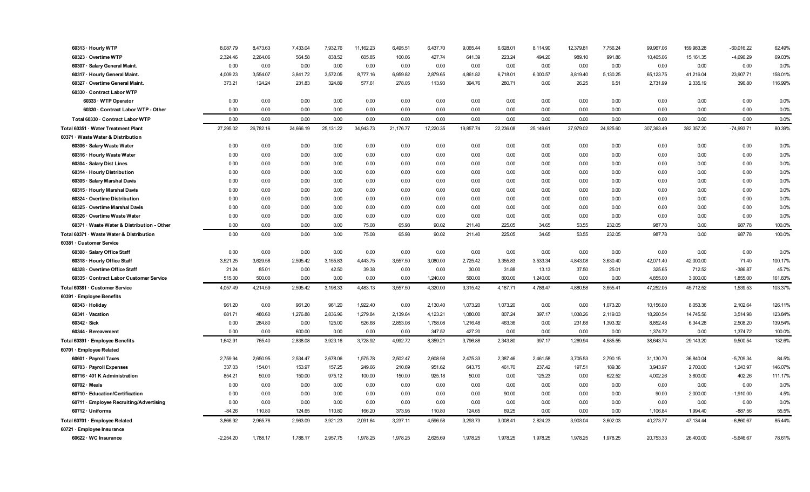| 60313 · Hourly WTP                         | 8,087.79    | 8,473.63  | 7,433.04  | 7,932.76  | 11, 162.23 | 6,495.51  | 6,437.70  | 9,065.44  | 6,628.01  | 8,114.90  | 12,379.81 | 7,756.24  | 99,967.06  | 159,983.28 | $-60,016.22$ | 62.49%  |
|--------------------------------------------|-------------|-----------|-----------|-----------|------------|-----------|-----------|-----------|-----------|-----------|-----------|-----------|------------|------------|--------------|---------|
| 60323 Overtime WTP                         | 2,324.46    | 2,264.06  | 564.58    | 838.52    | 605.85     | 100.06    | 427.74    | 641.39    | 223.24    | 494.20    | 989.10    | 991.86    | 10,465.06  | 15, 161.35 | $-4,696.29$  | 69.03%  |
| 60307 · Salary General Maint.              | 0.00        | 0.00      | 0.00      | 0.00      | 0.00       | 0.00      | 0.00      | 0.00      | 0.00      | 0.00      | 0.00      | 0.00      | 0.00       | 0.00       | 0.00         | 0.0%    |
| 60317 · Hourly General Maint.              | 4,009.23    | 3,554.07  | 3,841.72  | 3,572.05  | 8,777.16   | 6,959.82  | 2,879.65  | 4,861.82  | 6,718.01  | 6,000.57  | 8,819.40  | 5,130.25  | 65, 123.75 | 41,216.04  | 23,907.71    | 158.01% |
| 60327 Overtime General Maint.              | 373.21      | 124.24    | 231.83    | 324.89    | 577.61     | 278.05    | 113.93    | 394.76    | 280.71    | 0.00      | 26.25     | 6.51      | 2.731.99   | 2.335.19   | 396.80       | 116.99% |
| 60330 · Contract Labor WTP                 |             |           |           |           |            |           |           |           |           |           |           |           |            |            |              |         |
| 60333 · WTP Operator                       | 0.00        | 0.00      | 0.00      | 0.00      | 0.00       | 0.00      | 0.00      | 0.00      | 0.00      | 0.00      | 0.00      | 0.00      | 0.00       | 0.00       | 0.00         | 0.0%    |
| 60330 · Contract Labor WTP - Other         | 0.00        | 0.00      | 0.00      | 0.00      | 0.00       | 0.00      | 0.00      | 0.00      | 0.00      | 0.00      | 0.00      | 0.00      | 0.00       | 0.00       | 0.00         | 0.0%    |
| Total 60330 · Contract Labor WTP           | 0.00        | 0.00      | 0.00      | 0.00      | 0.00       | 0.00      | 0.00      | 0.00      | 0.00      | 0.00      | 0.00      | 0.00      | 0.00       | 0.00       | 0.00         | 0.0%    |
| Total 60351 · Water Treatment Plant        | 27,295.02   | 26,782.16 | 24,666.19 | 25,131.22 | 34,943.73  | 21,176.77 | 17,220.35 | 19,857.74 | 22,236.08 | 25,149.61 | 37,979.02 | 24,925.60 | 307,363.49 | 382,357.20 | $-74,993.71$ | 80.39%  |
| 60371 · Waste Water & Distribution         |             |           |           |           |            |           |           |           |           |           |           |           |            |            |              |         |
| 60306 · Salary Waste Water                 | 0.00        | 0.00      | 0.00      | 0.00      | 0.00       | 0.00      | 0.00      | 0.00      | 0.00      | 0.00      | 0.00      | 0.00      | 0.00       | 0.00       | 0.00         | 0.0%    |
| 60316 · Hourly Waste Water                 | 0.00        | 0.00      | 0.00      | 0.00      | 0.00       | 0.00      | 0.00      | 0.00      | 0.00      | 0.00      | 0.00      | 0.00      | 0.00       | 0.00       | 0.00         | 0.0%    |
| 60304 · Salary Dist Lines                  | 0.00        | 0.00      | 0.00      | 0.00      | 0.00       | 0.00      | 0.00      | 0.00      | 0.00      | 0.00      | 0.00      | 0.00      | 0.00       | 0.00       | 0.00         | 0.0%    |
| 60314 · Hourly Distribution                | 0.00        | 0.00      | 0.00      | 0.00      | 0.00       | 0.00      | 0.00      | 0.00      | 0.00      | 0.00      | 0.00      | 0.00      | 0.00       | 0.00       | 0.00         | 0.0%    |
| 60305 · Salary Marshal Davis               | 0.00        | 0.00      | 0.00      | 0.00      | 0.00       | 0.00      | 0.00      | 0.00      | 0.00      | 0.00      | 0.00      | 0.00      | 0.00       | 0.00       | 0.00         | 0.0%    |
| 60315 · Hourly Marshal Davis               | 0.00        | 0.00      | 0.00      | 0.00      | 0.00       | 0.00      | 0.00      | 0.00      | 0.00      | 0.00      | 0.00      | 0.00      | 0.00       | 0.00       | 0.00         | 0.0%    |
| 60324 · Overtime Distribution              | 0.00        | 0.00      | 0.00      | 0.00      | 0.00       | 0.00      | 0.00      | 0.00      | 0.00      | 0.00      | 0.00      | 0.00      | 0.00       | 0.00       | 0.00         | 0.0%    |
| 60325 Overtime Marshal Davis               | 0.00        | 0.00      | 0.00      | 0.00      | 0.00       | 0.00      | 0.00      | 0.00      | 0.00      | 0.00      | 0.00      | 0.00      | 0.00       | 0.00       | 0.00         | 0.0%    |
| 60326 Overtime Waste Water                 | 0.00        | 0.00      | 0.00      | 0.00      | 0.00       | 0.00      | 0.00      | 0.00      | 0.00      | 0.00      | 0.00      | 0.00      | 0.00       | 0.00       | 0.00         | 0.0%    |
| 60371 · Waste Water & Distribution - Other | 0.00        | 0.00      | 0.00      | 0.00      | 75.08      | 65.98     | 90.02     | 211.40    | 225.05    | 34.65     | 53.55     | 232.05    | 987.78     | 0.00       | 987.78       | 100.0%  |
| Total 60371 · Waste Water & Distribution   | 0.00        | 0.00      | 0.00      | 0.00      | 75.08      | 65.98     | 90.02     | 211.40    | 225.05    | 34.65     | 53.55     | 232.05    | 987.78     | 0.00       | 987.78       | 100.0%  |
| 60381 · Customer Service                   |             |           |           |           |            |           |           |           |           |           |           |           |            |            |              |         |
| 60308 · Salary Office Staff                | 0.00        | 0.00      | 0.00      | 0.00      | 0.00       | 0.00      | 0.00      | 0.00      | 0.00      | 0.00      | 0.00      | 0.00      | 0.00       | 0.00       | 0.00         | 0.0%    |
| 60318 · Hourly Office Staff                | 3,521.25    | 3,629.58  | 2,595.42  | 3,155.83  | 4,443.75   | 3,557.50  | 3,080.00  | 2,725.42  | 3,355.83  | 3,533.34  | 4,843.08  | 3,630.40  | 42,071.40  | 42,000.00  | 71.40        | 100.17% |
| 60328 · Overtime Office Staff              | 21.24       | 85.01     | 0.00      | 42.50     | 39.38      | 0.00      | 0.00      | 30.00     | 31.88     | 13.13     | 37.50     | 25.01     | 325.65     | 712.52     | $-386.87$    | 45.7%   |
| 60335 Contract Labor Customer Service      | 515.00      | 500.00    | 0.00      | 0.00      | 0.00       | 0.00      | 1,240.00  | 560.00    | 800.00    | 1,240.00  | 0.00      | 0.00      | 4,855.00   | 3,000.00   | 1,855.00     | 161.83% |
| Total 60381 · Customer Service             | 4,057.49    | 4,214.59  | 2,595.42  | 3,198.33  | 4,483.13   | 3,557.50  | 4,320.00  | 3,315.42  | 4,187.71  | 4,786.47  | 4.880.58  | 3,655.41  | 47,252.05  | 45,712.52  | 1.539.53     | 103.37% |
| 60391 · Employee Benefits                  |             |           |           |           |            |           |           |           |           |           |           |           |            |            |              |         |
| 60343 · Holiday                            | 961.20      | 0.00      | 961.20    | 961.20    | 1,922.40   | 0.00      | 2,130.40  | 1,073.20  | 1,073.20  | 0.00      | 0.00      | 1,073.20  | 10,156.00  | 8.053.36   | 2,102.64     | 126.11% |
| 60341 Vacation                             | 681.71      | 480.60    | 1,276.88  | 2,836.96  | 1,279.84   | 2,139.64  | 4,123.21  | 1,080.00  | 807.24    | 397.17    | 1,038.26  | 2,119.03  | 18,260.54  | 14,745.56  | 3,514.98     | 123.84% |
| $60342 \cdot Sick$                         | 0.00        | 284.80    | 0.00      | 125.00    | 526.68     | 2,853.08  | 1,758.08  | 1,216.48  | 463.36    | 0.00      | 231.68    | 1,393.32  | 8,852.48   | 6,344.28   | 2,508.20     | 139.54% |
| 60344 · Bereavement                        | 0.00        | 0.00      | 600.00    | 0.00      | 0.00       | 0.00      | 347.52    | 427.20    | 0.00      | 0.00      | 0.00      | 0.00      | 1.374.72   | 0.00       | 1,374.72     | 100.0%  |
| Total 60391 · Employee Benefits            | 1.642.91    | 765.40    | 2.838.08  | 3.923.16  | 3.728.92   | 4.992.72  | 8.359.21  | 3.796.88  | 2.343.80  | 397.17    | 1.269.94  | 4,585.55  | 38.643.74  | 29.143.20  | 9.500.54     | 132.6%  |
| 60701 · Employee Related                   |             |           |           |           |            |           |           |           |           |           |           |           |            |            |              |         |
| 60601 · Payroll Taxes                      | 2,759.94    | 2,650.95  | 2,534.47  | 2,678.06  | 1,575.78   | 2,502.47  | 2,608.98  | 2,475.33  | 2,387.46  | 2,461.58  | 3,705.53  | 2,790.15  | 31,130.70  | 36,840.04  | $-5,709.34$  | 84.5%   |
| 60703 · Payroll Expenses                   | 337.03      | 154.01    | 153.97    | 157.25    | 249.66     | 210.69    | 951.62    | 643.75    | 461.70    | 237.42    | 197.51    | 189.36    | 3,943.97   | 2,700.00   | 1,243.97     | 146.07% |
| 60716 · 401 K Administration               | 854.21      | 50.00     | 150.00    | 975.12    | 100.00     | 150.00    | 925.18    | 50.00     | 0.00      | 125.23    | 0.00      | 622.52    | 4,002.26   | 3,600.00   | 402.26       | 111.17% |
| $60702 \cdot Meals$                        | 0.00        | 0.00      | 0.00      | 0.00      | 0.00       | 0.00      | 0.00      | 0.00      | 0.00      | 0.00      | 0.00      | 0.00      | 0.00       | 0.00       | 0.00         | 0.0%    |
| 60710 Education/Certification              | 0.00        | 0.00      | 0.00      | 0.00      | 0.00       | 0.00      | 0.00      | 0.00      | 90.00     | 0.00      | 0.00      | 0.00      | 90.00      | 2,000.00   | $-1,910.00$  | 4.5%    |
| 60711 · Employee Recruiting/Advertising    | 0.00        | 0.00      | 0.00      | 0.00      | 0.00       | 0.00      | 0.00      | 0.00      | 0.00      | 0.00      | 0.00      | 0.00      | 0.00       | 0.00       | 0.00         | 0.0%    |
| 60712 · Uniforms                           | $-84.26$    | 110.80    | 124.65    | 110.80    | 166.20     | 373.95    | 110.80    | 124.65    | 69.25     | 0.00      | 0.00      | 0.00      | 1,106.84   | 1,994.40   | $-887.56$    | 55.5%   |
| Total 60701 · Employee Related             | 3,866.92    | 2,965.76  | 2,963.09  | 3,921.23  | 2,091.64   | 3,237.11  | 4,596.58  | 3,293.73  | 3,008.41  | 2,824.23  | 3,903.04  | 3,602.03  | 40,273.77  | 47,134.44  | $-6.860.67$  | 85.44%  |
| 60721 · Employee Insurance                 |             |           |           |           |            |           |           |           |           |           |           |           |            |            |              |         |
| 60622 · WC Insurance                       | $-2,254.20$ | 1,788.17  | 1,788.17  | 2,957.75  | 1,978.25   | 1,978.25  | 2,625.69  | 1,978.25  | 1,978.25  | 1,978.25  | 1,978.25  | 1,978.25  | 20,753.33  | 26,400.00  | $-5,646.67$  | 78.61%  |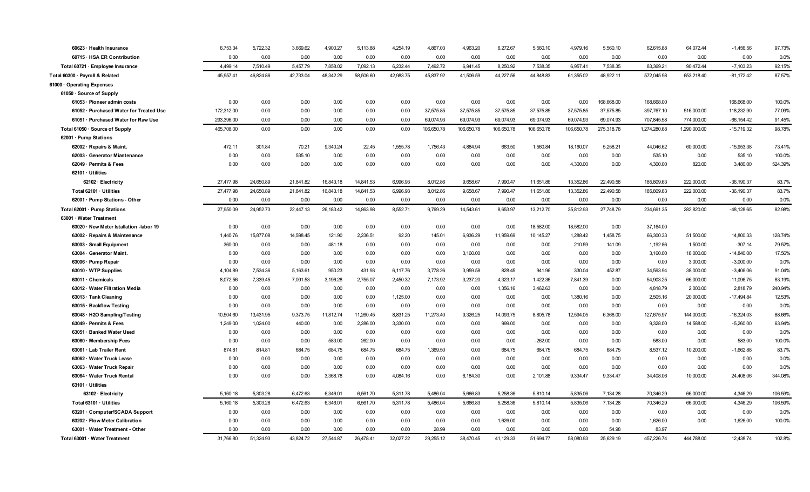| 60623 · Health Insurance                | 6,753.34   | 5,722.32  | 3,669.62  | 4,900.27  | 5,113.88  | 4,254.19  | 4,867.03   | 4,963.20   | 6,272.67   | 5,560.10   | 4,979.16   | 5,560.10   | 62,615.88    | 64,072.44    | $-1,456.56$   | 97.73%  |
|-----------------------------------------|------------|-----------|-----------|-----------|-----------|-----------|------------|------------|------------|------------|------------|------------|--------------|--------------|---------------|---------|
| 60715 · HSA ER Contribution             | 0.00       | 0.00      | 0.00      | 0.00      | 0.00      | 0.00      | 0.00       | 0.00       | 0.00       | 0.00       | 0.00       | 0.00       | 0.00         | 0.00         | 0.00          | 0.0%    |
| Total 60721 · Employee Insurance        | 4,499.14   | 7,510.49  | 5,457.79  | 7,858.02  | 7,092.13  | 6,232.44  | 7,492.72   | 6,941.45   | 8,250.92   | 7,538.35   | 6,957.41   | 7,538.35   | 83,369.21    | 90,472.44    | $-7,103.23$   | 92.15%  |
| Total 60300 · Payroll & Related         | 45,957.41  | 46,824.86 | 42,733.04 | 48,342.29 | 58,506.60 | 42,983.75 | 45,837.92  | 41,506.59  | 44,227.56  | 44,848.83  | 61,355.02  | 48,922.11  | 572,045.98   | 653,218.40   | $-81,172.42$  | 87.57%  |
| 61000 Operating Expenses                |            |           |           |           |           |           |            |            |            |            |            |            |              |              |               |         |
| 61050 · Source of Supply                |            |           |           |           |           |           |            |            |            |            |            |            |              |              |               |         |
| 61053 · Pioneer admin costs             | 0.00       | 0.00      | 0.00      | 0.00      | 0.00      | 0.00      | 0.00       | 0.00       | 0.00       | 0.00       | 0.00       | 168,668.00 | 168,668.00   |              | 168,668.00    | 100.0%  |
| 61052 · Purchased Water for Treated Use | 172,312.00 | 0.00      | 0.00      | 0.00      | 0.00      | 0.00      | 37,575.85  | 37,575.85  | 37,575.85  | 37,575.85  | 37,575.85  | 37,575.85  | 397,767.10   | 516,000.00   | $-118,232.90$ | 77.09%  |
| 61051 · Purchased Water for Raw Use     | 293,396.00 | 0.00      | 0.00      | 0.00      | 0.00      | 0.00      | 69,074.93  | 69,074.93  | 69,074.93  | 69,074.93  | 69,074.93  | 69,074.93  | 707,845.58   | 774,000.00   | $-66, 154.42$ | 91.45%  |
| Total 61050 · Source of Supply          | 465,708.00 | 0.00      | 0.00      | 0.00      | 0.00      | 0.00      | 106,650.78 | 106,650.78 | 106,650.78 | 106,650.78 | 106,650.78 | 275,318.78 | 1,274,280.68 | 1,290,000.00 | $-15,719.32$  | 98.78%  |
| 62001 · Pump Stations                   |            |           |           |           |           |           |            |            |            |            |            |            |              |              |               |         |
| 62002 · Repairs & Maint.                | 472.11     | 301.84    | 70.21     | 9,340.24  | 22.45     | 1,555.78  | 1,756.43   | 4,884.94   | 663.50     | 1,560.84   | 18,160.07  | 5,258.21   | 44,046.62    | 60,000.00    | $-15,953.38$  | 73.41%  |
| 62003 · Generator Miantenance           | 0.00       | 0.00      | 535.10    | 0.00      | 0.00      | 0.00      | 0.00       | 0.00       | 0.00       | 0.00       | 0.00       | 0.00       | 535.10       | 0.00         | 535.10        | 100.0%  |
| 62049 · Permits & Fees                  | 0.00       | 0.00      | 0.00      | 0.00      | 0.00      | 0.00      | 0.00       | 0.00       | 0.00       | 0.00       | 4,300.00   | 0.00       | 4,300.00     | 820.00       | 3,480.00      | 524.39% |
| 62101 · Utilities                       |            |           |           |           |           |           |            |            |            |            |            |            |              |              |               |         |
| 62102 · Electricity                     | 27,477.98  | 24.650.89 | 21,841.82 | 16,843.18 | 14,841.53 | 6.996.93  | 8,012.86   | 9.658.67   | 7,990.47   | 11,651.86  | 13.352.86  | 22.490.58  | 185,809.63   | 222,000.00   | $-36,190.37$  | 83.7%   |
| Total 62101 · Utilities                 | 27,477.98  | 24,650.89 | 21,841.82 | 16,843.18 | 14,841.53 | 6,996.93  | 8,012.86   | 9,658.67   | 7,990.47   | 11,651.86  | 13,352.86  | 22,490.58  | 185,809.63   | 222,000.00   | $-36,190.37$  | 83.7%   |
| 62001 · Pump Stations - Other           | 0.00       | 0.00      | 0.00      | 0.00      | 0.00      | 0.00      | 0.00       | 0.00       | 0.00       | 0.00       | 0.00       | 0.00       | 0.00         | 0.00         | 0.00          | 0.0%    |
| Total 62001 · Pump Stations             | 27,950.09  | 24,952.73 | 22,447.13 | 26,183.42 | 14,863.98 | 8,552.71  | 9,769.29   | 14,543.61  | 8,653.97   | 13,212.70  | 35,812.93  | 27,748.79  | 234,691.35   | 282,820.00   | $-48,128.65$  | 82.98%  |
| 63001 · Water Treatment                 |            |           |           |           |           |           |            |            |            |            |            |            |              |              |               |         |
| 63020 · New Meter Istallation -labor 19 | 0.00       | 0.00      | 0.00      | 0.00      | 0.00      | 0.00      | 0.00       | 0.00       | 0.00       | 18,582.00  | 18,582.00  | 0.00       | 37,164.00    |              |               |         |
| 63002 · Repairs & Maintenance           | 1,440.76   | 15,877.08 | 14,598.45 | 121.90    | 2,236.51  | 92.20     | 145.01     | 6,936.29   | 11,959.69  | 10,145.27  | 1,288.42   | 1,458.75   | 66,300.33    | 51,500.00    | 14,800.33     | 128.74% |
| 63003 · Small Equipment                 | 360.00     | 0.00      | 0.00      | 481.18    | 0.00      | 0.00      | 0.00       | 0.00       | 0.00       | 0.00       | 210.59     | 141.09     | 1,192.86     | 1,500.00     | $-307.14$     | 79.52%  |
| 63004 Generator Maint.                  | 0.00       | 0.00      | 0.00      | 0.00      | 0.00      | 0.00      | 0.00       | 3,160.00   | 0.00       | 0.00       | 0.00       | 0.00       | 3,160.00     | 18,000.00    | $-14,840.00$  | 17.56%  |
| 63006 · Pump Repair                     | 0.00       | 0.00      | 0.00      | 0.00      | 0.00      | 0.00      | 0.00       | 0.00       | 0.00       | 0.00       | 0.00       | 0.00       | 0.00         | 3,000.00     | $-3,000.00$   | 0.0%    |
| 63010 · WTP Supplies                    | 4,104.89   | 7,534.36  | 5,163.61  | 950.23    | 431.93    | 6,117.76  | 3,778.26   | 3,959.58   | 828.45     | 941.96     | 330.04     | 452.87     | 34,593.94    | 38,000.00    | $-3,406.06$   | 91.04%  |
| 63011 · Chemicals                       | 8,072.56   | 7,339.45  | 7,091.53  | 3,196.28  | 2,755.07  | 2,450.32  | 7,173.92   | 3,237.20   | 4,323.17   | 1,422.36   | 7,841.39   | 0.00       | 54,903.25    | 66,000.00    | $-11,096.75$  | 83.19%  |
| 63012 · Water Filtration Media          | 0.00       | 0.00      | 0.00      | 0.00      | 0.00      | 0.00      | 0.00       | 0.00       | 1,356.16   | 3,462.63   | 0.00       | 0.00       | 4,818.79     | 2,000.00     | 2,818.79      | 240.94% |
| 63013 · Tank Cleaning                   | 0.00       | 0.00      | 0.00      | 0.00      | 0.00      | 1,125.00  | 0.00       | 0.00       | 0.00       | 0.00       | 1,380.16   | 0.00       | 2,505.16     | 20,000.00    | $-17,494.84$  | 12.53%  |
| 63015 · Backflow Testing                | 0.00       | 0.00      | 0.00      | 0.00      | 0.00      | 0.00      | 0.00       | 0.00       | 0.00       | 0.00       | 0.00       | 0.00       | 0.00         | 0.00         | 0.00          | 0.0%    |
| 63048 · H2O Sampling/Testing            | 10,504.60  | 13.431.95 | 9,373.75  | 11,812.74 | 11,260.45 | 8,831.25  | 11,273.40  | 9.326.25   | 14,093.75  | 8.805.78   | 12.594.05  | 6.368.00   | 127,675.97   | 144,000.00   | $-16.324.03$  | 88.66%  |
| 63049 · Permits & Fees                  | 1,249.00   | 1.024.00  | 440.00    | 0.00      | 2,286.00  | 3,330.00  | 0.00       | 0.00       | 999.00     | 0.00       | 0.00       | 0.00       | 9,328.00     | 14,588.00    | $-5,260.00$   | 63.94%  |
| 63051 · Banked Water Used               | 0.00       | 0.00      | 0.00      | 0.00      | 0.00      | 0.00      | 0.00       | 0.00       | 0.00       | 0.00       | 0.00       | 0.00       | 0.00         | 0.00         | 0.00          | 0.0%    |
| 63060 · Membership Fees                 | 0.00       | 0.00      | 0.00      | 583.00    | 262.00    | 0.00      | 0.00       | 0.00       | 0.00       | $-262.00$  | 0.00       | 0.00       | 583.00       | 0.00         | 583.00        | 100.0%  |
| 63061 · Lab Trailer Rent                | 874.81     | 814.81    | 684.75    | 684.75    | 684.75    | 684.75    | 1,369.50   | 0.00       | 684.75     | 684.75     | 684.75     | 684.75     | 8,537.12     | 10,200.00    | $-1,662.88$   | 83.7%   |
| 63062 · Water Truck Lease               | 0.00       | 0.00      | 0.00      | 0.00      | 0.00      | 0.00      | 0.00       | 0.00       | 0.00       | 0.00       | 0.00       | 0.00       | 0.00         | 0.00         | 0.00          | 0.0%    |
| 63063 · Water Truck Repair              | 0.00       | 0.00      | 0.00      | 0.00      | 0.00      | 0.00      | 0.00       | 0.00       | 0.00       | 0.00       | 0.00       | 0.00       | 0.00         | 0.00         | 0.00          | 0.0%    |
| 63064 · Water Truck Rental              | 0.00       | 0.00      | 0.00      | 3,368.78  | 0.00      | 4,084.16  | 0.00       | 6,184.30   | 0.00       | 2,101.88   | 9,334.47   | 9,334.47   | 34,408.06    | 10,000.00    | 24,408.06     | 344.08% |
| 63101 · Utilities                       |            |           |           |           |           |           |            |            |            |            |            |            |              |              |               |         |
| 63102 · Electricity                     | 5,160.18   | 5,303.28  | 6,472.63  | 6,346.01  | 6,561.70  | 5,311.78  | 5,486.04   | 5,666.83   | 5,258.36   | 5,810.14   | 5,835.06   | 7,134.28   | 70,346.29    | 66,000.00    | 4,346.29      | 106.59% |
| Total 63101 · Utilities                 | 5,160.18   | 5,303.28  | 6,472.63  | 6,346.01  | 6,561.70  | 5,311.78  | 5,486.04   | 5,666.83   | 5,258.36   | 5,810.14   | 5,835.06   | 7,134.28   | 70,346.29    | 66,000.00    | 4,346.29      | 106.59% |
| 63201 · Computer/SCADA Support          | 0.00       | 0.00      | 0.00      | 0.00      | 0.00      | 0.00      | 0.00       | 0.00       | 0.00       | 0.00       | 0.00       | 0.00       | 0.00         | 0.00         | 0.00          | 0.0%    |
| 63202 · Flow Meter Calibration          | 0.00       | 0.00      | 0.00      | 0.00      | 0.00      | 0.00      | 0.00       | 0.00       | 1,626.00   | 0.00       | 0.00       | 0.00       | 1,626.00     | 0.00         | 1,626.00      | 100.0%  |
| 63001 · Water Treatment - Other         | 0.00       | 0.00      | 0.00      | 0.00      | 0.00      | 0.00      | 28.99      | 0.00       | 0.00       | 0.00       | 0.00       | 54.98      | 83.97        |              |               |         |
| Total 63001 · Water Treatment           | 31,766.80  | 51.324.93 | 43.824.72 | 27.544.87 | 26,478.41 | 32.027.22 | 29.255.12  | 38.470.45  | 41,129.33  | 51.694.77  | 58.080.93  | 25.629.19  | 457,226.74   | 444.788.00   | 12.438.74     | 102.8%  |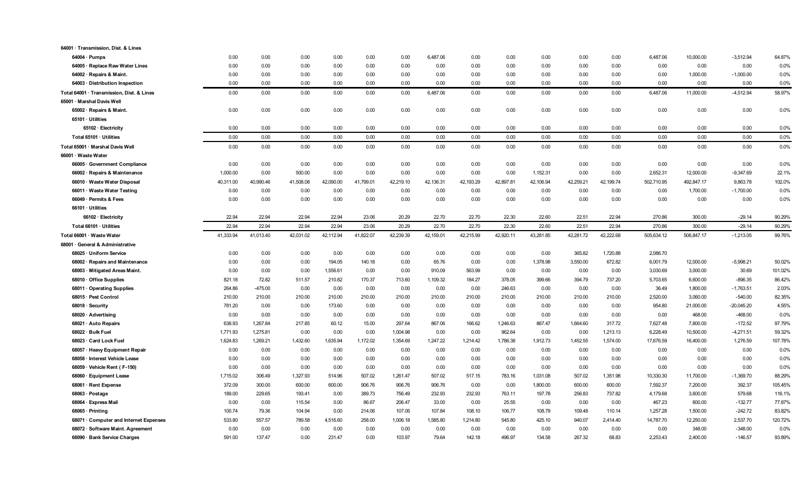| 64001 · Transmission, Dist. & Lines       |           |           |           |           |           |           |           |           |           |           |           |           |            |            |              |         |
|-------------------------------------------|-----------|-----------|-----------|-----------|-----------|-----------|-----------|-----------|-----------|-----------|-----------|-----------|------------|------------|--------------|---------|
| $64004 \cdot$ Pumps                       | 0.00      | 0.00      | 0.00      | 0.00      | 0.00      | 0.00      | 6,487.06  | 0.00      | 0.00      | 0.00      | 0.00      | 0.00      | 6.487.06   | 10,000.00  | $-3,512.94$  | 64.87%  |
| 64005 · Replace Raw Water Lines           | 0.00      | 0.00      | 0.00      | 0.00      | 0.00      | 0.00      | 0.00      | 0.00      | 0.00      | 0.00      | 0.00      | 0.00      | 0.00       | 0.00       | 0.00         | 0.0%    |
| 64002 · Repairs & Maint.                  | 0.00      | 0.00      | 0.00      | 0.00      | 0.00      | 0.00      | 0.00      | 0.00      | 0.00      | 0.00      | 0.00      | 0.00      | 0.00       | 1,000.00   | $-1,000.00$  | 0.0%    |
| 64003 · Distribution Inspection           | 0.00      | 0.00      | 0.00      | 0.00      | 0.00      | 0.00      | 0.00      | 0.00      | 0.00      | 0.00      | 0.00      | 0.00      | 0.00       | 0.00       | 0.00         | 0.0%    |
| Total 64001 · Transmission, Dist. & Lines | 0.00      | 0.00      | 0.00      | 0.00      | 0.00      | 0.00      | 6,487.06  | 0.00      | 0.00      | 0.00      | 0.00      | 0.00      | 6,487.06   | 11,000.00  | $-4,512.94$  | 58.97%  |
| 65001 · Marshal Davis Well                |           |           |           |           |           |           |           |           |           |           |           |           |            |            |              |         |
| 65002 · Repairs & Maint.                  | 0.00      | 0.00      | 0.00      | 0.00      | 0.00      | 0.00      | 0.00      | 0.00      | 0.00      | 0.00      | 0.00      | 0.00      | 0.00       | 0.00       | 0.00         | 0.0%    |
| 65101 · Utilities                         |           |           |           |           |           |           |           |           |           |           |           |           |            |            |              |         |
| 65102 · Electricity                       | 0.00      | 0.00      | 0.00      | 0.00      | 0.00      | 0.00      | 0.00      | 0.00      | 0.00      | 0.00      | 0.00      | 0.00      | 0.00       | 0.00       | 0.00         | 0.0%    |
| Total 65101 · Utilities                   | 0.00      | 0.00      | 0.00      | 0.00      | 0.00      | 0.00      | 0.00      | 0.00      | 0.00      | 0.00      | 0.00      | 0.00      | 0.00       | 0.00       | 0.00         | 0.0%    |
| Total 65001 · Marshal Davis Well          | 0.00      | 0.00      | 0.00      | 0.00      | 0.00      | 0.00      | 0.00      | 0.00      | 0.00      | 0.00      | 0.00      | 0.00      | 0.00       | 0.00       | 0.00         | 0.0%    |
| 66001 · Waste Water                       |           |           |           |           |           |           |           |           |           |           |           |           |            |            |              |         |
| 66005 · Government Compliance             | 0.00      | 0.00      | 0.00      | 0.00      | 0.00      | 0.00      | 0.00      | 0.00      | 0.00      | 0.00      | 0.00      | 0.00      | 0.00       | 0.00       | 0.00         | 0.0%    |
| 66002 · Repairs & Maintenance             | 1,000.00  | 0.00      | 500.00    | 0.00      | 0.00      | 0.00      | 0.00      | 0.00      | 0.00      | 1,152.31  | 0.00      | 0.00      | 2,652.31   | 12,000.00  | -9,347.69    | 22.1%   |
| 66010 · Waste Water Disposal              | 40,311.00 | 40,990.46 | 41,508.08 | 42,090.00 | 41,799.01 | 42,219.10 | 42,136.31 | 42,193.29 | 42,897.81 | 42,106.94 | 42,259.21 | 42,199.74 | 502,710.95 | 492,847.17 | 9,863.78     | 102.0%  |
| 66011 · Waste Water Testing               | 0.00      | 0.00      | 0.00      | 0.00      | 0.00      | 0.00      | 0.00      | 0.00      | 0.00      | 0.00      | 0.00      | 0.00      | 0.00       | 1,700.00   | $-1,700.00$  | 0.0%    |
| 66049 · Permits & Fees                    | 0.00      | 0.00      | 0.00      | 0.00      | 0.00      | 0.00      | 0.00      | 0.00      | 0.00      | 0.00      | 0.00      | 0.00      | 0.00       | 0.00       | 0.00         | 0.0%    |
| 66101 · Utilities                         |           |           |           |           |           |           |           |           |           |           |           |           |            |            |              |         |
| 66102 · Electricity                       | 22.94     | 22.94     | 22.94     | 22.94     | 23.06     | 20.29     | 22.70     | 22.70     | 22.30     | 22.60     | 22.51     | 22.94     | 270.86     | 300.00     | $-29.14$     | 90.29%  |
| Total 66101 · Utilities                   | 22.94     | 22.94     | 22.94     | 22.94     | 23.06     | 20.29     | 22.70     | 22.70     | 22.30     | 22.60     | 22.51     | 22.94     | 270.86     | 300.00     | $-29.14$     | 90.29%  |
| Total 66001 · Waste Water                 | 41,333.94 | 41,013.40 | 42,031.02 | 42,112.94 | 41,822.07 | 42,239.39 | 42,159.01 | 42,215.99 | 42,920.11 | 43,281.85 | 42,281.72 | 42,222.68 | 505,634.12 | 506,847.17 | $-1,213.05$  | 99.76%  |
| 68001 · General & Administrative          |           |           |           |           |           |           |           |           |           |           |           |           |            |            |              |         |
| 68025 · Uniform Service                   | 0.00      | 0.00      | 0.00      | 0.00      | 0.00      | 0.00      | 0.00      | 0.00      | 0.00      | 0.00      | 365.82    | 1,720.88  | 2,086.70   |            |              |         |
| 68002 · Repairs and Maintenance           | 0.00      | 0.00      | 0.00      | 194.05    | 140.18    | 0.00      | 65.76     | 0.00      | 0.00      | 1,378.98  | 3,550.00  | 672.82    | 6,001.79   | 12,000.00  | $-5,998.21$  | 50.02%  |
| 68003 · Mitigated Areas Maint.            | 0.00      | 0.00      | 0.00      | 1,556.61  | 0.00      | 0.00      | 910.09    | 563.99    | 0.00      | 0.00      | 0.00      | 0.00      | 3,030.69   | 3,000.00   | 30.69        | 101.02% |
| 68010 Office Supplies                     | 821.18    | 72.82     | 511.57    | 210.82    | 170.37    | 713.60    | 1,109.32  | 184.27    | 378.05    | 399.66    | 394.79    | 737.20    | 5,703.65   | 6,600.00   | $-896.35$    | 86.42%  |
| 68011 Operating Supplies                  | 264.86    | $-475.00$ | 0.00      | 0.00      | 0.00      | 0.00      | 0.00      | 0.00      | 246.63    | 0.00      | 0.00      | 0.00      | 36.49      | 1,800.00   | $-1,763.51$  | 2.03%   |
| 68015 · Pest Control                      | 210.00    | 210.00    | 210.00    | 210.00    | 210.00    | 210.00    | 210.00    | 210.00    | 210.00    | 210.00    | 210.00    | 210.00    | 2,520.00   | 3,060.00   | $-540.00$    | 82.35%  |
| 68018 · Security                          | 781.20    | 0.00      | 0.00      | 173.60    | 0.00      | 0.00      | 0.00      | 0.00      | 0.00      | 0.00      | 0.00      | 0.00      | 954.80     | 21,000.00  | $-20,045.20$ | 4.55%   |
| 68020 Advertising                         | 0.00      | 0.00      | 0.00      | 0.00      | 0.00      | 0.00      | 0.00      | 0.00      | 0.00      | 0.00      | 0.00      | 0.00      | 0.00       | 468.00     | $-468.00$    | 0.0%    |
| 68021 · Auto Repairs                      | 638.93    | 1,267.84  | 217.85    | 60.12     | 15.00     | 297.64    | 867.06    | 166.62    | 1,246.63  | 867.47    | 1,664.60  | 317.72    | 7,627.48   | 7,800.00   | $-172.52$    | 97.79%  |
| 68022 · Bulk Fuel                         | 1,771.93  | 1,275.81  | 0.00      | 0.00      | 0.00      | 1,004.98  | 0.00      | 0.00      | 962.64    | 0.00      | 0.00      | 1,213.13  | 6,228.49   | 10,500.00  | $-4,271.51$  | 59.32%  |
| 68023 Card Lock Fuel                      | 1,624.83  | 1,269.21  | 1,432.60  | 1,635.94  | 1,172.02  | 1,354.69  | 1,247.22  | 1,214.42  | 1,786.38  | 1,912.73  | 1,452.55  | 1,574.00  | 17,676.59  | 16,400.00  | 1,276.59     | 107.78% |
| 68057 · Heavy Equipment Repair            | 0.00      | 0.00      | 0.00      | 0.00      | 0.00      | 0.00      | 0.00      | 0.00      | 0.00      | 0.00      | 0.00      | 0.00      | 0.00       | 0.00       | 0.00         | 0.0%    |
| 68058 · Interest Vehicle Lease            | 0.00      | 0.00      | 0.00      | 0.00      | 0.00      | 0.00      | 0.00      | 0.00      | 0.00      | 0.00      | 0.00      | 0.00      | 0.00       | 0.00       | 0.00         | 0.0%    |
| 68059 · Vehicle Rent (F-150)              | 0.00      | 0.00      | 0.00      | 0.00      | 0.00      | 0.00      | 0.00      | 0.00      | 0.00      | 0.00      | 0.00      | 0.00      | 0.00       | 0.00       | 0.00         | 0.0%    |
| 68060 · Equipment Lease                   | 1,715.02  | 306.49    | 1.327.93  | 514.96    | 507.02    | 1,261.47  | 507.02    | 517.15    | 783.16    | 1,031.08  | 507.02    | 1,351.98  | 10,330.30  | 11,700.00  | $-1,369.70$  | 88.29%  |
| 68061 · Rent Expense                      | 372.09    | 300.00    | 600.00    | 600.00    | 906.76    | 906.76    | 906.76    | 0.00      | 0.00      | 1,800.00  | 600.00    | 600.00    | 7,592.37   | 7,200.00   | 392.37       | 105.45% |
| 68063 · Postage                           | 189.00    | 229.65    | 193.41    | 0.00      | 389.73    | 756.49    | 232.93    | 232.93    | 763.11    | 197.78    | 256.83    | 737.82    | 4,179.68   | 3,600.00   | 579.68       | 116.1%  |
| 68064 · Express Mail                      | 0.00      | 0.00      | 115.54    | 0.00      | 86.67     | 206.47    | 33.00     | 0.00      | 25.55     | 0.00      | 0.00      | 0.00      | 467.23     | 600.00     | $-132.77$    | 77.87%  |
| 68065 · Printing                          | 100.74    | 79.36     | 104.94    | 0.00      | 214.06    | 107.06    | 107.84    | 108.10    | 106.77    | 108.79    | 109.48    | 110.14    | 1,257.28   | 1,500.00   | $-242.72$    | 83.82%  |
| 68071 Computer and Internet Expenses      | 533.80    | 557.57    | 789.58    | 4,516.60  | 258.00    | 1,006.18  | 1,585.80  | 1,214.80  | 545.80    | 425.10    | 940.07    | 2.414.40  | 14,787.70  | 12,250.00  | 2,537.70     | 120.72% |
| 68072 · Software Maint. Agreement         | 0.00      | 0.00      | 0.00      | 0.00      | 0.00      | 0.00      | 0.00      | 0.00      | 0.00      | 0.00      | 0.00      | 0.00      | 0.00       | 348.00     | $-348.00$    | 0.0%    |
| 68090 · Bank Service Charges              | 591.00    | 137.47    | 0.00      | 231.47    | 0.00      | 103.97    | 79.64     | 142.18    | 496.97    | 134.58    | 267.32    | 68.83     | 2,253.43   | 2,400.00   | $-146.57$    | 93.89%  |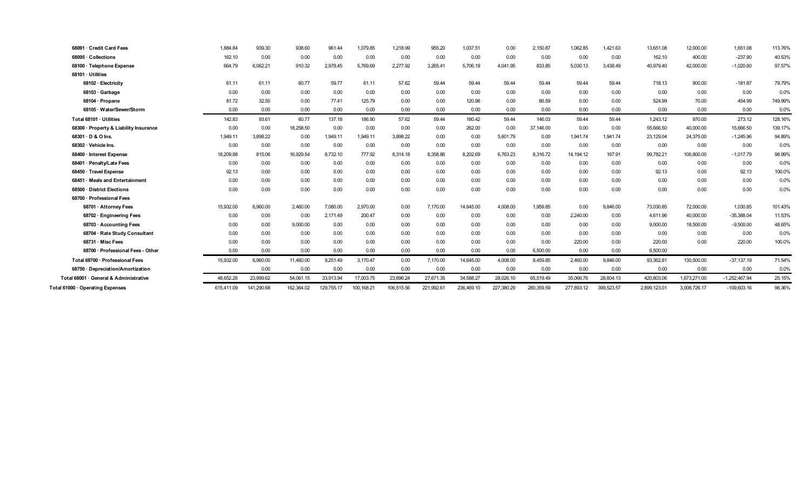| 68091 Credit Card Fees                 | 1,884.84   | 939.30     | 938.60     | 961.44     | 1,079.85   | 1,218.99   | 955.20     | 1,037.51   | 0.00       | 2,150.87   | 1,062.85   | 1,421.63   | 13,651.08    | 12,000.00    | 1,651.08        | 113.76% |
|----------------------------------------|------------|------------|------------|------------|------------|------------|------------|------------|------------|------------|------------|------------|--------------|--------------|-----------------|---------|
| 68095 · Collections                    | 162.10     | 0.00       | 0.00       | 0.00       | 0.00       | 0.00       | 0.00       | 0.00       | 0.00       | 0.00       | 0.00       | 0.00       | 162.10       | 400.00       | $-237.90$       | 40.53%  |
| 68100 · Telephone Expense              | 664.79     | 6.062.21   | 910.32     | 2,978.45   | 5,769.69   | 2,277.92   | 3,265.41   | 5,706.19   | 4,041.95   | 833.85     | 5,030.13   | 3,438.49   | 40,979.40    | 42,000.00    | $-1,020.60$     | 97.57%  |
| 68101 · Utilities                      |            |            |            |            |            |            |            |            |            |            |            |            |              |              |                 |         |
| 68102 · Electricity                    | 61.11      | 61.11      | 60.77      | 59.77      | 61.11      | 57.62      | 59.44      | 59.44      | 59.44      | 59.44      | 59.44      | 59.44      | 718.13       | 900.00       | $-181.87$       | 79.79%  |
| 68103 Garbage                          | 0.00       | 0.00       | 0.00       | 0.00       | 0.00       | 0.00       | 0.00       | 0.00       | 0.00       | 0.00       | 0.00       | 0.00       | 0.00         | 0.00         | 0.00            | 0.0%    |
| 68104 · Propane                        | 81.72      | 32.50      | 0.00       | 77.41      | 125.79     | 0.00       | 0.00       | 120.98     | 0.00       | 86.59      | 0.00       | 0.00       | 524.99       | 70.00        | 454.99          | 749.99% |
| 68105 · Water/Sewer/Storm              | 0.00       | 0.00       | 0.00       | 0.00       | 0.00       | 0.00       | 0.00       | 0.00       | 0.00       | 0.00       | 0.00       | 0.00       | 0.00         | 0.00         | 0.00            | 0.0%    |
| Total 68101 · Utilities                | 142.83     | 93.61      | 60.77      | 137.18     | 186.90     | 57.62      | 59.44      | 180.42     | 59.44      | 146.03     | 59.44      | 59.44      | 1,243.12     | 970.00       | 273.12          | 128.16% |
| 68300 · Property & Liability Insurance | 0.00       | 0.00       | 18,258.50  | 0.00       | 0.00       | 0.00       | 0.00       | 262.00     | 0.00       | 37,146.00  | 0.00       | 0.00       | 55,666.50    | 40,000.00    | 15,666.50       | 139.17% |
| 68301 · D & O Ins.                     | 1,949.11   | 3.898.22   | 0.00       | 1,949.11   | 1,949.11   | 3,898.22   | 0.00       | 0.00       | 5,601.79   | 0.00       | 1.941.74   | 1,941.74   | 23,129.04    | 24,375.00    | $-1,245.96$     | 94.89%  |
| 68302 · Vehicle Ins.                   | 0.00       | 0.00       | 0.00       | 0.00       | 0.00       | 0.00       | 0.00       | 0.00       | 0.00       | 0.00       | 0.00       | 0.00       | 0.00         | 0.00         | 0.00            | 0.0%    |
| 68400 · Interest Expense               | 18,209.88  | 815.06     | 16,929.54  | 8,732.10   | 777.92     | 8,314.18   | 8,358.86   | 8,202.69   | 6,763.23   | 8,316.72   | 14,194.12  | 167.91     | 99,782.21    | 100,800.00   | $-1,017.79$     | 98.99%  |
| 68401 · Penalty/Late Fees              | 0.00       | 0.00       | 0.00       | 0.00       | 0.00       | 0.00       | 0.00       | 0.00       | 0.00       | 0.00       | 0.00       | 0.00       | 0.00         | 0.00         | 0.00            | 0.0%    |
| 68450 · Travel Expense                 | 92.13      | 0.00       | 0.00       | 0.00       | 0.00       | 0.00       | 0.00       | 0.00       | 0.00       | 0.00       | 0.00       | 0.00       | 92.13        | 0.00         | 92.13           | 100.0%  |
| 68451 Meals and Entertainment          | 0.00       | 0.00       | 0.00       | 0.00       | 0.00       | 0.00       | 0.00       | 0.00       | 0.00       | 0.00       | 0.00       | 0.00       | 0.00         | 0.00         | 0.00            | 0.0%    |
| 68500 District Elections               | 0.00       | 0.00       | 0.00       | 0.00       | 0.00       | 0.00       | 0.00       | 0.00       | 0.00       | 0.00       | 0.00       | 0.00       | 0.00         | 0.00         | 0.00            | 0.0%    |
| 68700 · Professional Fees              |            |            |            |            |            |            |            |            |            |            |            |            |              |              |                 |         |
| 68701 · Attorney Fees                  | 15,932.00  | 6,960.00   | 2,460.00   | 7,080.00   | 2,970.00   | 0.00       | 7,170.00   | 14,645.00  | 4,008.00   | 1,959.85   | 0.00       | 9,846.00   | 73,030.85    | 72,000.00    | 1,030.85        | 101.43% |
| 68702 · Engineering Fees               | 0.00       | 0.00       | 0.00       | 2,171.49   | 200.47     | 0.00       | 0.00       | 0.00       | 0.00       | 0.00       | 2,240.00   | 0.00       | 4,611.96     | 40,000.00    | $-35,388.04$    | 11.53%  |
| 68703 · Accounting Fees                | 0.00       | 0.00       | 9,000.00   | 0.00       | 0.00       | 0.00       | 0.00       | 0.00       | 0.00       | 0.00       | 0.00       | 0.00       | 9,000.00     | 18,500.00    | $-9,500.00$     | 48.65%  |
| 68704 · Rate Study Consultant          | 0.00       | 0.00       | 0.00       | 0.00       | 0.00       | 0.00       | 0.00       | 0.00       | 0.00       | 0.00       | 0.00       | 0.00       | 0.00         | 0.00         | 0.00            | 0.0%    |
| 68731 Misc Fees                        | 0.00       | 0.00       | 0.00       | 0.00       | 0.00       | 0.00       | 0.00       | 0.00       | 0.00       | 0.00       | 220.00     | 0.00       | 220.00       | 0.00         | 220.00          | 100.0%  |
| 68700 · Professional Fees - Other      | 0.00       | 0.00       | 0.00       | 0.00       | 0.00       | 0.00       | 0.00       | 0.00       | 0.00       | 6,500.00   | 0.00       | 0.00       | 6,500.00     |              |                 |         |
| Total 68700 · Professional Fees        | 15,932.00  | 6,960.00   | 11,460.00  | 9,251.49   | 3,170.47   | 0.00       | 7,170.00   | 14,645.00  | 4,008.00   | 8,459.85   | 2,460.00   | 9,846.00   | 93,362.81    | 130,500.00   | $-37,137.19$    | 71.54%  |
| 68750 Depreciation/Amortization        |            | 0.00       | 0.00       | 0.00       | 0.00       | 0.00       | 0.00       | 0.00       | 0.00       | 0.00       | 0.00       | 0.00       | 0.00         | 0.00         | 0.00            | 0.0%    |
| Total 68001 · General & Administrative | 48.652.26  | 23,999.62  | 54,061.15  | 33,913.94  | 17,003.75  | 23,696.24  | 27,671.35  | 34,588.27  | 28,026.10  | 65,519.49  | 35,066.76  | 28,604.13  | 420,803.06   | 1,673,271.00 | $-1,252,467.94$ | 25.15%  |
| Total 61000 · Operating Expenses       | 615,411.09 | 141,290.68 | 162,364.02 | 129.755.17 | 100,168.21 | 106,515.56 | 221,992.61 | 236,469.10 | 227,380.29 | 280,359.59 | 277,893.12 | 399,523.57 | 2,899,123.01 | 3,008,726.17 | $-109,603.16$   | 96.36%  |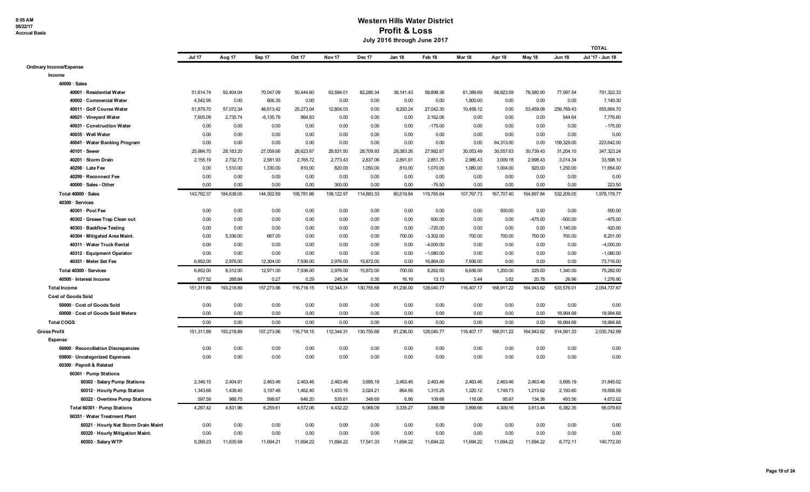**8:05 AM 05/22/17 Accrual Basis**

|                                      |               |            |             |            |                   |            |           |             |            |            |            |               | <b>TOTAL</b>     |
|--------------------------------------|---------------|------------|-------------|------------|-------------------|------------|-----------|-------------|------------|------------|------------|---------------|------------------|
|                                      | <b>Jul 17</b> | Aug 17     | Sep 17      | Oct 17     | Nov <sub>17</sub> | Dec 17     | Jan 18    | Feb 18      | Mar 18     | Apr 18     | May 18     | <b>Jun 18</b> | Jul '17 - Jun 18 |
| Ordinary Income/Expense              |               |            |             |            |                   |            |           |             |            |            |            |               |                  |
| Income                               |               |            |             |            |                   |            |           |             |            |            |            |               |                  |
| $40000 \cdot$ Sales                  |               |            |             |            |                   |            |           |             |            |            |            |               |                  |
| 40001 · Residential Water            | 51,614.74     | 92,404.04  | 70,047.09   | 50,444.60  | 63,594.01         | 82,286.34  | 38,141.43 | 58,898.36   | 61,389.69  | 68,823.59  | 76,580.90  | 77,097.54     | 791,322.33       |
| 40002 · Commercial Water             | 4,542.95      | 0.00       | 806.35      | 0.00       | 0.00              | 0.00       | 0.00      | 0.00        | 1,800.00   | 0.00       | 0.00       | 0.00          | 7,149.30         |
| 40011 · Golf Course Water            | 51,879.70     | 57,072.34  | 48,613.42   | 25,273.04  | 12,804.03         | 0.00       | 9,293.24  | 27,042.30   | 10,458.12  | 0.00       | 53,459.08  | 259,769.43    | 555,664.70       |
| 40021 · Vineyard Water               | 7,605.09      | 2,735.74   | $-6,135.76$ | 864.83     | 0.00              | 0.00       | 0.00      | 2,162.06    | 0.00       | 0.00       | 0.00       | 544.64        | 7,776.60         |
| 40031 · Construction Water           | 0.00          | 0.00       | 0.00        | 0.00       | 0.00              | 0.00       | 0.00      | $-175.00$   | 0.00       | 0.00       | 0.00       | 0.00          | $-175.00$        |
| 40035 · Well Water                   | 0.00          | 0.00       | 0.00        | 0.00       | 0.00              | 0.00       | 0.00      | 0.00        | 0.00       | 0.00       | 0.00       | 0.00          | 0.00             |
| 40041 · Water Banking Program        | 0.00          | 0.00       | 0.00        | 0.00       | 0.00              | 0.00       | 0.00      | 0.00        | 0.00       | 64,313.00  | 0.00       | 159,329.00    | 223,642.00       |
| 40101 · Sewer                        | 25,984.70     | 28,183.20  | 27,059.66   | 28,623.67  | 28,831.50         | 28,709.93  | 29,383.26 | 27,992.67   | 30,053.49  | 30,557.63  | 30,739.43  | 31,204.10     | 347,323.24       |
| 40201 · Storm Drain                  | 2,155.19      | 2,732.73   | 2,581.93    | 2,765.72   | 2,773.43          | 2,837.06   | 2,891.91  | 2,851.75    | 2,986.43   | 3,009.18   | 2,998.43   | 3,014.34      | 33,598.10        |
| 40298 · Late Fee                     | 0.00          | 1,510.00   | 1,330.00    | 810.00     | 820.00            | 1,050.00   | 810.00    | 1,070.00    | 1,080.00   | 1,004.00   | 920.00     | 1,250.00      | 11,654.00        |
| 40299 · Reconnect Fee                | 0.00          | 0.00       | 0.00        | 0.00       | 0.00              | 0.00       | 0.00      | 0.00        | 0.00       | 0.00       | 0.00       | 0.00          | 0.00             |
| 40000 · Sales - Other                | 0.00          | 0.00       | 0.00        | 0.00       | 300.00            | 0.00       | 0.00      | $-76.50$    | 0.00       | 0.00       | 0.00       | 0.00          | 223.50           |
| Total 40000 · Sales                  | 143,782.37    | 184,638.05 | 144,302.69  | 108,781.86 | 109,122.97        | 114,883.33 | 80,519.84 | 119,765.64  | 107,767.73 | 167,707.40 | 164,697.84 | 532,209.05    | 1,978,178.77     |
| 40300 · Services                     |               |            |             |            |                   |            |           |             |            |            |            |               |                  |
| 40301 · Pool Fee                     | 0.00          | 0.00       | 0.00        | 0.00       | 0.00              | 0.00       | 0.00      | 0.00        | 0.00       | 500.00     | 0.00       | 0.00          | 500.00           |
| 40302 · Grease Trap Clean out        | 0.00          | 0.00       | 0.00        | 0.00       | 0.00              | 0.00       | 0.00      | 500.00      | 0.00       | 0.00       | $-475.00$  | $-500.00$     | $-475.00$        |
| 40303 · Backflow Testing             | 0.00          | 0.00       | 0.00        | 0.00       | 0.00              | 0.00       | 0.00      | $-720.00$   | 0.00       | 0.00       | 0.00       | 1,140.00      | 420.00           |
| 40304 · Mitigated Area Maint.        | 0.00          | 5,336.00   | 667.00      | 0.00       | 0.00              | 0.00       | 700.00    | $-3,302.00$ | 700.00     | 700.00     | 700.00     | 700.00        | 6,201.00         |
| 40311 · Water Truck Rental           | 0.00          | 0.00       | 0.00        | 0.00       | 0.00              | 0.00       | 0.00      | $-4,000.00$ | 0.00       | 0.00       | 0.00       | 0.00          | $-4,000.00$      |
| 40312 · Equipment Operator           | 0.00          | 0.00       | 0.00        | 0.00       | 0.00              | 0.00       | 0.00      | $-1,080.00$ | 0.00       | 0.00       | 0.00       | 0.00          | $-1,080.00$      |
| 40351 · Meter Set Fee                | 6.852.00      | 2,976.00   | 12,304.00   | 7.936.00   | 2.976.00          | 15,872.00  | 0.00      | 16,864.00   | 7.936.00   | 0.00       | 0.00       | 0.00          | 73.716.00        |
| Total 40300 · Services               | 6,852.00      | 8,312.00   | 12,971.00   | 7,936.00   | 2,976.00          | 15,872.00  | 700.00    | 8,262.00    | 8,636.00   | 1,200.00   | 225.00     | 1,340.00      | 75,282.00        |
| 40500 · Interest Income              | 677.52        | 268.84     | 0.27        | 0.29       | 245.34            | 0.35       | 16.16     | 13.13       | 3.44       | 3.82       | 20.78      | 26.96         | 1,276.90         |
| <b>Total Income</b>                  | 151,311.89    | 193,218.89 | 157,273.96  | 116,718.15 | 112,344.31        | 130,755.68 | 81,236.00 | 128,040.77  | 116,407.17 | 168,911.22 | 164,943.62 | 533,576.01    | 2,054,737.67     |
| <b>Cost of Goods Sold</b>            |               |            |             |            |                   |            |           |             |            |            |            |               |                  |
| 50000 · Cost of Goods Sold           | 0.00          | 0.00       | 0.00        | 0.00       | 0.00              | 0.00       | 0.00      | 0.00        | 0.00       | 0.00       | 0.00       | 0.00          | 0.00             |
| 60000 · Cost of Goods Sold Meters    | 0.00          | 0.00       | 0.00        | 0.00       | 0.00              | 0.00       | 0.00      | 0.00        | 0.00       | 0.00       | 0.00       | 18,994.68     | 18,994.68        |
| <b>Total COGS</b>                    | 0.00          | 0.00       | 0.00        | 0.00       | 0.00              | 0.00       | 0.00      | 0.00        | 0.00       | 0.00       | 0.00       | 18,994.68     | 18,994.68        |
| <b>Gross Profit</b>                  | 151,311.89    | 193,218.89 | 157,273.96  | 116,718.15 | 112,344.31        | 130,755.68 | 81,236.00 | 128,040.77  | 116,407.17 | 168,911.22 | 164,943.62 | 514,581.33    | 2.035.742.99     |
| <b>Expense</b>                       |               |            |             |            |                   |            |           |             |            |            |            |               |                  |
| 66900 · Reconciliation Discrepancies | 0.00          | 0.00       | 0.00        | 0.00       | 0.00              | 0.00       | 0.00      | 0.00        | 0.00       | 0.00       | 0.00       | 0.00          | 0.00             |
| 69800 · Uncategorized Expenses       | 0.00          | 0.00       | 0.00        | 0.00       | 0.00              | 0.00       | 0.00      | 0.00        | 0.00       | 0.00       | 0.00       | 0.00          | 0.00             |
| 60300 · Payroll & Related            |               |            |             |            |                   |            |           |             |            |            |            |               |                  |
| 60301 · Pump Stations                |               |            |             |            |                   |            |           |             |            |            |            |               |                  |
| 60302 · Salary Pump Stations         | 2,346.15      | 2,404.81   | 2,463.46    | 2,463.46   | 2,463.46          | 3,695.19   | 2,463.46  | 2,463.46    | 2,463.46   | 2,463.46   | 2,463.46   | 3,695.19      | 31,849.02        |
| 60312 · Hourly Pump Station          | 1,343.68      | 1,438.40   | 3,197.48    | 1,462.40   | 1,433.15          | 2,024.21   | 864.95    | 1,315.25    | 1,320.12   | 1,749.73   | 1,215.62   | 2,193.60      | 19,558.59        |
| 60322 · Overtime Pump Stations       | 597.59        | 988.75     | 598.67      | 646.20     | 535.61            | 348.69     | 6.86      | 109.68      | 116.08     | 95.97      | 134.36     | 493.56        | 4,672.02         |
| Total 60301 · Pump Stations          | 4,287.42      | 4,831.96   | 6,259.61    | 4,572.06   | 4,432.22          | 6,068.09   | 3,335.27  | 3,888.39    | 3,899.66   | 4,309.16   | 3,813.44   | 6,382.35      | 56,079.63        |
| 60351 · Water Treatment Plant        |               |            |             |            |                   |            |           |             |            |            |            |               |                  |
| 60321 · Hourly Nat Storm Drain Maint | 0.00          | 0.00       | 0.00        | 0.00       | 0.00              | 0.00       | 0.00      | 0.00        | 0.00       | 0.00       | 0.00       | 0.00          | 0.00             |
| 60320 · Hourly Mitigation Maint.     | 0.00          | 0.00       | 0.00        | 0.00       | 0.00              | 0.00       | 0.00      | 0.00        | 0.00       | 0.00       | 0.00       | 0.00          | 0.00             |
| 60303 · Salary WTP                   | 9,269.23      | 11,635.58  | 11,694.21   | 11,694.22  | 11,694.22         | 17,541.33  | 11,694.22 | 11,694.22   | 11,694.22  | 11,694.22  | 11,694.22  | 8,772.11      | 140,772.00       |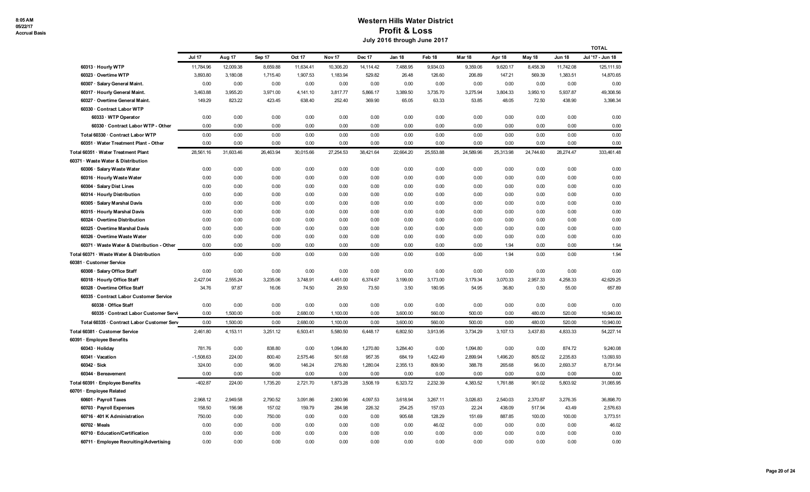|                                                                          |               |           |           |           |                   |           |           |           |               |           |           |               | <b>TOTAL</b>     |
|--------------------------------------------------------------------------|---------------|-----------|-----------|-----------|-------------------|-----------|-----------|-----------|---------------|-----------|-----------|---------------|------------------|
|                                                                          | <b>Jul 17</b> | Aug 17    | Sep 17    | Oct 17    | Nov <sub>17</sub> | Dec 17    | Jan 18    | Feb 18    | <b>Mar 18</b> | Apr 18    | May 18    | <b>Jun 18</b> | Jul '17 - Jun 18 |
| 60313 · Hourly WTP                                                       | 11,784.96     | 12,009.38 | 8,659.88  | 11,634.41 | 10,306.20         | 14,114.42 | 7,488.95  | 9,934.03  | 9,359.06      | 9,620.17  | 8,458.39  | 11,742.08     | 125,111.93       |
| 60323 · Overtime WTP                                                     | 3,893.80      | 3,180.08  | 1,715.40  | 1,907.53  | 1,183.94          | 529.82    | 26.48     | 126.60    | 206.89        | 147.21    | 569.39    | 1,383.51      | 14,870.65        |
| 60307 · Salary General Maint.                                            | 0.00          | 0.00      | 0.00      | 0.00      | 0.00              | 0.00      | 0.00      | 0.00      | 0.00          | 0.00      | 0.00      | 0.00          | 0.00             |
| 60317 · Hourly General Maint.                                            | 3,463.88      | 3,955.20  | 3,971.00  | 4,141.10  | 3,817.77          | 5,866.17  | 3,389.50  | 3,735.70  | 3,275.94      | 3,804.33  | 3,950.10  | 5,937.87      | 49,308.56        |
| 60327 · Overtime General Maint.                                          | 149.29        | 823.22    | 423.45    | 638.40    | 252.40            | 369.90    | 65.05     | 63.33     | 53.85         | 48.05     | 72.50     | 438.90        | 3,398.34         |
| 60330 · Contract Labor WTP                                               |               |           |           |           |                   |           |           |           |               |           |           |               |                  |
| 60333 · WTP Operator                                                     | 0.00          | 0.00      | 0.00      | 0.00      | 0.00              | 0.00      | 0.00      | 0.00      | 0.00          | 0.00      | 0.00      | 0.00          | 0.00             |
| 60330 · Contract Labor WTP - Other                                       | 0.00          | 0.00      | 0.00      | 0.00      | 0.00              | 0.00      | 0.00      | 0.00      | 0.00          | 0.00      | 0.00      | 0.00          | 0.00             |
| Total 60330 · Contract Labor WTP                                         | 0.00          | 0.00      | 0.00      | 0.00      | 0.00              | 0.00      | 0.00      | 0.00      | 0.00          | 0.00      | 0.00      | 0.00          | 0.00             |
| 60351 · Water Treatment Plant - Other                                    | 0.00          | 0.00      | 0.00      | 0.00      | 0.00              | 0.00      | 0.00      | 0.00      | 0.00          | 0.00      | 0.00      | 0.00          | 0.00             |
| Total 60351 · Water Treatment Plant                                      | 28,561.16     | 31,603.46 | 26,463.94 | 30,015.66 | 27,254.53         | 38,421.64 | 22,664.20 | 25,553.88 | 24,589.96     | 25,313.98 | 24,744.60 | 28,274.47     | 333,461.48       |
| 60371 · Waste Water & Distribution                                       |               |           |           |           |                   |           |           |           |               |           |           |               |                  |
| 60306 · Salary Waste Water                                               | 0.00          | 0.00      | 0.00      | 0.00      | 0.00              | 0.00      | 0.00      | 0.00      | 0.00          | 0.00      | 0.00      | 0.00          | 0.00             |
| 60316 · Hourly Waste Water                                               | 0.00          | 0.00      | 0.00      | 0.00      | 0.00              | 0.00      | 0.00      | 0.00      | 0.00          | 0.00      | 0.00      | 0.00          | 0.00             |
| 60304 · Salary Dist Lines                                                | 0.00          | 0.00      | 0.00      | 0.00      | 0.00              | 0.00      | 0.00      | 0.00      | 0.00          | 0.00      | 0.00      | 0.00          | 0.00             |
| 60314 · Hourly Distribution                                              | 0.00          | 0.00      | 0.00      | 0.00      | 0.00              | 0.00      | 0.00      | 0.00      | 0.00          | 0.00      | 0.00      | 0.00          | 0.00             |
| 60305 · Salary Marshal Davis                                             | 0.00          | 0.00      | 0.00      | 0.00      | 0.00              | 0.00      | 0.00      | 0.00      | 0.00          | 0.00      | 0.00      | 0.00          | 0.00             |
| 60315 · Hourly Marshal Davis                                             | 0.00          | 0.00      | 0.00      | 0.00      | 0.00              | 0.00      | 0.00      | 0.00      | 0.00          | 0.00      | 0.00      | 0.00          | 0.00             |
| 60324 · Overtime Distribution                                            | 0.00          | 0.00      | 0.00      | 0.00      | 0.00              | 0.00      | 0.00      | 0.00      | 0.00          | 0.00      | 0.00      | 0.00          | 0.00             |
| 60325 · Overtime Marshal Davis                                           | 0.00          | 0.00      | 0.00      | 0.00      | 0.00              | 0.00      | 0.00      | 0.00      | 0.00          | 0.00      | 0.00      | 0.00          | 0.00             |
| 60326 · Overtime Waste Water                                             | 0.00          | 0.00      | 0.00      | 0.00      | 0.00              | 0.00      | 0.00      | 0.00      | 0.00          | 0.00      | 0.00      | 0.00          | 0.00             |
| 60371 · Waste Water & Distribution - Other                               | 0.00          | 0.00      | 0.00      | 0.00      | 0.00              | 0.00      | 0.00      | 0.00      | 0.00          | 1.94      | 0.00      | 0.00          | 1.94             |
| Total 60371 · Waste Water & Distribution                                 | 0.00          | 0.00      | 0.00      | 0.00      | 0.00              | 0.00      | 0.00      | 0.00      | 0.00          | 1.94      | 0.00      | 0.00          | 1.94             |
| 60381 · Customer Service                                                 |               |           |           |           |                   |           |           |           |               |           |           |               |                  |
| 60308 · Salary Office Staff                                              | 0.00          | 0.00      | 0.00      | 0.00      | 0.00              | 0.00      | 0.00      | 0.00      | 0.00          | 0.00      | 0.00      | 0.00          | 0.00             |
| 60318 · Hourly Office Staff                                              | 2,427.04      | 2,555.24  | 3,235.06  | 3,748.91  | 4,451.00          | 6,374.67  | 3,199.00  | 3,173.00  | 3,179.34      | 3,070.33  | 2,957.33  | 4,258.33      | 42,629.25        |
| 60328 · Overtime Office Staff<br>60335 · Contract Labor Customer Service | 34.76         | 97.87     | 16.06     | 74.50     | 29.50             | 73.50     | 3.50      | 180.95    | 54.95         | 36.80     | 0.50      | 55.00         | 657.89           |
| 60338 · Office Staff                                                     | 0.00          | 0.00      | 0.00      | 0.00      | 0.00              | 0.00      | 0.00      | 0.00      | 0.00          | 0.00      | 0.00      | 0.00          | 0.00             |
| 60335 · Contract Labor Customer Servi                                    | 0.00          | 1,500.00  | 0.00      | 2,680.00  | 1,100.00          | 0.00      | 3,600.00  | 560.00    | 500.00        | 0.00      | 480.00    | 520.00        | 10,940.00        |
| Total 60335 · Contract Labor Customer Serv                               | 0.00          | 1,500.00  | 0.00      | 2,680.00  | 1,100.00          | 0.00      | 3,600.00  | 560.00    | 500.00        | 0.00      | 480.00    | 520.00        | 10,940.00        |
| Total 60381 · Customer Service                                           | 2,461.80      | 4,153.11  | 3,251.12  | 6,503.41  | 5,580.50          | 6,448.17  | 6,802.50  | 3,913.95  | 3,734.29      | 3,107.13  | 3,437.83  | 4,833.33      | 54,227.14        |
| 60391 · Employee Benefits                                                |               |           |           |           |                   |           |           |           |               |           |           |               |                  |
| 60343 · Holiday                                                          | 781.76        | 0.00      | 838.80    | 0.00      | 1,094.80          | 1,270.80  | 3,284.40  | 0.00      | 1,094.80      | 0.00      | 0.00      | 874.72        | 9,240.08         |
| 60341 · Vacation                                                         | $-1,508.63$   | 224.00    | 800.40    | 2,575.46  | 501.68            | 957.35    | 684.19    | 1,422.49  | 2,899.94      | 1,496.20  | 805.02    | 2,235.83      | 13,093.93        |
| $60342 \cdot Sick$                                                       | 324.00        | 0.00      | 96.00     | 146.24    | 276.80            | 1,280.04  | 2,355.13  | 809.90    | 388.78        | 265.68    | 96.00     | 2,693.37      | 8,731.94         |
| 60344 · Bereavement                                                      | 0.00          | 0.00      | 0.00      | 0.00      | 0.00              | 0.00      | 0.00      | 0.00      | 0.00          | 0.00      | 0.00      | 0.00          | 0.00             |
| Total 60391 · Employee Benefits                                          | $-402.87$     | 224.00    | 1,735.20  | 2.721.70  | 1,873.28          | 3,508.19  | 6,323.72  | 2.232.39  | 4.383.52      | 1,761.88  | 901.02    | 5.803.92      | 31.065.95        |
| 60701 · Employee Related                                                 |               |           |           |           |                   |           |           |           |               |           |           |               |                  |
| 60601 · Payroll Taxes                                                    | 2,968.12      | 2,949.58  | 2,790.52  | 3,091.86  | 2,900.96          | 4,097.53  | 3,618.94  | 3,267.11  | 3,026.83      | 2,540.03  | 2,370.87  | 3,276.35      | 36,898.70        |
| 60703 · Payroll Expenses                                                 | 158.50        | 156.98    | 157.02    | 159.79    | 284.98            | 226.32    | 254.25    | 157.03    | 22.24         | 438.09    | 517.94    | 43.49         | 2,576.63         |
| 60716 · 401 K Administration                                             | 750.00        | 0.00      | 750.00    | 0.00      | 0.00              | 0.00      | 905.68    | 128.29    | 151.69        | 887.85    | 100.00    | 100.00        | 3,773.51         |
| $60702 \cdot Meals$                                                      | 0.00          | 0.00      | 0.00      | 0.00      | 0.00              | 0.00      | 0.00      | 46.02     | 0.00          | 0.00      | 0.00      | 0.00          | 46.02            |
| 60710 · Education/Certification                                          | 0.00          | 0.00      | 0.00      | 0.00      | 0.00              | 0.00      | 0.00      | 0.00      | 0.00          | 0.00      | 0.00      | 0.00          | 0.00             |
| 60711 · Employee Recruiting/Advertising                                  | 0.00          | 0.00      | 0.00      | 0.00      | 0.00              | 0.00      | 0.00      | 0.00      | 0.00          | 0.00      | 0.00      | 0.00          | 0.00             |
|                                                                          |               |           |           |           |                   |           |           |           |               |           |           |               |                  |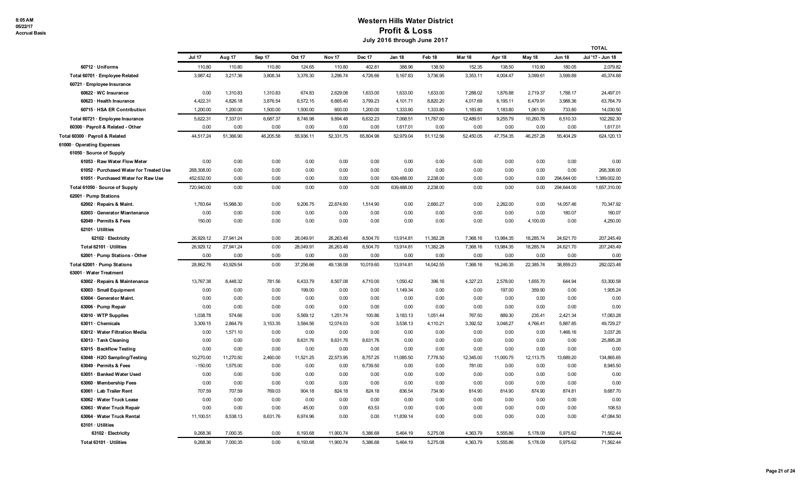|                                         |               |           |           |           |                   |               |            |           |           |           |           |               | <b>TOTAL</b>     |
|-----------------------------------------|---------------|-----------|-----------|-----------|-------------------|---------------|------------|-----------|-----------|-----------|-----------|---------------|------------------|
|                                         | <b>Jul 17</b> | Aug 17    | Sep 17    | Oct 17    | Nov <sub>17</sub> | <b>Dec 17</b> | Jan 18     | Feb 18    | Mar 18    | Apr 18    | May 18    | <b>Jun 18</b> | Jul '17 - Jun 18 |
| 60712 · Uniforms                        | 110.80        | 110.80    | 110.80    | 124.65    | 110.80            | 402.81        | 388.96     | 138.50    | 152.35    | 138.50    | 110.80    | 180.05        | 2,079.82         |
| Total 60701 · Employee Related          | 3,987.42      | 3.217.36  | 3,808.34  | 3,376.30  | 3,296.74          | 4,726.66      | 5,167.83   | 3,736.95  | 3,353.11  | 4,004.47  | 3,099.61  | 3.599.89      | 45,374.68        |
| 60721 · Employee Insurance              |               |           |           |           |                   |               |            |           |           |           |           |               |                  |
| 60622 · WC Insurance                    | 0.00          | 1,310.83  | 1,310.83  | 674.83    | 2,629.08          | 1,633.00      | 1,633.00   | 1,633.00  | 7,288.02  | 1,876.88  | 2,719.37  | 1,788.17      | 24,497.01        |
| 60623 · Health Insurance                | 4,422.31      | 4,826.18  | 3,876.54  | 6,572.15  | 6,665.40          | 3,799.23      | 4,101.71   | 8,820.20  | 4,017.69  | 6,195.11  | 6,479.91  | 3,988.36      | 63,764.79        |
| 60715 · HSA ER Contribution             | 1,200.00      | 1,200.00  | 1,500.00  | 1,500.00  | 600.00            | 1,200.00      | 1,333.80   | 1,333.80  | 1,183.80  | 1,183.80  | 1,061.50  | 733.80        | 14,030.50        |
| Total 60721 · Employee Insurance        | 5,622.31      | 7,337.01  | 6,687.37  | 8,746.98  | 9,894.48          | 6,632.23      | 7,068.51   | 11,787.00 | 12,489.51 | 9,255.79  | 10,260.78 | 6,510.33      | 102,292.30       |
| 60300 · Payroll & Related - Other       | 0.00          | 0.00      | 0.00      | 0.00      | 0.00              | 0.00          | 1,617.01   | 0.00      | 0.00      | 0.00      | 0.00      | 0.00          | 1,617.01         |
| Total 60300 · Payroll & Related         | 44,517.24     | 51,366.90 | 48,205.58 | 55,936.11 | 52,331.75         | 65,804.98     | 52,979.04  | 51,112.56 | 52,450.05 | 47,754.35 | 46,257.28 | 55,404.29     | 624,120.13       |
| 61000 · Operating Expenses              |               |           |           |           |                   |               |            |           |           |           |           |               |                  |
| 61050 · Source of Supply                |               |           |           |           |                   |               |            |           |           |           |           |               |                  |
| 61053 · Raw Water Flow Meter            | 0.00          | 0.00      | 0.00      | 0.00      | 0.00              | 0.00          | 0.00       | 0.00      | 0.00      | 0.00      | 0.00      | 0.00          | 0.00             |
| 61052 · Purchased Water for Treated Use | 268,308.00    | 0.00      | 0.00      | 0.00      | 0.00              | 0.00          | 0.00       | 0.00      | 0.00      | 0.00      | 0.00      | 0.00          | 268,308.00       |
| 61051 · Purchased Water for Raw Use     | 452,632.00    | 0.00      | 0.00      | 0.00      | 0.00              | 0.00          | 639,488.00 | 2,238.00  | 0.00      | 0.00      | 0.00      | 294,644.00    | 1,389,002.00     |
| Total 61050 · Source of Supply          | 720,940.00    | 0.00      | 0.00      | 0.00      | 0.00              | 0.00          | 639,488.00 | 2,238.00  | 0.00      | 0.00      | 0.00      | 294,644.00    | 1,657,310.00     |
| 62001 · Pump Stations                   |               |           |           |           |                   |               |            |           |           |           |           |               |                  |
| 62002 · Repairs & Maint.                | 1,783.64      | 15,988.30 | 0.00      | 9,206.75  | 22,874.60         | 1,514.90      | 0.00       | 2,660.27  | 0.00      | 2,262.00  | 0.00      | 14,057.46     | 70,347.92        |
| 62003 · Generator Miantenance           | 0.00          | 0.00      | 0.00      | 0.00      | 0.00              | 0.00          | 0.00       | 0.00      | 0.00      | 0.00      | 0.00      | 180.07        | 180.07           |
| 62049 · Permits & Fees                  | 150.00        | 0.00      | 0.00      | 0.00      | 0.00              | 0.00          | 0.00       | 0.00      | 0.00      | 0.00      | 4,100.00  | 0.00          | 4,250.00         |
| $62101 \cdot U$ tilities                |               |           |           |           |                   |               |            |           |           |           |           |               |                  |
| 62102 · Electricity                     | 26,929.12     | 27,941.24 | 0.00      | 28,049.91 | 26,263.48         | 8,504.70      | 13,914.81  | 11,382.28 | 7,368.16  | 13,984.35 | 18,285.74 | 24,621.70     | 207,245.49       |
| Total 62101 · Utilities                 | 26,929.12     | 27,941.24 | 0.00      | 28,049.91 | 26,263.48         | 8,504.70      | 13,914.81  | 11,382.28 | 7,368.16  | 13,984.35 | 18,285.74 | 24,621.70     | 207,245.49       |
| 62001 · Pump Stations - Other           | 0.00          | 0.00      | 0.00      | 0.00      | 0.00              | 0.00          | 0.00       | 0.00      | 0.00      | 0.00      | 0.00      | 0.00          | 0.00             |
| Total 62001 · Pump Stations             | 28,862.76     | 43,929.54 | 0.00      | 37,256.66 | 49,138.08         | 10,019.60     | 13,914.81  | 14,042.55 | 7,368.16  | 16,246.35 | 22,385.74 | 38,859.23     | 282,023.48       |
| 63001 · Water Treatment                 |               |           |           |           |                   |               |            |           |           |           |           |               |                  |
| 63002 · Repairs & Maintenance           | 13,767.38     | 8,448.32  | 781.56    | 6,433.79  | 8,507.08          | 4,710.00      | 1,050.42   | 396.16    | 4,327.23  | 2,578.00  | 1,655.70  | 644.94        | 53,300.58        |
| 63003 · Small Equipment                 | 0.00          | 0.00      | 0.00      | 199.00    | 0.00              | 0.00          | 1,149.34   | 0.00      | 0.00      | 197.00    | 359.90    | 0.00          | 1,905.24         |
| 63004 · Generator Maint.                | 0.00          | 0.00      | 0.00      | 0.00      | 0.00              | 0.00          | 0.00       | 0.00      | 0.00      | 0.00      | 0.00      | 0.00          | 0.00             |
| 63006 · Pump Repair                     | 0.00          | 0.00      | 0.00      | 0.00      | 0.00              | 0.00          | 0.00       | 0.00      | 0.00      | 0.00      | 0.00      | 0.00          | 0.00             |
| 63010 · WTP Supplies                    | 1,038.78      | 574.66    | 0.00      | 5,569.12  | 1,251.74          | 100.86        | 3,183.13   | 1,051.44  | 767.50    | 889.30    | 235.41    | 2,421.34      | 17,083.28        |
| 63011 · Chemicals                       | 3,309.15      | 2,864.79  | 3,153.35  | 3,584.56  | 12,074.03         | 0.00          | 3,538.13   | 4,110.21  | 3,392.52  | 3,048.27  | 4,766.41  | 5,887.85      | 49,729.27        |
| 63012 · Water Filtration Media          | 0.00          | 1,571.10  | 0.00      | 0.00      | 0.00              | 0.00          | 0.00       | 0.00      | 0.00      | 0.00      | 0.00      | 1,466.16      | 3,037.26         |
| 63013 · Tank Cleaning                   | 0.00          | 0.00      | 0.00      | 8,631.76  | 8,631.76          | 8,631.76      | 0.00       | 0.00      | 0.00      | 0.00      | 0.00      | 0.00          | 25,895.28        |
| 63015 · Backflow Testing                | 0.00          | 0.00      | 0.00      | 0.00      | 0.00              | 0.00          | 0.00       | 0.00      | 0.00      | 0.00      | 0.00      | 0.00          | 0.00             |
| 63048 · H2O Sampling/Testing            | 10,270.00     | 11,270.50 | 2,460.00  | 11,521.25 | 22,573.95         | 8,757.25      | 11,085.50  | 7,778.50  | 12,345.00 | 11,000.75 | 12,113.75 | 13,689.20     | 134,865.65       |
| 63049 · Permits & Fees                  | $-150.00$     | 1,575.00  | 0.00      | 0.00      | 0.00              | 6,739.50      | 0.00       | 0.00      | 781.00    | 0.00      | 0.00      | 0.00          | 8.945.50         |
| 63051 · Banked Water Used               | 0.00          | 0.00      | 0.00      | 0.00      | 0.00              | 0.00          | 0.00       | 0.00      | 0.00      | 0.00      | 0.00      | 0.00          | 0.00             |
| 63060 · Membership Fees                 | 0.00          | 0.00      | 0.00      | 0.00      | 0.00              | 0.00          | 0.00       | 0.00      | 0.00      | 0.00      | 0.00      | 0.00          | 0.00             |
| 63061 · Lab Trailer Rent                | 707.59        | 707.59    | 769.03    | 904.18    | 824.18            | 824.18        | 836.54     | 734.90    | 814.90    | 814.90    | 874.90    | 874.81        | 9,687.70         |
| 63062 · Water Truck Lease               | 0.00          | 0.00      | 0.00      | 0.00      | 0.00              | 0.00          | 0.00       | 0.00      | 0.00      | 0.00      | 0.00      | 0.00          | 0.00             |
| 63063 · Water Truck Repair              | 0.00          | 0.00      | 0.00      | 45.00     | 0.00              | 63.53         | 0.00       | 0.00      | 0.00      | 0.00      | 0.00      | 0.00          | 108.53           |
| 63064 · Water Truck Rental              | 11,100.51     | 8,538.13  | 8,631.76  | 6,974.96  | 0.00              | 0.00          | 11,839.14  | 0.00      | 0.00      | 0.00      | 0.00      | 0.00          | 47,084.50        |
| $63101 \cdot$ Utilities                 |               |           |           |           |                   |               |            |           |           |           |           |               |                  |
| 63102 · Electricity                     | 9,268.36      | 7,000.35  | 0.00      | 6,193.68  | 11,900.74         | 5,386.68      | 5,464.19   | 5,275.08  | 4,363.79  | 5,555.86  | 5,178.09  | 5,975.62      | 71,562.44        |
| Total 63101 · Utilities                 | 9,268.36      | 7,000.35  | 0.00      | 6,193.68  | 11,900.74         | 5,386.68      | 5,464.19   | 5,275.08  | 4,363.79  | 5,555.86  | 5,178.09  | 5,975.62      | 71,562.44        |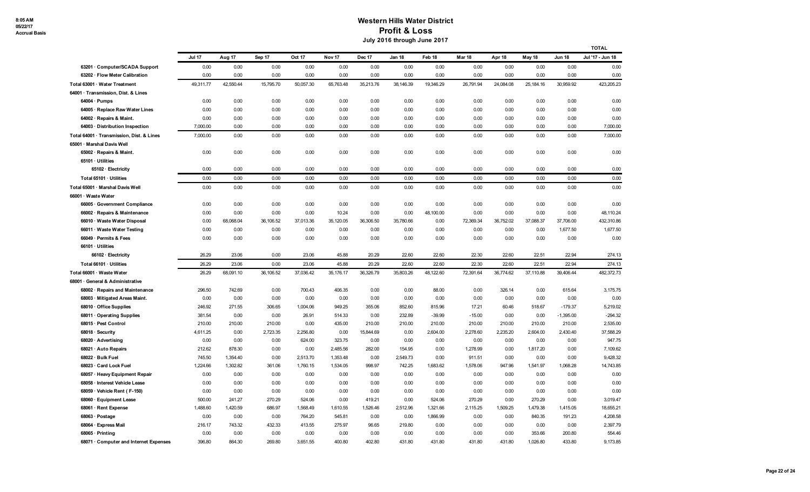|                                                                     |               |           |           |           |                   |           |           |           |           |           |           |               | TOTAL            |
|---------------------------------------------------------------------|---------------|-----------|-----------|-----------|-------------------|-----------|-----------|-----------|-----------|-----------|-----------|---------------|------------------|
|                                                                     | <b>Jul 17</b> | Aug 17    | Sep 17    | Oct 17    | Nov <sub>17</sub> | Dec 17    | Jan 18    | Feb 18    | Mar 18    | Apr 18    | May 18    | <b>Jun 18</b> | Jul '17 - Jun 18 |
| 63201 · Computer/SCADA Support                                      | 0.00          | 0.00      | 0.00      | 0.00      | 0.00              | 0.00      | 0.00      | 0.00      | 0.00      | 0.00      | 0.00      | 0.00          | 0.00             |
| 63202 · Flow Meter Calibration                                      | 0.00          | 0.00      | 0.00      | 0.00      | 0.00              | 0.00      | 0.00      | 0.00      | 0.00      | 0.00      | 0.00      | 0.00          | 0.00             |
| Total 63001 · Water Treatment                                       | 49,311.77     | 42,550.44 | 15,795.70 | 50,057.30 | 65,763.48         | 35,213.76 | 38,146.39 | 19,346.29 | 26,791.94 | 24,084.08 | 25,184.16 | 30,959.92     | 423,205.23       |
| 64001 · Transmission, Dist. & Lines                                 |               |           |           |           |                   |           |           |           |           |           |           |               |                  |
| $64004 \cdot$ Pumps                                                 | 0.00          | 0.00      | 0.00      | 0.00      | 0.00              | 0.00      | 0.00      | 0.00      | 0.00      | 0.00      | 0.00      | 0.00          | 0.00             |
| 64005 · Replace Raw Water Lines                                     | 0.00          | 0.00      | 0.00      | 0.00      | 0.00              | 0.00      | 0.00      | 0.00      | 0.00      | 0.00      | 0.00      | 0.00          | 0.00             |
| 64002 · Repairs & Maint.                                            | 0.00          | 0.00      | 0.00      | 0.00      | 0.00              | 0.00      | 0.00      | 0.00      | 0.00      | 0.00      | 0.00      | 0.00          | 0.00             |
| 64003 · Distribution Inspection                                     | 7.000.00      | 0.00      | 0.00      | 0.00      | 0.00              | 0.00      | 0.00      | 0.00      | 0.00      | 0.00      | 0.00      | 0.00          | 7,000.00         |
| Total 64001 · Transmission, Dist. & Lines                           | 7,000.00      | 0.00      | 0.00      | 0.00      | 0.00              | 0.00      | 0.00      | 0.00      | 0.00      | 0.00      | 0.00      | 0.00          | 7,000.00         |
| 65001 · Marshal Davis Well                                          |               |           |           |           |                   |           |           |           |           |           |           |               |                  |
| 65002 · Repairs & Maint.                                            | 0.00          | 0.00      | 0.00      | 0.00      | 0.00              | 0.00      | 0.00      | 0.00      | 0.00      | 0.00      | 0.00      | 0.00          | 0.00             |
| 65101 · Utilities                                                   |               |           |           |           |                   |           |           |           |           |           |           |               |                  |
| 65102 · Electricity                                                 | 0.00          | 0.00      | 0.00      | 0.00      | 0.00              | 0.00      | 0.00      | 0.00      | 0.00      | 0.00      | 0.00      | 0.00          | 0.00             |
| Total 65101 · Utilities                                             | 0.00          | 0.00      | 0.00      | 0.00      | 0.00              | 0.00      | 0.00      | 0.00      | 0.00      | 0.00      | 0.00      | 0.00          | 0.00             |
| Total 65001 · Marshal Davis Well                                    | 0.00          | 0.00      | 0.00      | 0.00      | 0.00              | 0.00      | 0.00      | 0.00      | 0.00      | 0.00      | 0.00      | 0.00          | 0.00             |
| 66001 · Waste Water                                                 |               |           |           |           |                   |           |           |           |           |           |           |               |                  |
| 66005 · Government Compliance                                       | 0.00          | 0.00      | 0.00      | 0.00      | 0.00              | 0.00      | 0.00      | 0.00      | 0.00      | 0.00      | 0.00      | 0.00          | 0.00             |
| 66002 · Repairs & Maintenance                                       | 0.00          | 0.00      | 0.00      | 0.00      | 10.24             | 0.00      | 0.00      | 48,100.00 | 0.00      | 0.00      | 0.00      | 0.00          | 48,110.24        |
| 66010 · Waste Water Disposal                                        | 0.00          | 68,068.04 | 36,106.52 | 37,013.36 | 35,120.05         | 36,306.50 | 35,780.66 | 0.00      | 72,369.34 | 36,752.02 | 37,088.37 | 37,706.00     | 432,310.86       |
| 66011 · Waste Water Testing                                         | 0.00          | 0.00      | 0.00      | 0.00      | 0.00              | 0.00      | 0.00      | 0.00      | 0.00      | 0.00      | 0.00      | 1,677.50      | 1,677.50         |
| 66049 · Permits & Fees                                              | 0.00          | 0.00      | 0.00      | 0.00      | 0.00              | 0.00      | 0.00      | 0.00      | 0.00      | 0.00      | 0.00      | 0.00          | 0.00             |
| 66101 · Utilities                                                   |               |           |           |           |                   |           |           |           |           |           |           |               |                  |
| 66102 · Electricity                                                 | 26.29         | 23.06     | 0.00      | 23.06     | 45.88             | 20.29     | 22.60     | 22.60     | 22.30     | 22.60     | 22.51     | 22.94         | 274.13           |
| Total 66101 · Utilities                                             | 26.29         | 23.06     | 0.00      | 23.06     | 45.88             | 20.29     | 22.60     | 22.60     | 22.30     | 22.60     | 22.51     | 22.94         | 274.13           |
| Total 66001 · Waste Water                                           | 26.29         | 68,091.10 | 36,106.52 | 37,036.42 | 35,176.17         | 36,326.79 | 35,803.26 | 48,122.60 | 72,391.64 | 36,774.62 | 37,110.88 | 39,406.44     | 482,372.73       |
| 68001 · General & Administrative<br>68002 · Repairs and Maintenance | 296.50        | 742.69    | 0.00      | 700.43    | 406.35            | 0.00      | 0.00      | 88.00     | 0.00      | 326.14    | 0.00      | 615.64        | 3,175.75         |
| 68003 · Mitigated Areas Maint.                                      | 0.00          | 0.00      | 0.00      | 0.00      | 0.00              | 0.00      | 0.00      | 0.00      | 0.00      | 0.00      | 0.00      | 0.00          | 0.00             |
| 68010 · Office Supplies                                             | 246.92        | 271.55    | 306.65    | 1,004.06  | 949.25            | 355.06    | 852.60    | 815.96    | 17.21     | 60.46     | 518.67    | $-179.37$     | 5,219.02         |
| 68011 · Operating Supplies                                          | 381.54        | 0.00      | 0.00      | 26.91     | 514.33            | 0.00      | 232.89    | $-39.99$  | $-15.00$  | 0.00      | 0.00      | $-1,395.00$   | $-294.32$        |
| 68015 · Pest Control                                                | 210.00        | 210.00    | 210.00    | 0.00      | 435.00            | 210.00    | 210.00    | 210.00    | 210.00    | 210.00    | 210.00    | 210.00        | 2,535.00         |
| 68018 · Security                                                    | 4,611.25      | 0.00      | 2,723.35  | 2,256.80  | 0.00              | 15,844.69 | 0.00      | 2,604.00  | 2,278.60  | 2,235.20  | 2,604.00  | 2,430.40      | 37,588.29        |
| 68020 · Advertising                                                 | 0.00          | 0.00      | 0.00      | 624.00    | 323.75            | 0.00      | 0.00      | 0.00      | 0.00      | 0.00      | 0.00      | 0.00          | 947.75           |
| 68021 · Auto Repairs                                                | 212.62        | 878.30    | 0.00      | 0.00      | 2,485.56          | 282.00    | 154.95    | 0.00      | 1,278.99  | 0.00      | 1,817.20  | 0.00          | 7,109.62         |
| 68022 · Bulk Fuel                                                   | 745.50        | 1,354.40  | 0.00      | 2,513.70  | 1,353.48          | 0.00      | 2,549.73  | 0.00      | 911.51    | 0.00      | 0.00      | 0.00          | 9,428.32         |
| 68023 · Card Lock Fuel                                              | 1,224.66      | 1,302.82  | 361.06    | 1,760.15  | 1,534.05          | 998.97    | 742.25    | 1,683.62  | 1,578.06  | 947.96    | 1,541.97  | 1,068.28      | 14,743.85        |
| 68057 · Heavy Equipment Repair                                      | 0.00          | 0.00      | 0.00      | 0.00      | 0.00              | 0.00      | 0.00      | 0.00      | 0.00      | 0.00      | 0.00      | 0.00          | 0.00             |
| 68058 · Interest Vehicle Lease                                      | 0.00          | 0.00      | 0.00      | 0.00      | 0.00              | 0.00      | 0.00      | 0.00      | 0.00      | 0.00      | 0.00      | 0.00          | 0.00             |
| 68059 · Vehicle Rent (F-150)                                        | 0.00          | 0.00      | 0.00      | 0.00      | 0.00              | 0.00      | 0.00      | 0.00      | 0.00      | 0.00      | 0.00      | 0.00          | 0.00             |
| 68060 · Equipment Lease                                             | 500.00        | 241.27    | 270.29    | 524.06    | 0.00              | 419.21    | 0.00      | 524.06    | 270.29    | 0.00      | 270.29    | 0.00          | 3,019.47         |
| 68061 · Rent Expense                                                | 1,488.60      | 1,420.59  | 686.97    | 1,568.49  | 1,610.55          | 1,526.46  | 2,512.96  | 1,321.66  | 2,115.25  | 1,509.25  | 1,479.38  | 1,415.05      | 18,655.21        |
| 68063 · Postage                                                     | 0.00          | 0.00      | 0.00      | 764.20    | 545.81            | 0.00      | 0.00      | 1,866.99  | 0.00      | 0.00      | 840.35    | 191.23        | 4,208.58         |
| 68064 · Express Mail                                                | 216.17        | 743.32    | 432.33    | 413.55    | 275.97            | 96.65     | 219.80    | 0.00      | 0.00      | 0.00      | 0.00      | 0.00          | 2,397.79         |
| 68065 · Printing                                                    | 0.00          | 0.00      | 0.00      | 0.00      | 0.00              | 0.00      | 0.00      | 0.00      | 0.00      | 0.00      | 353.66    | 200.80        | 554.46           |
| 68071 · Computer and Internet Expenses                              | 396.80        | 864.30    | 269.80    | 3,651.55  | 400.80            | 402.80    | 431.80    | 431.80    | 431.80    | 431.80    | 1,026.80  | 433.80        | 9,173.85         |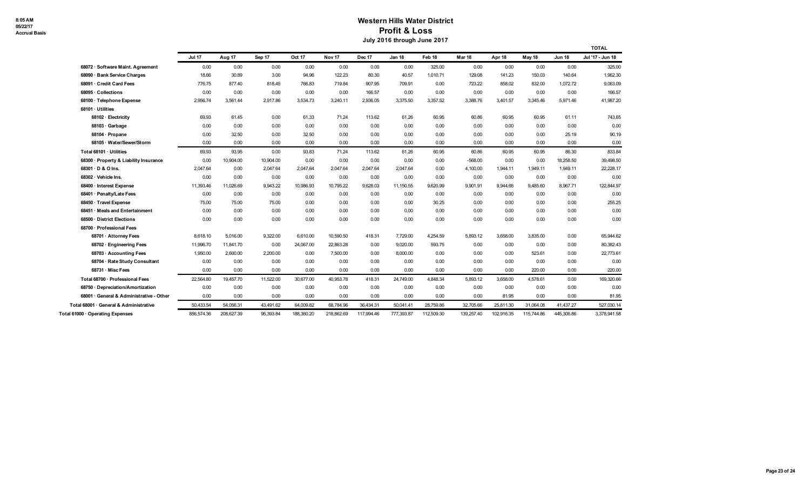|                                          |               |            |           |            |                   |            |            |            |            |            |            |               | <b>TOTAL</b>     |
|------------------------------------------|---------------|------------|-----------|------------|-------------------|------------|------------|------------|------------|------------|------------|---------------|------------------|
|                                          | <b>Jul 17</b> | Aug 17     | Sep 17    | Oct 17     | Nov <sub>17</sub> | Dec 17     | Jan 18     | Feb 18     | Mar 18     | Apr 18     | May 18     | <b>Jun 18</b> | Jul '17 - Jun 18 |
| 68072 · Software Maint. Agreement        | 0.00          | 0.00       | 0.00      | 0.00       | 0.00              | 0.00       | 0.00       | 325.00     | 0.00       | 0.00       | 0.00       | 0.00          | 325.00           |
| <b>Bank Service Charges</b><br>68090.    | 18.66         | 30.89      | 3.00      | 94.96      | 122.23            | 80.30      | 40.57      | 1,010.71   | 129.08     | 141.23     | 150.03     | 140.64        | 1,962.30         |
| 68091 · Credit Card Fees                 | 776.75        | 877.40     | 818.45    | 766.83     | 719.84            | 907.95     | 709.91     | 0.00       | 723.22     | 858.02     | 832.00     | 1,072.72      | 9,063.09         |
| 68095 · Collections                      | 0.00          | 0.00       | 0.00      | 0.00       | 0.00              | 166.57     | 0.00       | 0.00       | 0.00       | 0.00       | 0.00       | 0.00          | 166.57           |
| 68100 · Telephone Expense                | 2,956.74      | 3,561.44   | 2,917.86  | 3,534.73   | 3,240.11          | 2,936.05   | 3,375.50   | 3,357.52   | 3,388.76   | 3,401.57   | 3,345.46   | 5,971.46      | 41,987.20        |
| 68101 · Utilities                        |               |            |           |            |                   |            |            |            |            |            |            |               |                  |
| 68102 · Electricity                      | 69.93         | 61.45      | 0.00      | 61.33      | 71.24             | 113.62     | 61.26      | 60.95      | 60.86      | 60.95      | 60.95      | 61.11         | 743.65           |
| 68103 · Garbage                          | 0.00          | 0.00       | 0.00      | 0.00       | 0.00              | 0.00       | 0.00       | 0.00       | 0.00       | 0.00       | 0.00       | 0.00          | 0.00             |
| 68104 · Propane                          | 0.00          | 32.50      | 0.00      | 32.50      | 0.00              | 0.00       | 0.00       | 0.00       | 0.00       | 0.00       | 0.00       | 25.19         | 90.19            |
| 68105 · Water/Sewer/Storm                | 0.00          | 0.00       | 0.00      | 0.00       | 0.00              | 0.00       | 0.00       | 0.00       | 0.00       | 0.00       | 0.00       | 0.00          | 0.00             |
| Total 68101 · Utilities                  | 69.93         | 93.95      | 0.00      | 93.83      | 71.24             | 113.62     | 61.26      | 60.95      | 60.86      | 60.95      | 60.95      | 86.30         | 833.84           |
| 68300 · Property & Liability Insurance   | 0.00          | 10,904.00  | 10,904.00 | 0.00       | 0.00              | 0.00       | 0.00       | 0.00       | $-568.00$  | 0.00       | 0.00       | 18,258.50     | 39,498.50        |
| 68301 · D & O Ins.                       | 2.047.64      | 0.00       | 2.047.64  | 2.047.64   | 2.047.64          | 2.047.64   | 2.047.64   | 0.00       | 4,100.00   | 1.944.11   | 1.949.11   | 1.949.11      | 22,228.17        |
| 68302 · Vehicle Ins.                     | 0.00          | 0.00       | 0.00      | 0.00       | 0.00              | 0.00       | 0.00       | 0.00       | 0.00       | 0.00       | 0.00       | 0.00          | 0.00             |
| 68400 · Interest Expense                 | 11,393.46     | 11,026.69  | 9,943.22  | 10,986.93  | 10,795.22         | 9,628.03   | 11,150.55  | 9,620.99   | 9,901.91   | 9,944.66   | 9,485.60   | 8,967.71      | 122,844.97       |
| 68401 · Penalty/Late Fees                | 0.00          | 0.00       | 0.00      | 0.00       | 0.00              | 0.00       | 0.00       | 0.00       | 0.00       | 0.00       | 0.00       | 0.00          | 0.00             |
| 68450 · Travel Expense                   | 75.00         | 75.00      | 75.00     | 0.00       | 0.00              | 0.00       | 0.00       | 30.25      | 0.00       | 0.00       | 0.00       | 0.00          | 255.25           |
| 68451 Meals and Entertainment            | 0.00          | 0.00       | 0.00      | 0.00       | 0.00              | 0.00       | 0.00       | 0.00       | 0.00       | 0.00       | 0.00       | 0.00          | 0.00             |
| 68500 · District Elections               | 0.00          | 0.00       | 0.00      | 0.00       | 0.00              | 0.00       | 0.00       | 0.00       | 0.00       | 0.00       | 0.00       | 0.00          | 0.00             |
| 68700 · Professional Fees                |               |            |           |            |                   |            |            |            |            |            |            |               |                  |
| 68701 · Attorney Fees                    | 8,618.10      | 5,016.00   | 9,322.00  | 6,610.00   | 10,590.50         | 418.31     | 7,729.00   | 4,254.59   | 5,893.12   | 3,658.00   | 3,835.00   | 0.00          | 65,944.62        |
| 68702 · Engineering Fees                 | 11,996.70     | 11,841.70  | 0.00      | 24,067.00  | 22,863.28         | 0.00       | 9,020.00   | 593.75     | 0.00       | 0.00       | 0.00       | 0.00          | 80,382.43        |
| 68703 · Accounting Fees                  | 1,950.00      | 2,600.00   | 2,200.00  | 0.00       | 7,500.00          | 0.00       | 8,000.00   | 0.00       | 0.00       | 0.00       | 523.61     | 0.00          | 22,773.61        |
| 68704 · Rate Study Consultant            | 0.00          | 0.00       | 0.00      | 0.00       | 0.00              | 0.00       | 0.00       | 0.00       | 0.00       | 0.00       | 0.00       | 0.00          | 0.00             |
| 68731 · Misc Fees                        | 0.00          | 0.00       | 0.00      | 0.00       | 0.00              | 0.00       | 0.00       | 0.00       | 0.00       | 0.00       | 220.00     | 0.00          | 220.00           |
| Total 68700 · Professional Fees          | 22,564.80     | 19,457.70  | 11,522.00 | 30,677.00  | 40,953.78         | 418.31     | 24,749.00  | 4,848.34   | 5,893.12   | 3,658.00   | 4,578.61   | 0.00          | 169,320.66       |
| 68750 · Depreciation/Amortization        | 0.00          | 0.00       | 0.00      | 0.00       | 0.00              | 0.00       | 0.00       | 0.00       | 0.00       | 0.00       | 0.00       | 0.00          | 0.00             |
| 68001 · General & Administrative - Other | 0.00          | 0.00       | 0.00      | 0.00       | 0.00              | 0.00       | 0.00       | 0.00       | 0.00       | 81.95      | 0.00       | 0.00          | 81.95            |
| Total 68001 · General & Administrative   | 50,433.54     | 54,056.31  | 43,491.62 | 64,009.82  | 68,784.96         | 36,434.31  | 50,041.41  | 28,759.86  | 32,705.66  | 25,811.30  | 31,064.08  | 41,437.27     | 527,030.14       |
| Total 61000 · Operating Expenses         | 856,574.36    | 208.627.39 | 95.393.84 | 188,360.20 | 218.862.69        | 117.994.46 | 777,393.87 | 112.509.30 | 139.257.40 | 102.916.35 | 115,744.86 | 445.306.86    | 3,378,941.58     |
|                                          |               |            |           |            |                   |            |            |            |            |            |            |               |                  |